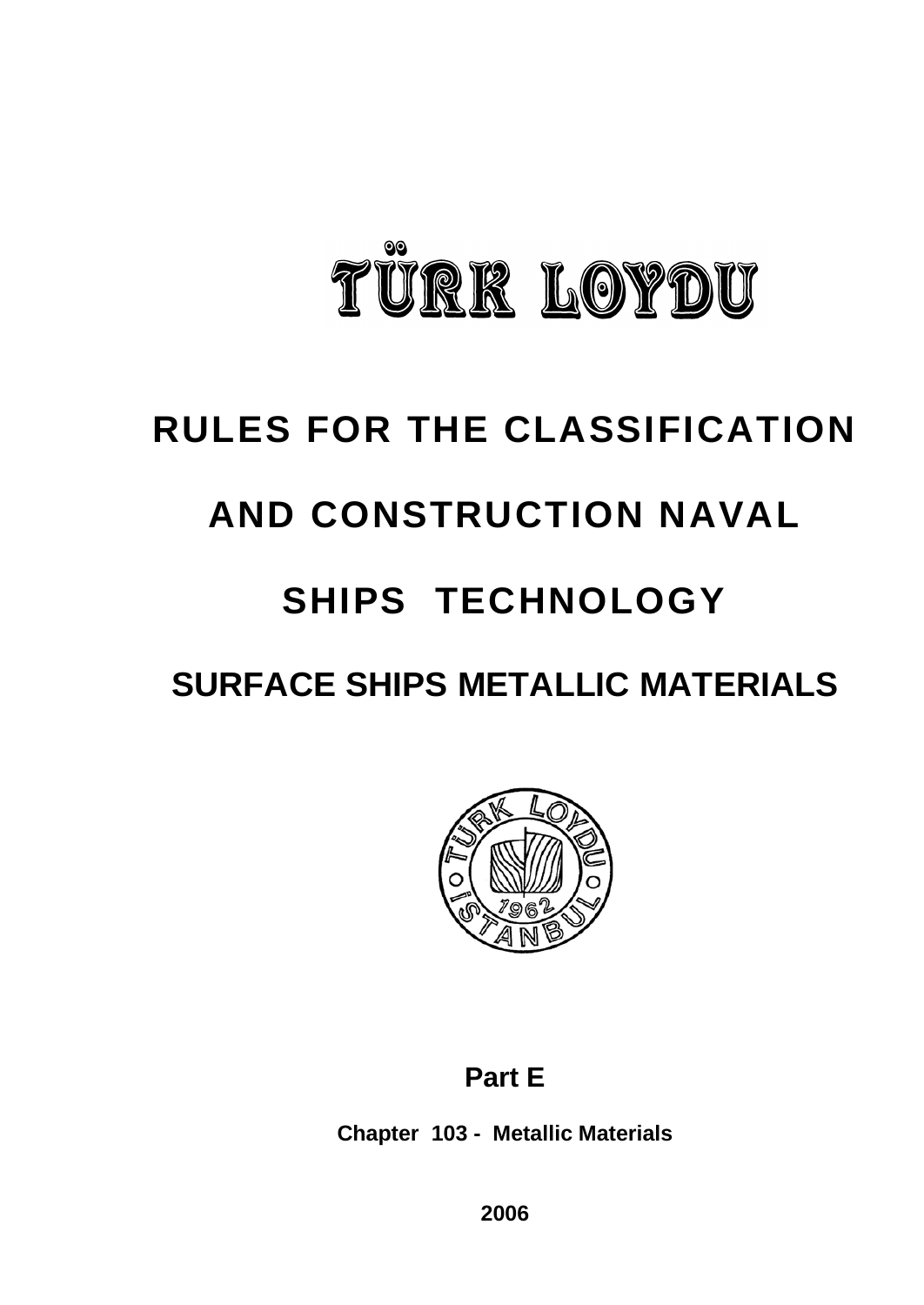

# **RULES FOR THE CLASSIFICATION**

# **AND CONSTRUCTION NAVAL**

# **SHIPS TECHNOLOGY**

# **SURFACE SHIPS METALLIC MATERIALS**



## **Part E**

**Chapter 103 - Metallic Materials**

**2006**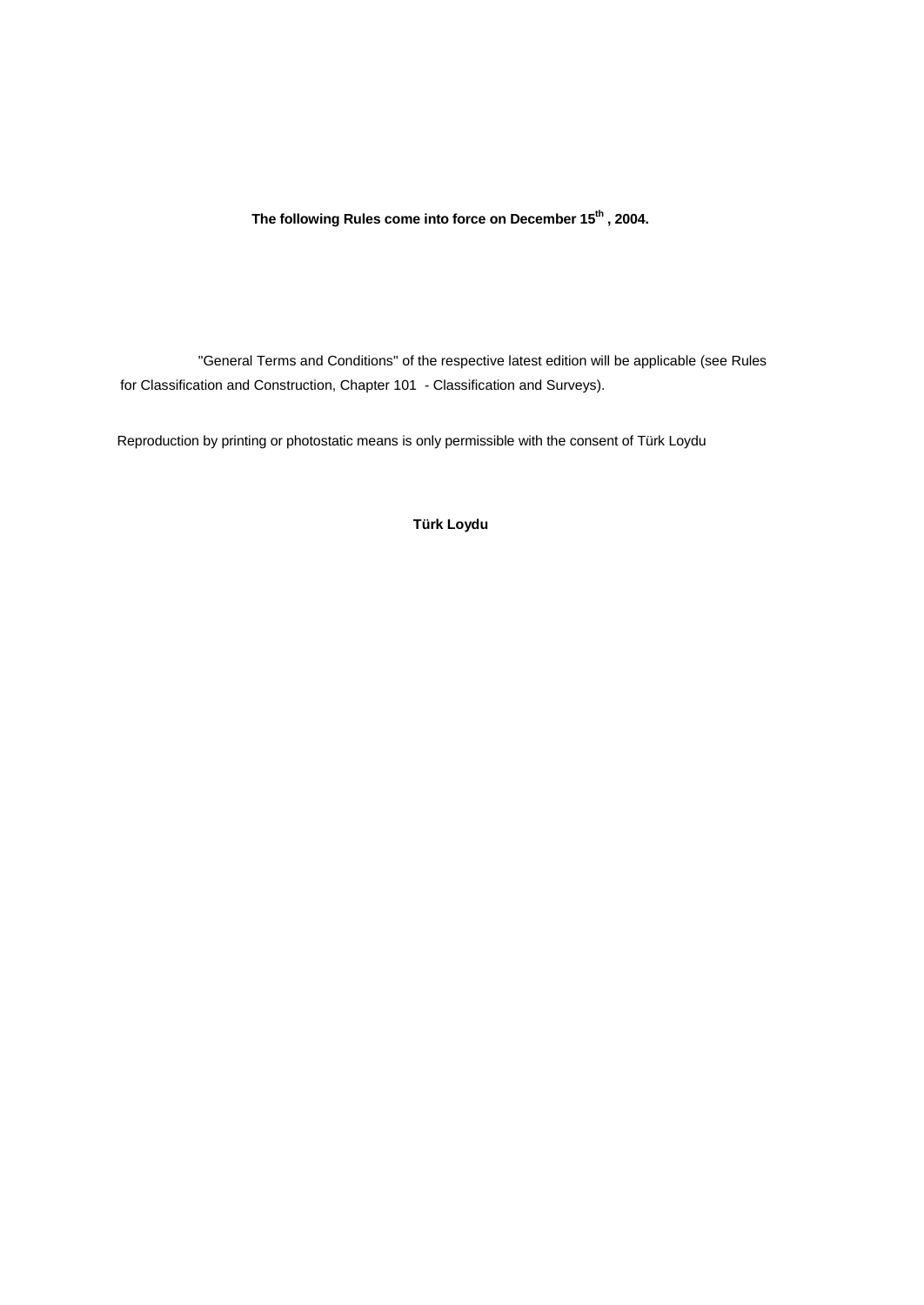**The following Rules come into force on December 15th , 2004.**

"General Terms and Conditions" of the respective latest edition will be applicable (see Rules for Classification and Construction, Chapter 101 - Classification and Surveys).

Reproduction by printing or photostatic means is only permissible with the consent of Türk Loydu

**Türk Loydu**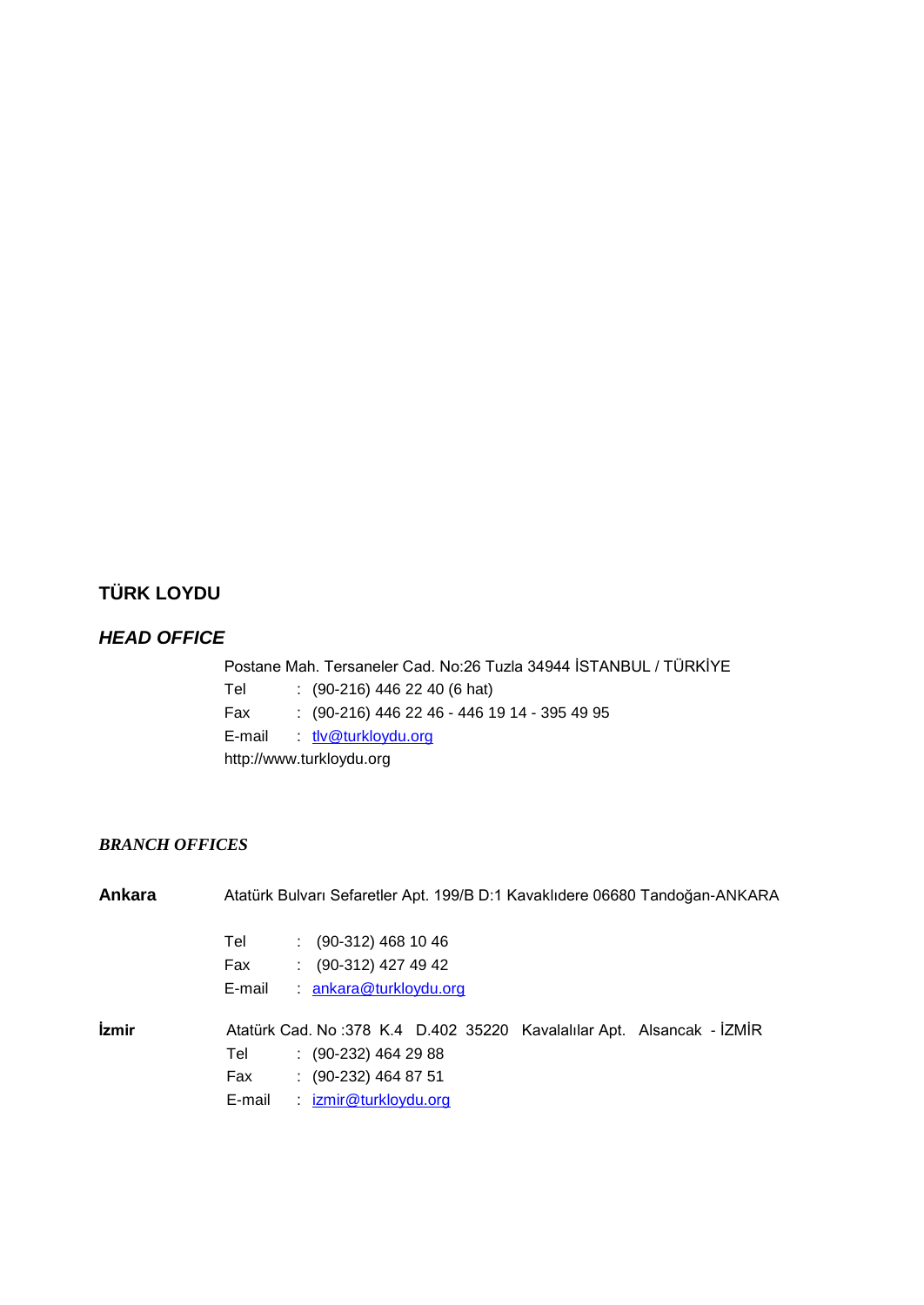## **TÜRK LOYDU**

## *HEAD OFFICE*

Postane Mah. Tersaneler Cad. No:26 Tuzla 34944 İSTANBUL / TÜRKİYE Tel : (90-216) 446 22 40 (6 hat) Fax : (90-216) 446 22 46 - 446 19 14 - 395 49 95 E-mail : tlv@turkloydu.org http://www.turkloydu.org

## *BRANCH OFFICES*

| Ankara       |        | Atatürk Bulvarı Sefaretler Apt. 199/B D:1 Kavaklıdere 06680 Tandoğan-ANKARA |  |
|--------------|--------|-----------------------------------------------------------------------------|--|
|              | Tel    | $(90-312)$ 468 10 46                                                        |  |
|              | Fax    | $(90-312)$ 427 49 42                                                        |  |
|              | E-mail | ankara@turkloydu.org                                                        |  |
| <i>izmir</i> |        | Atatürk Cad. No: 378 K.4 D.402 35220 Kavalalılar Apt. Alsancak - İZMİR      |  |
|              | Tel    | $(90-232)$ 464 29 88                                                        |  |
|              | Fax    | $\colon$ (90-232) 464 87 51                                                 |  |
|              | E-mail | izmir@turkloydu.org                                                         |  |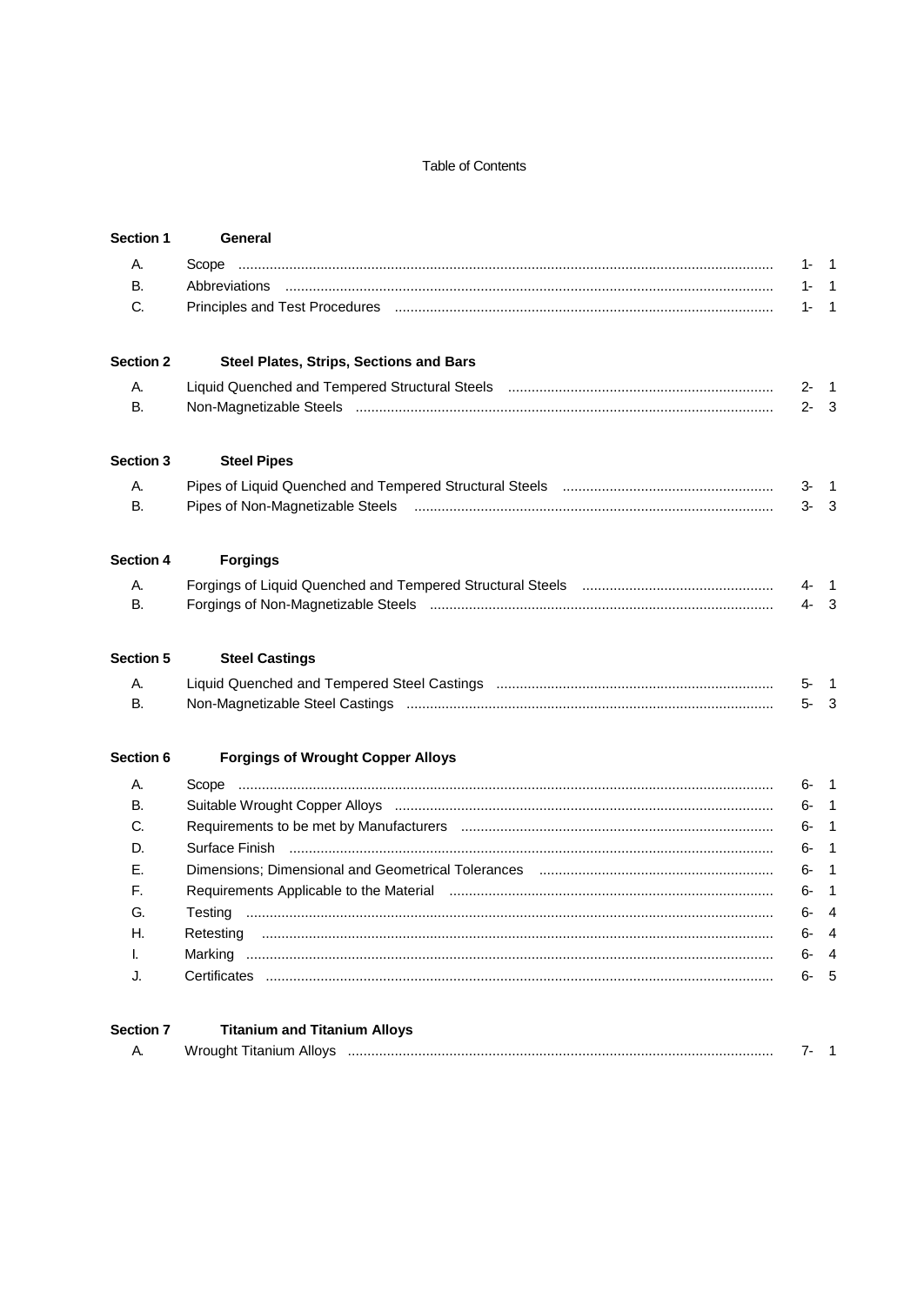## Table of Contents

| <b>Section 1</b> | General                                                                                                        |         |                |
|------------------|----------------------------------------------------------------------------------------------------------------|---------|----------------|
| А.               |                                                                                                                | 1-      | $\overline{1}$ |
| В.               |                                                                                                                | 1-      | $\overline{1}$ |
| C.               |                                                                                                                | 1-      | $\overline{1}$ |
| <b>Section 2</b> | Steel Plates, Strips, Sections and Bars                                                                        |         |                |
| А.               |                                                                                                                | $2 -$   | $\overline{1}$ |
| <b>B.</b>        |                                                                                                                | $2 - 3$ |                |
| Section 3        | <b>Steel Pipes</b>                                                                                             |         |                |
| А.               |                                                                                                                | 3-      | $\overline{1}$ |
| <b>B.</b>        |                                                                                                                | $3-$    | $\mathbf{3}$   |
| Section 4        | <b>Forgings</b>                                                                                                |         |                |
| А.               |                                                                                                                | $4 - 1$ |                |
| В.               |                                                                                                                | $4 - 3$ |                |
| <b>Section 5</b> | <b>Steel Castings</b>                                                                                          |         |                |
| А.               |                                                                                                                | 5-      | $\overline{1}$ |
| <b>B.</b>        |                                                                                                                | $5-$    | - 3            |
| Section 6        | <b>Forgings of Wrought Copper Alloys</b>                                                                       |         |                |
| А.               |                                                                                                                | 6-      | $\overline{1}$ |
| В.               |                                                                                                                | 6-      | $\overline{1}$ |
| C.               |                                                                                                                | 6-      | $\overline{1}$ |
| D.               | Surface Finish                                                                                                 | 6-      | $\overline{1}$ |
| Е.               |                                                                                                                | 6-      | $\overline{1}$ |
| F.               | Requirements Applicable to the Material material contain and a series and a series and a series and a series o | 6-      | $\mathbf{1}$   |
| G.               |                                                                                                                | 6-      | 4              |
| Н.               | Retesting                                                                                                      | 6-      | 4              |
|                  | Marking                                                                                                        | 6-      | 4              |
| J.               |                                                                                                                | 6-      | 5              |
| <b>Section 7</b> | <b>Titanium and Titanium Alloys</b>                                                                            |         |                |
| А.               |                                                                                                                | 7-      | $\overline{1}$ |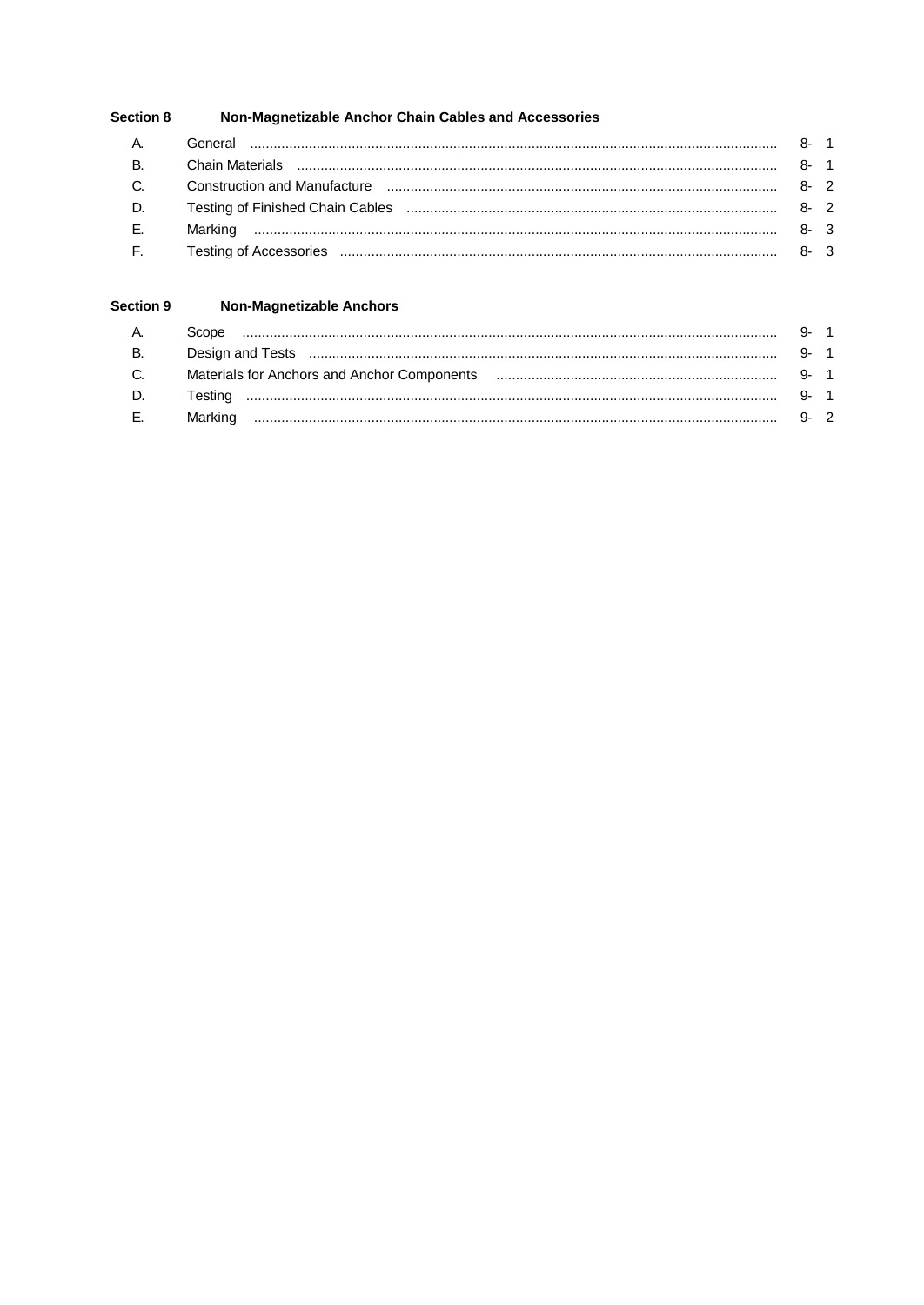#### Non-Magnetizable Anchor Chain Cables and Accessories Section 8

#### Section 9 **Non-Magnetizable Anchors**

| A.        | Scope |  |
|-----------|-------|--|
| <b>B.</b> |       |  |
| C.        |       |  |
| D.        |       |  |
| E.        |       |  |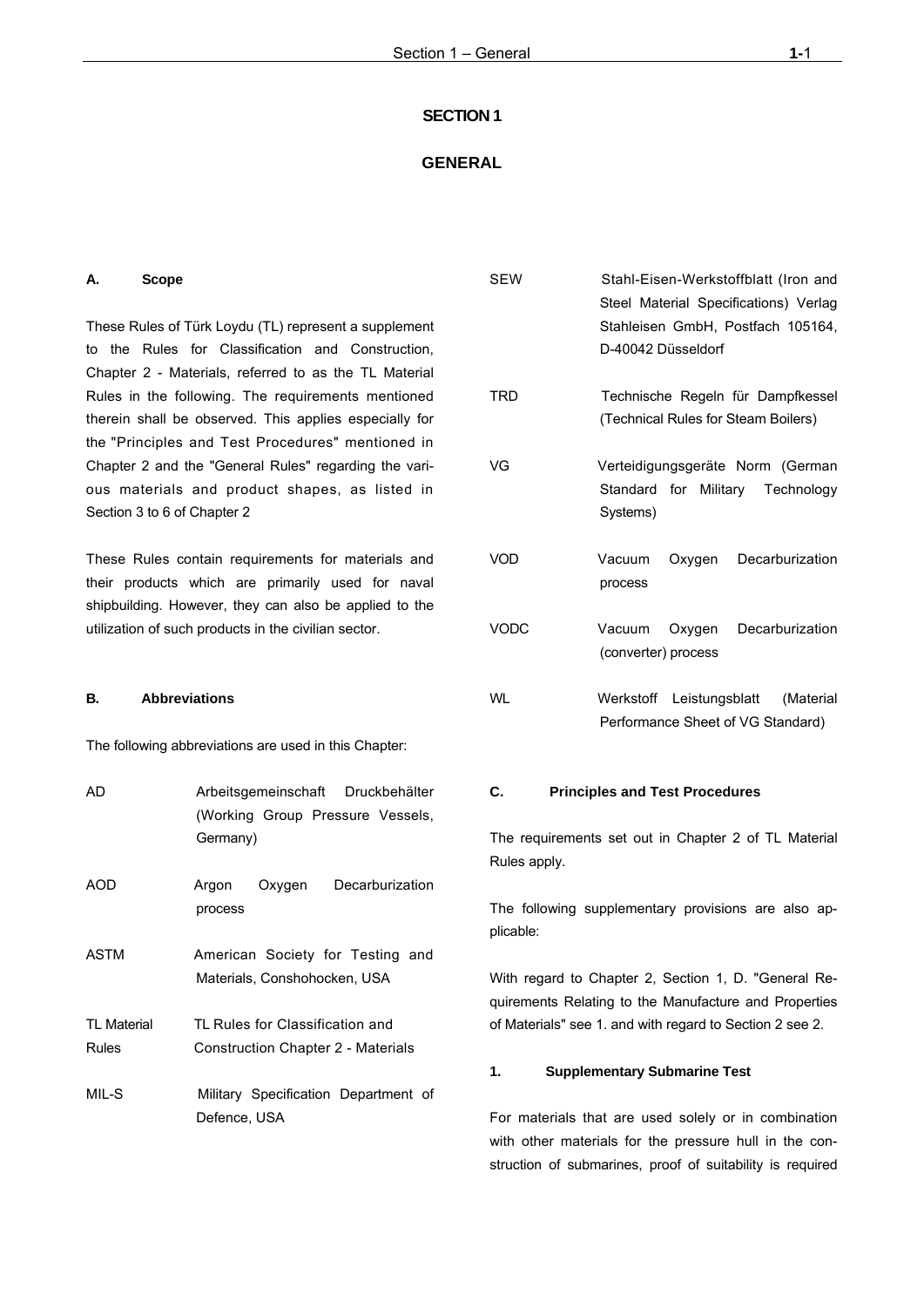#### **SECTION 1**

## **GENERAL**

#### **A. Scope**

These Rules of Türk Loydu (TL) represent a supplement to the Rules for Classification and Construction, Chapter 2 - Materials, referred to as the TL Material Rules in the following. The requirements mentioned therein shall be observed. This applies especially for the "Principles and Test Procedures" mentioned in Chapter 2 and the "General Rules" regarding the various materials and product shapes, as listed in Section 3 to 6 of Chapter 2

These Rules contain requirements for materials and their products which are primarily used for naval shipbuilding. However, they can also be applied to the utilization of such products in the civilian sector.

## **B. Abbreviations**

The following abbreviations are used in this Chapter:

| AD          | Arbeitsgemeinschaft Druckbehälter<br>(Working Group Pressure Vessels,<br>Germany) |  |  |  |
|-------------|-----------------------------------------------------------------------------------|--|--|--|
| AOD         | Oxygen Decarburization<br>Argon<br>process                                        |  |  |  |
| <b>ASTM</b> | American Society for Testing and<br>Materials, Conshohocken, USA                  |  |  |  |
| TI Material | TL Rules for Classification and                                                   |  |  |  |
| Rules       | Construction Chapter 2 - Materials                                                |  |  |  |
| MIL-S       | Military Specification Department of<br>Defence. USA                              |  |  |  |

| <b>SEW</b> | D-40042 Düsseldorf            |        | Stahl-Eisen-Werkstoffblatt (Iron and<br>Steel Material Specifications) Verlag<br>Stahleisen GmbH, Postfach 105164, |
|------------|-------------------------------|--------|--------------------------------------------------------------------------------------------------------------------|
| TRD        |                               |        | Technische Regeln für Dampfkessel<br>(Technical Rules for Steam Boilers)                                           |
| VG         | Systems)                      |        | Verteidigungsgeräte Norm (German<br>Standard for Military Technology                                               |
| VOD        | Vacuum<br>process             | Oxygen | Decarburization                                                                                                    |
| VODC       | Vacuum<br>(converter) process |        | Oxygen Decarburization                                                                                             |
| WI         | Werkstoff Leistungsblatt      |        | (Material<br>Performance Sheet of VG Standard)                                                                     |

## **C. Principles and Test Procedures**

The requirements set out in Chapter 2 of TL Material Rules apply.

The following supplementary provisions are also applicable:

With regard to Chapter 2, Section 1, D. "General Requirements Relating to the Manufacture and Properties of Materials" see 1. and with regard to Section 2 see 2.

#### **1. Supplementary Submarine Test**

For materials that are used solely or in combination with other materials for the pressure hull in the construction of submarines, proof of suitability is required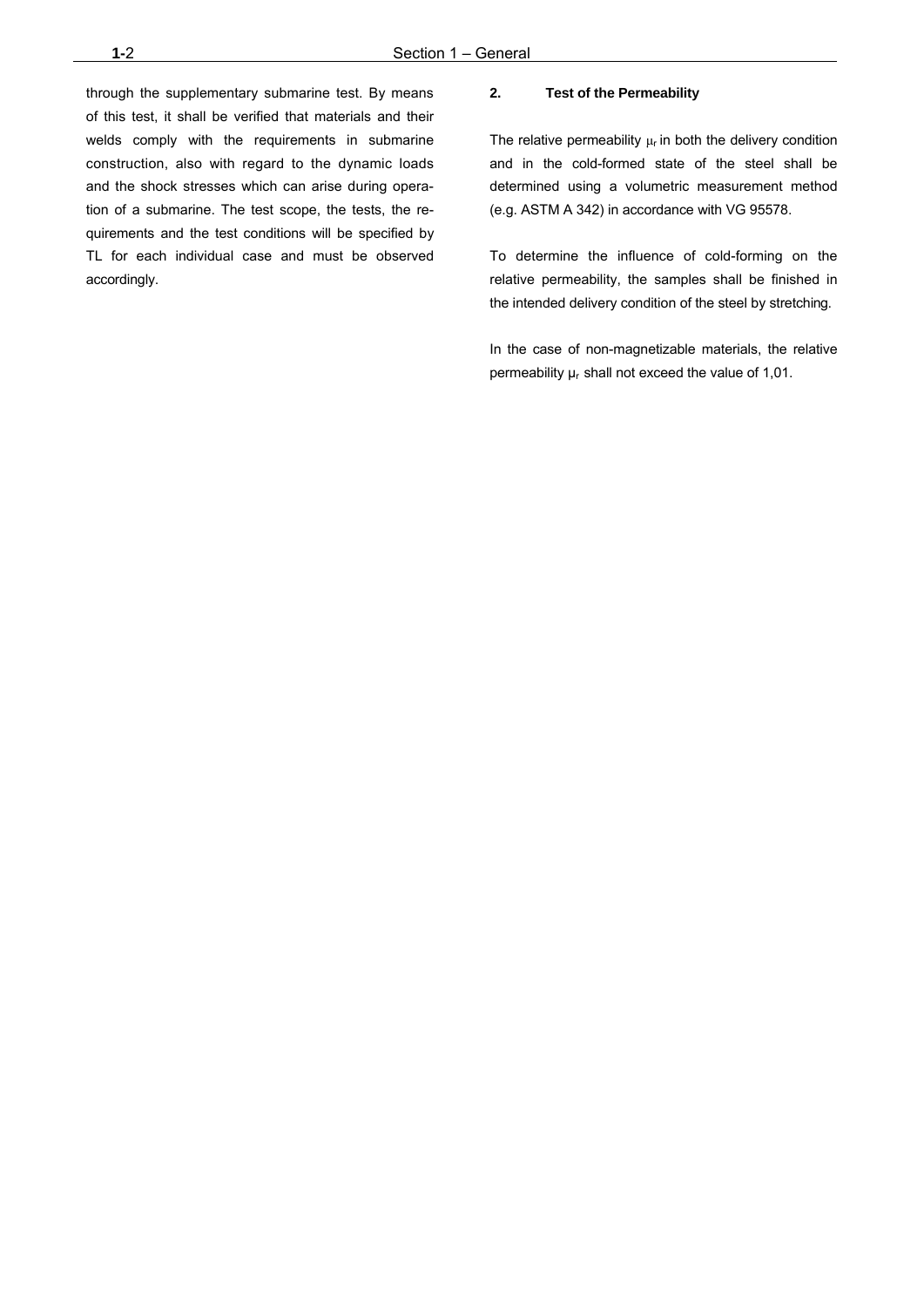through the supplementary submarine test. By means of this test, it shall be verified that materials and their welds comply with the requirements in submarine construction, also with regard to the dynamic loads and the shock stresses which can arise during operation of a submarine. The test scope, the tests, the requirements and the test conditions will be specified by TL for each individual case and must be observed accordingly.

#### **2. Test of the Permeability**

The relative permeability  $\mu_r$  in both the delivery condition and in the cold-formed state of the steel shall be determined using a volumetric measurement method (e.g. ASTM A 342) in accordance with VG 95578.

To determine the influence of cold-forming on the relative permeability, the samples shall be finished in the intended delivery condition of the steel by stretching.

In the case of non-magnetizable materials, the relative permeability  $\mu_r$  shall not exceed the value of 1,01.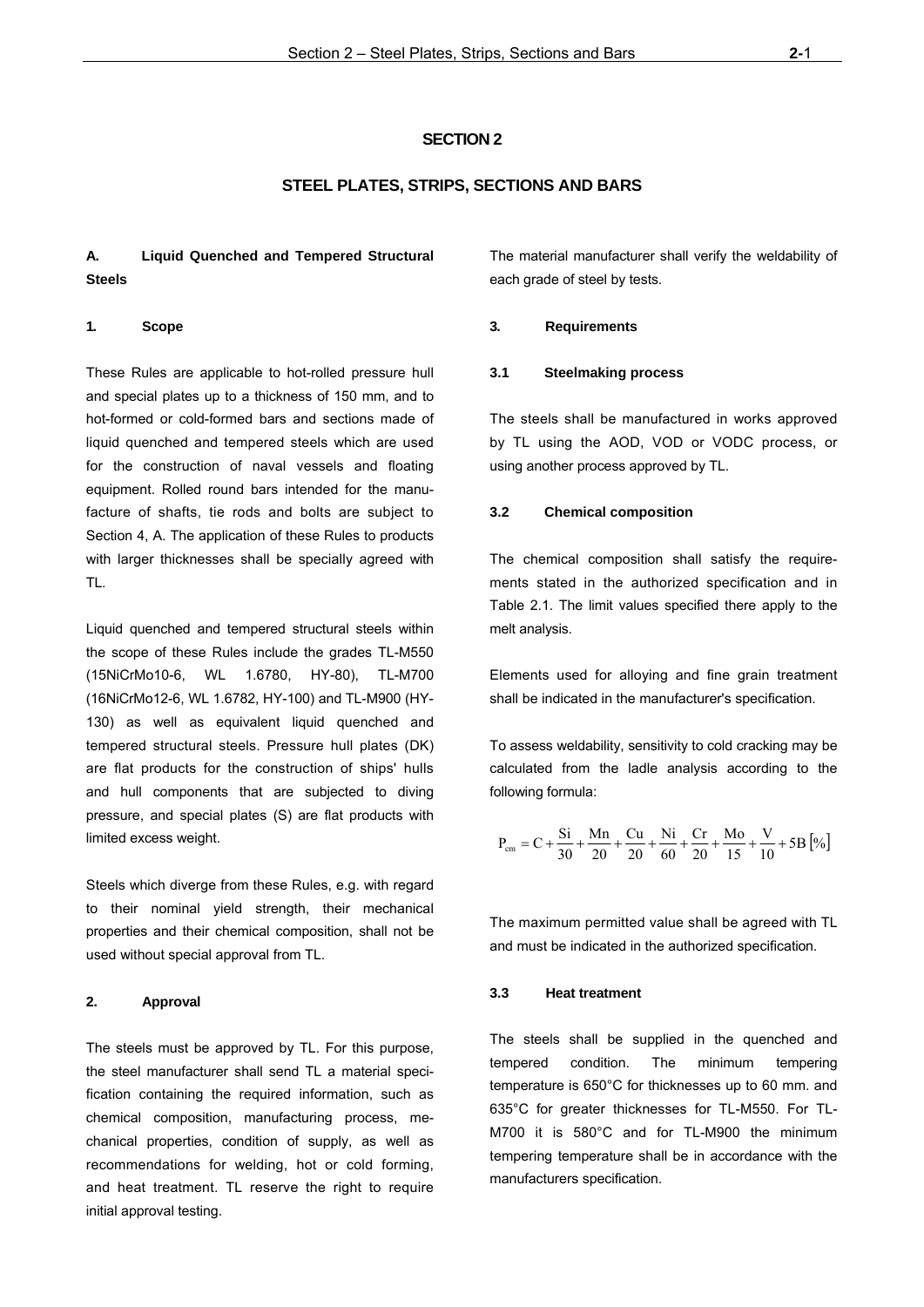#### **SECTION 2**

## **STEEL PLATES, STRIPS, SECTIONS AND BARS**

## **A. Liquid Quenched and Tempered Structural Steels**

#### **1. Scope**

These Rules are applicable to hot-rolled pressure hull and special plates up to a thickness of 150 mm, and to hot-formed or cold-formed bars and sections made of liquid quenched and tempered steels which are used for the construction of naval vessels and floating equipment. Rolled round bars intended for the manufacture of shafts, tie rods and bolts are subject to Section 4, A. The application of these Rules to products with larger thicknesses shall be specially agreed with TL.

Liquid quenched and tempered structural steels within the scope of these Rules include the grades TL-M550 (15NiCrMo10-6, WL 1.6780, HY-80), TL-M700 (16NiCrMo12-6, WL 1.6782, HY-100) and TL-M900 (HY-130) as well as equivalent liquid quenched and tempered structural steels. Pressure hull plates (DK) are flat products for the construction of ships' hulls and hull components that are subjected to diving pressure, and special plates (S) are flat products with limited excess weight.

Steels which diverge from these Rules, e.g. with regard to their nominal yield strength, their mechanical properties and their chemical composition, shall not be used without special approval from TL.

#### **2. Approval**

The steels must be approved by TL. For this purpose, the steel manufacturer shall send TL a material specification containing the required information, such as chemical composition, manufacturing process, mechanical properties, condition of supply, as well as recommendations for welding, hot or cold forming, and heat treatment. TL reserve the right to require initial approval testing.

The material manufacturer shall verify the weldability of each grade of steel by tests.

#### **3. Requirements**

#### **3.1 Steelmaking process**

The steels shall be manufactured in works approved by TL using the AOD, VOD or VODC process, or using another process approved by TL.

#### **3.2 Chemical composition**

The chemical composition shall satisfy the requirements stated in the authorized specification and in Table 2.1. The limit values specified there apply to the melt analysis.

Elements used for alloying and fine grain treatment shall be indicated in the manufacturer's specification.

To assess weldability, sensitivity to cold cracking may be calculated from the ladle analysis according to the following formula:

$$
P_{cm} = C + \frac{Si}{30} + \frac{Mn}{20} + \frac{Cu}{20} + \frac{Ni}{60} + \frac{Cr}{20} + \frac{Mo}{15} + \frac{V}{10} + 5B \left[\% \right]
$$

The maximum permitted value shall be agreed with TL and must be indicated in the authorized specification.

## **3.3 Heat treatment**

The steels shall be supplied in the quenched and tempered condition. The minimum tempering temperature is 650°C for thicknesses up to 60 mm. and 635°C for greater thicknesses for TL-M550. For TL-M700 it is 580°C and for TL-M900 the minimum tempering temperature shall be in accordance with the manufacturers specification.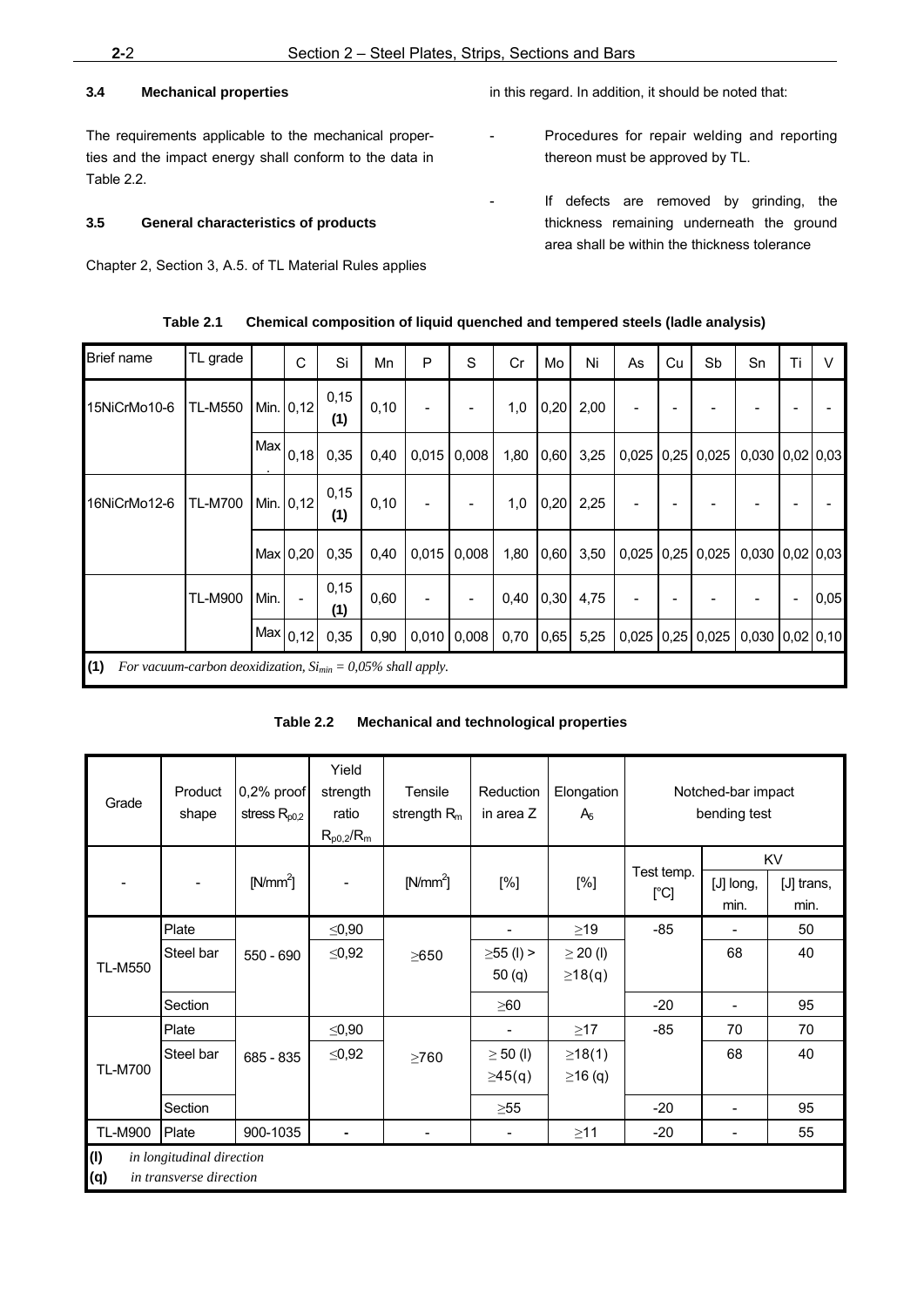## **3.4 Mechanical properties**

The requirements applicable to the mechanical properties and the impact energy shall conform to the data in Table 2.2.

## **3.5 General characteristics of products**

Chapter 2, Section 3, A.5. of TL Material Rules applies

in this regard. In addition, it should be noted that:

- Procedures for repair welding and reporting thereon must be approved by TL.
- If defects are removed by grinding, the thickness remaining underneath the ground area shall be within the thickness tolerance

| <b>Brief name</b>                                                        | TL grade       |      | C               | Si          | Mn    | P     | S     | Cr   | Mo   | Ni   | As | Cu | Sb                 | Sn                                           | Ti | V    |
|--------------------------------------------------------------------------|----------------|------|-----------------|-------------|-------|-------|-------|------|------|------|----|----|--------------------|----------------------------------------------|----|------|
| 15NiCrMo10-6                                                             | <b>TL-M550</b> |      | Min. 0,12       | 0,15<br>(1) | 0, 10 |       |       | 1,0  | 0,20 | 2,00 |    |    |                    |                                              |    |      |
|                                                                          |                |      | $ Max _{0,18} $ | 0,35        | 0,40  | 0,015 | 0,008 | 1,80 | 0,60 | 3,25 |    |    |                    | $0,025$   0,25   0,025   0,030   0,02   0,03 |    |      |
| 16NiCrMo12-6                                                             | <b>TL-M700</b> |      | Min. 0,12       | 0,15<br>(1) | 0, 10 |       |       | 1,0  | 0,20 | 2,25 |    |    |                    |                                              |    |      |
|                                                                          |                |      | Max   0, 20     | 0,35        | 0,40  | 0,015 | 0,008 | 1,80 | 0,60 | 3,50 |    |    |                    | $0,025$   0,25   0,025   0,030   0,02   0,03 |    |      |
|                                                                          | <b>TL-M900</b> | Min. |                 | 0,15<br>(1) | 0,60  |       |       | 0,40 | 0,30 | 4,75 |    |    |                    |                                              |    | 0,05 |
|                                                                          |                |      | Max 0,12        | 0,35        | 0,90  | 0,010 | 0,008 | 0,70 | 0,65 | 5,25 |    |    | $0,025$ 0,25 0,025 | $0,030$ $0,02$ $0,10$                        |    |      |
| (1)<br>For vacuum-carbon deoxidization, $Si_{min} = 0.05\%$ shall apply. |                |      |                 |             |       |       |       |      |      |      |    |    |                    |                                              |    |      |

| Table 2.1 | Chemical composition of liquid quenched and tempered steels (ladle analysis) |  |  |
|-----------|------------------------------------------------------------------------------|--|--|
|           |                                                                              |  |  |

| Table 2.2 | Mechanical and technological properties |
|-----------|-----------------------------------------|
|-----------|-----------------------------------------|

| Grade                                                              | Product<br>shape | 0,2% proof<br>stress $R_{p0,2}$ | Yield<br>strength<br>ratio<br>$R_{p0,2}/R_{m}$ | Tensile<br>strength $Rm$ | Reduction<br>in area Z   | Elongation<br>A <sub>6</sub> |                    | Notched-bar impact<br>bending test |                          |
|--------------------------------------------------------------------|------------------|---------------------------------|------------------------------------------------|--------------------------|--------------------------|------------------------------|--------------------|------------------------------------|--------------------------|
|                                                                    |                  | $[N/mm^2]$                      |                                                | $[N/mm^2]$               | [%]                      | [%]                          | Test temp.<br>[°C] | [J] long,<br>min.                  | KV<br>[J] trans,<br>min. |
|                                                                    | Plate            |                                 | $\leq 0,90$                                    |                          |                          | $\geq$ 19                    | $-85$              |                                    | 50                       |
|                                                                    | Steel bar        | 550 - 690                       | $\leq 0,92$                                    | $\geq 650$               | $\geq$ 55 (l) >          | $\geq$ 20 (l)                |                    | 68                                 | 40                       |
| <b>TL-M550</b>                                                     |                  |                                 |                                                |                          | 50(q)                    | $\geq$ 18(q)                 |                    |                                    |                          |
|                                                                    | Section          |                                 |                                                |                          | $\geq 60$                |                              | $-20$              | -                                  | 95                       |
|                                                                    | Plate            |                                 | ≤ $0,90$                                       |                          |                          | $\geq$ 17                    | $-85$              | 70                                 | 70                       |
|                                                                    | Steel bar        | 685 - 835                       | $≤0,92$                                        | >760                     | $\geq$ 50 (l)            | ≥18(1)                       |                    | 68                                 | 40                       |
| <b>TL-M700</b>                                                     |                  |                                 |                                                |                          | $\geq 45(q)$             | $\geq$ 16 (q)                |                    |                                    |                          |
|                                                                    | Section          |                                 |                                                |                          | $\geq 55$                |                              | $-20$              |                                    | 95                       |
| <b>TL-M900</b>                                                     | Plate            | 900-1035                        |                                                |                          | $\overline{\phantom{a}}$ | $\geq$ 11                    | $-20$              |                                    | 55                       |
| (1)<br>in longitudinal direction<br>in transverse direction<br>(q) |                  |                                 |                                                |                          |                          |                              |                    |                                    |                          |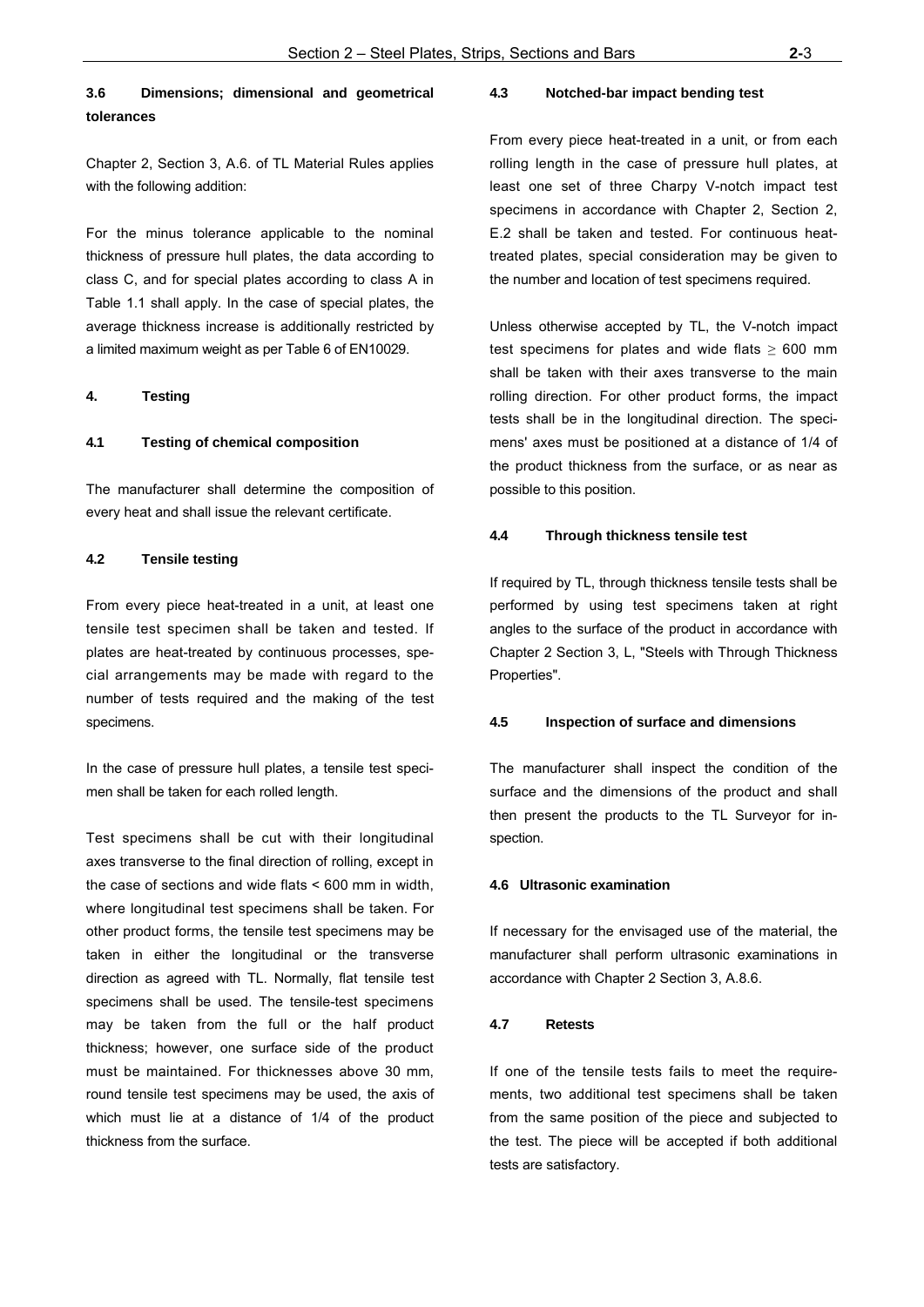## **3.6 Dimensions; dimensional and geometrical tolerances**

For the minus tolerance applicable to the nominal thickness of pressure hull plates, the data according to class C, and for special plates according to class A in Table 1.1 shall apply. In the case of special plates, the average thickness increase is additionally restricted by a limited maximum weight as per Table 6 of EN10029.

#### **4. Testing**

#### **4.1 Testing of chemical composition**

The manufacturer shall determine the composition of every heat and shall issue the relevant certificate.

#### **4.2 Tensile testing**

From every piece heat-treated in a unit, at least one tensile test specimen shall be taken and tested. If plates are heat-treated by continuous processes, special arrangements may be made with regard to the number of tests required and the making of the test specimens.

In the case of pressure hull plates, a tensile test specimen shall be taken for each rolled length.

Test specimens shall be cut with their longitudinal axes transverse to the final direction of rolling, except in the case of sections and wide flats < 600 mm in width, where longitudinal test specimens shall be taken. For other product forms, the tensile test specimens may be taken in either the longitudinal or the transverse direction as agreed with TL. Normally, flat tensile test specimens shall be used. The tensile-test specimens may be taken from the full or the half product thickness; however, one surface side of the product must be maintained. For thicknesses above 30 mm, round tensile test specimens may be used, the axis of which must lie at a distance of 1/4 of the product thickness from the surface.

#### **4.3 Notched-bar impact bending test**

From every piece heat-treated in a unit, or from each rolling length in the case of pressure hull plates, at least one set of three Charpy V-notch impact test specimens in accordance with Chapter 2, Section 2, E.2 shall be taken and tested. For continuous heattreated plates, special consideration may be given to the number and location of test specimens required.

Unless otherwise accepted by TL, the V-notch impact test specimens for plates and wide flats  $\geq 600$  mm shall be taken with their axes transverse to the main rolling direction. For other product forms, the impact tests shall be in the longitudinal direction. The specimens' axes must be positioned at a distance of 1/4 of the product thickness from the surface, or as near as possible to this position.

#### **4.4 Through thickness tensile test**

If required by TL, through thickness tensile tests shall be performed by using test specimens taken at right angles to the surface of the product in accordance with Chapter 2 Section 3, L, "Steels with Through Thickness Properties".

#### **4.5 Inspection of surface and dimensions**

The manufacturer shall inspect the condition of the surface and the dimensions of the product and shall then present the products to the TL Surveyor for inspection.

#### **4.6 Ultrasonic examination**

If necessary for the envisaged use of the material, the manufacturer shall perform ultrasonic examinations in accordance with Chapter 2 Section 3, A.8.6.

#### **4.7 Retests**

If one of the tensile tests fails to meet the requirements, two additional test specimens shall be taken from the same position of the piece and subjected to the test. The piece will be accepted if both additional tests are satisfactory.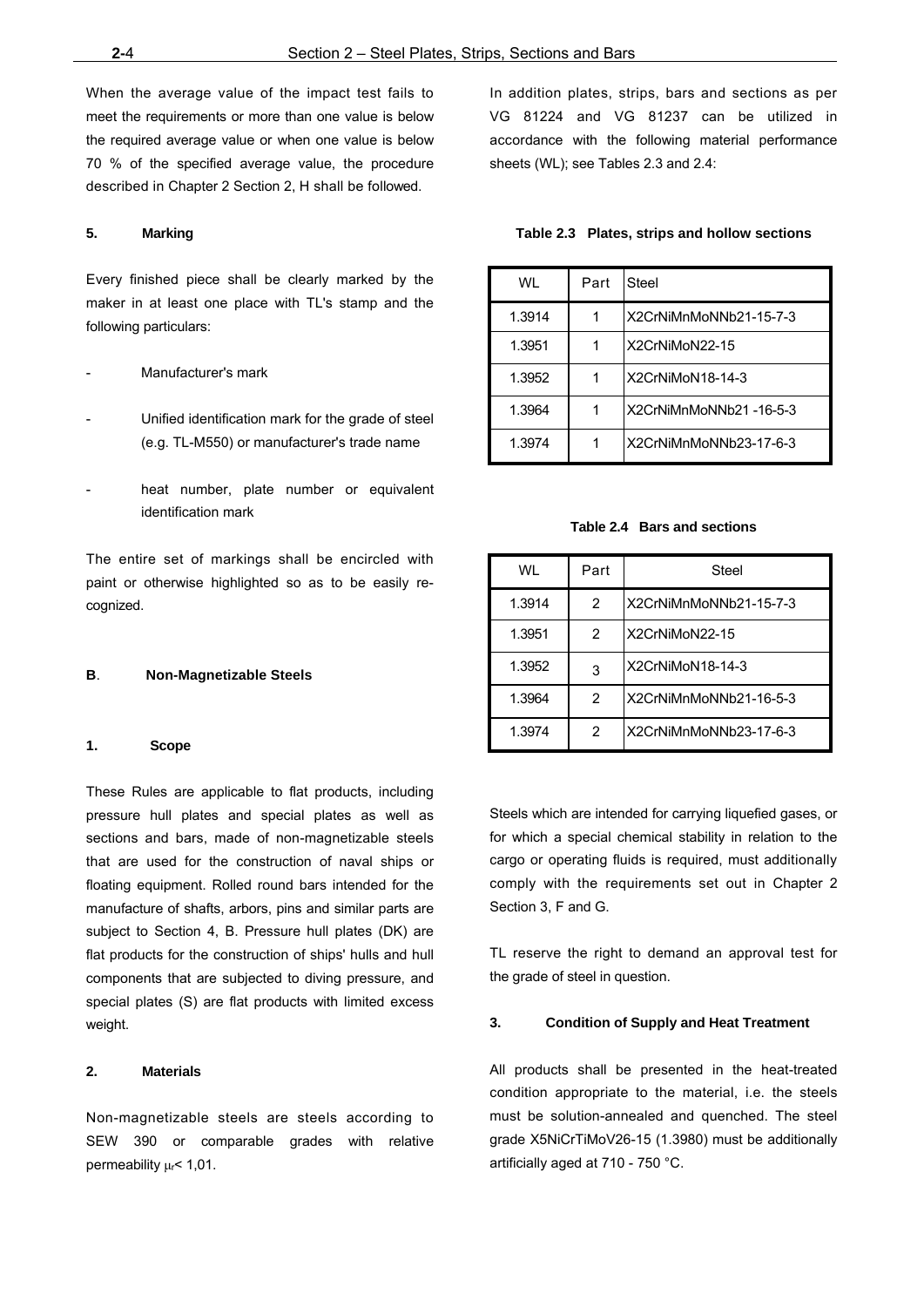When the average value of the impact test fails to meet the requirements or more than one value is below the required average value or when one value is below 70 % of the specified average value, the procedure described in Chapter 2 Section 2, H shall be followed.

#### **5. Marking**

Every finished piece shall be clearly marked by the maker in at least one place with TL's stamp and the following particulars:

#### Manufacturer's mark

- Unified identification mark for the grade of steel (e.g. TL-M550) or manufacturer's trade name
- heat number, plate number or equivalent identification mark

The entire set of markings shall be encircled with paint or otherwise highlighted so as to be easily recognized.

#### **B**. **Non-Magnetizable Steels**

#### **1. Scope**

These Rules are applicable to flat products, including pressure hull plates and special plates as well as sections and bars, made of non-magnetizable steels that are used for the construction of naval ships or floating equipment. Rolled round bars intended for the manufacture of shafts, arbors, pins and similar parts are subject to Section 4, B. Pressure hull plates (DK) are flat products for the construction of ships' hulls and hull components that are subjected to diving pressure, and special plates (S) are flat products with limited excess weight.

#### **2. Materials**

Non-magnetizable steels are steels according to SEW 390 or comparable grades with relative permeability μr< 1,01.

In addition plates, strips, bars and sections as per VG 81224 and VG 81237 can be utilized in accordance with the following material performance sheets (WL); see Tables 2.3 and 2.4:

#### **Table 2.3 Plates, strips and hollow sections**

| WI     | Part | Steel                  |
|--------|------|------------------------|
| 1.3914 |      | X2CrNiMnMoNNb21-15-7-3 |
| 1.3951 |      | X2CrNiMoN22-15         |
| 1.3952 |      | X2CrNiMoN18-14-3       |
| 1.3964 |      | X2CrNiMnMoNNb21-16-5-3 |
| 1.3974 | 1    | X2CrNiMnMoNNb23-17-6-3 |

#### **Table 2.4 Bars and sections**

| WI     | Part | Steel                  |
|--------|------|------------------------|
| 1.3914 | 2    | X2CrNiMnMoNNb21-15-7-3 |
| 1.3951 | 2    | X2CrNiMoN22-15         |
| 1.3952 | 3    | X2CrNiMoN18-14-3       |
| 1.3964 | 2    | X2CrNiMnMoNNb21-16-5-3 |
| 1.3974 | 2    | X2CrNiMnMoNNb23-17-6-3 |

Steels which are intended for carrying liquefied gases, or for which a special chemical stability in relation to the cargo or operating fluids is required, must additionally comply with the requirements set out in Chapter 2 Section 3, F and G.

TL reserve the right to demand an approval test for the grade of steel in question.

#### **3. Condition of Supply and Heat Treatment**

All products shall be presented in the heat-treated condition appropriate to the material, i.e. the steels must be solution-annealed and quenched. The steel grade X5NiCrTiMoV26-15 (1.3980) must be additionally artificially aged at 710 - 750 °C.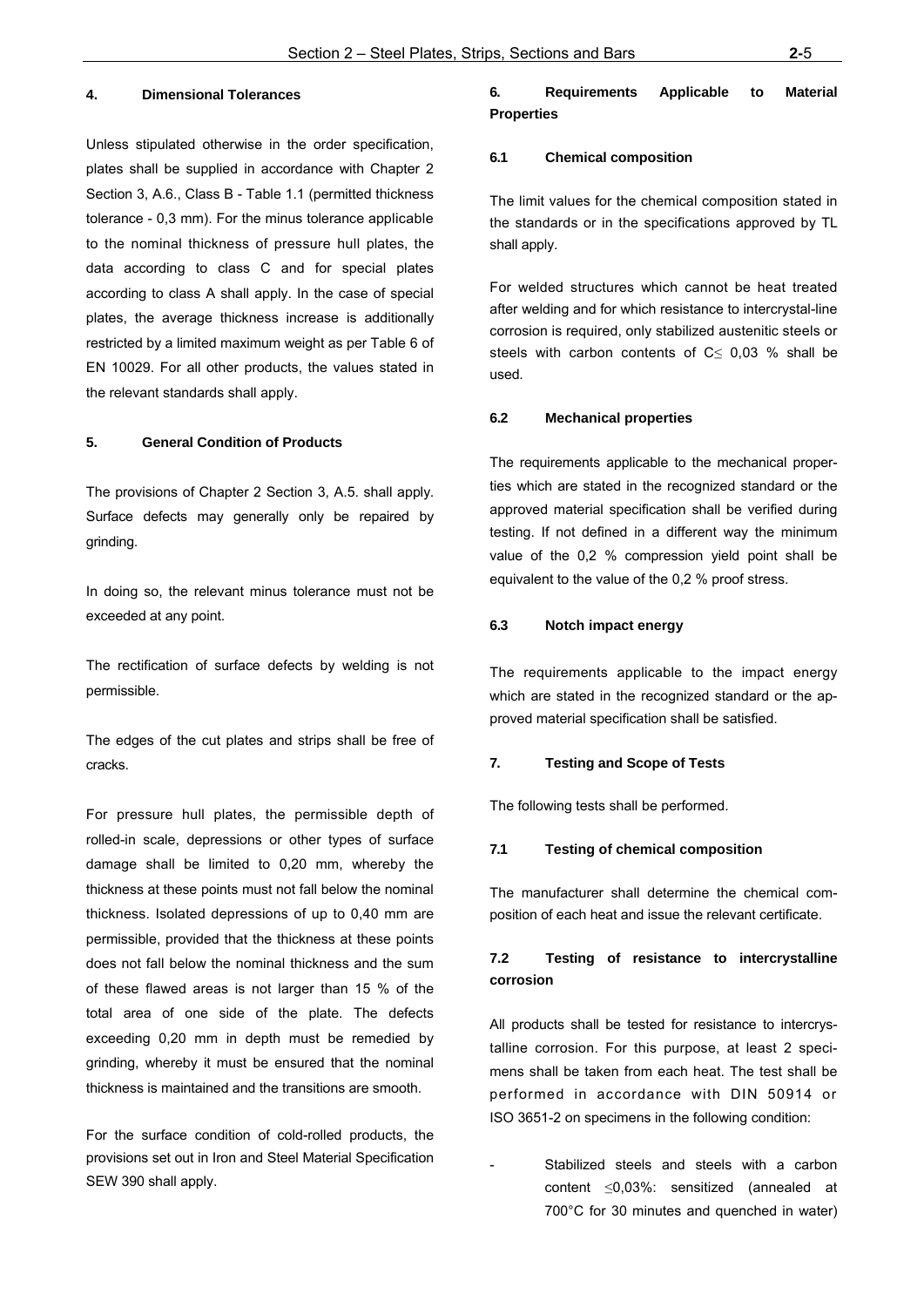## **4. Dimensional Tolerances**

Unless stipulated otherwise in the order specification, plates shall be supplied in accordance with Chapter 2 Section 3, A.6., Class B - Table 1.1 (permitted thickness tolerance - 0,3 mm). For the minus tolerance applicable to the nominal thickness of pressure hull plates, the data according to class C and for special plates according to class A shall apply. In the case of special plates, the average thickness increase is additionally restricted by a limited maximum weight as per Table 6 of EN 10029. For all other products, the values stated in the relevant standards shall apply.

#### **5. General Condition of Products**

The provisions of Chapter 2 Section 3, A.5. shall apply. Surface defects may generally only be repaired by grinding.

In doing so, the relevant minus tolerance must not be exceeded at any point.

The rectification of surface defects by welding is not permissible.

The edges of the cut plates and strips shall be free of cracks.

For pressure hull plates, the permissible depth of rolled-in scale, depressions or other types of surface damage shall be limited to 0,20 mm, whereby the thickness at these points must not fall below the nominal thickness. Isolated depressions of up to 0,40 mm are permissible, provided that the thickness at these points does not fall below the nominal thickness and the sum of these flawed areas is not larger than 15 % of the total area of one side of the plate. The defects exceeding 0,20 mm in depth must be remedied by grinding, whereby it must be ensured that the nominal thickness is maintained and the transitions are smooth.

For the surface condition of cold-rolled products, the provisions set out in Iron and Steel Material Specification SEW 390 shall apply.

## **6. Requirements Applicable to Material Properties**

#### **6.1 Chemical composition**

The limit values for the chemical composition stated in the standards or in the specifications approved by TL shall apply.

For welded structures which cannot be heat treated after welding and for which resistance to intercrystal-line corrosion is required, only stabilized austenitic steels or steels with carbon contents of  $C \leq 0.03$  % shall be used.

#### **6.2 Mechanical properties**

The requirements applicable to the mechanical properties which are stated in the recognized standard or the approved material specification shall be verified during testing. If not defined in a different way the minimum value of the 0,2 % compression yield point shall be equivalent to the value of the 0,2 % proof stress.

### **6.3 Notch impact energy**

The requirements applicable to the impact energy which are stated in the recognized standard or the approved material specification shall be satisfied.

#### **7. Testing and Scope of Tests**

The following tests shall be performed.

#### **7.1 Testing of chemical composition**

The manufacturer shall determine the chemical composition of each heat and issue the relevant certificate.

## **7.2 Testing of resistance to intercrystalline corrosion**

All products shall be tested for resistance to intercrystalline corrosion. For this purpose, at least 2 specimens shall be taken from each heat. The test shall be performed in accordance with DIN 50914 or ISO 3651-2 on specimens in the following condition:

Stabilized steels and steels with a carbon content ≤0,03%: sensitized (annealed at 700°C for 30 minutes and quenched in water)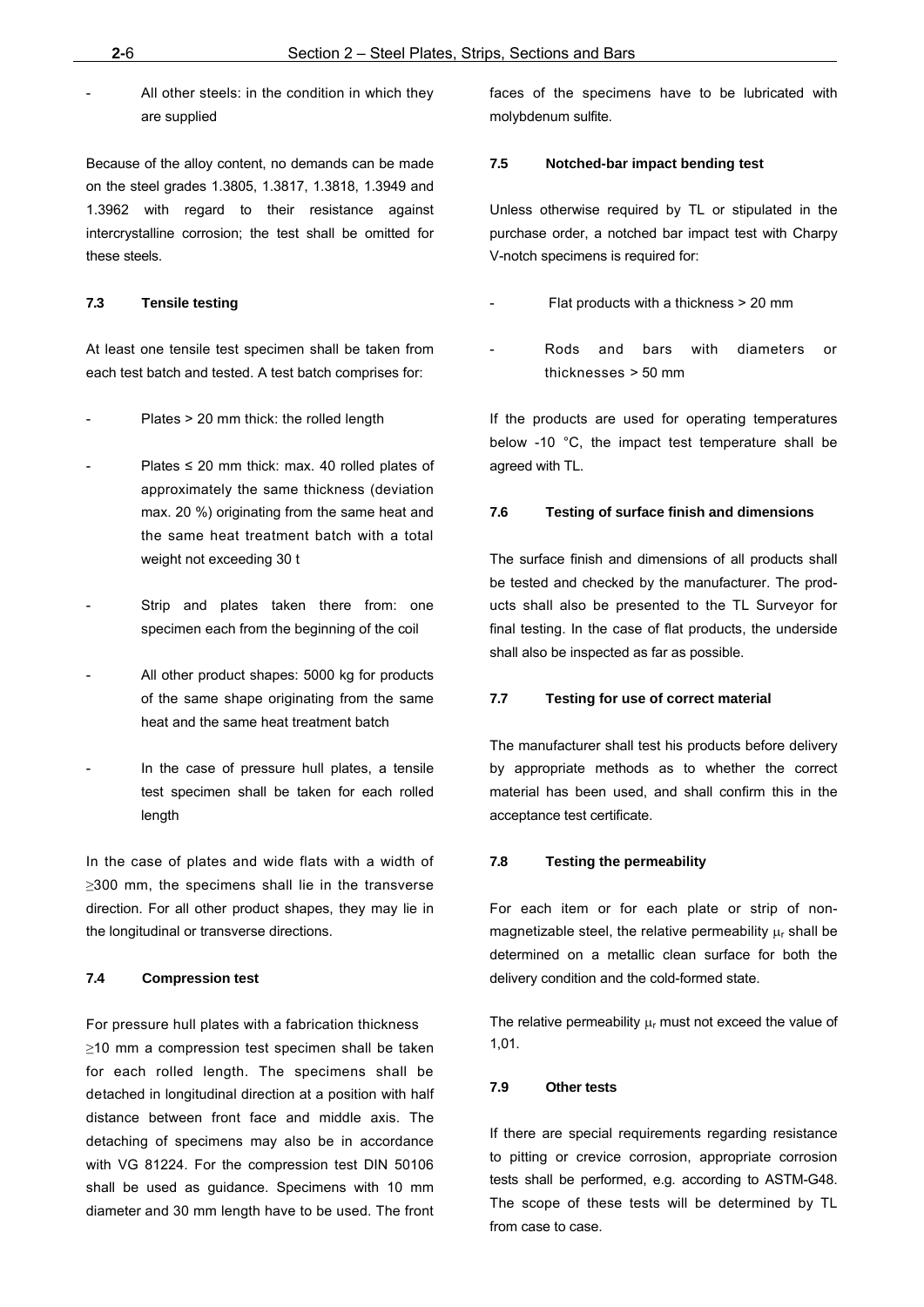All other steels: in the condition in which they are supplied

Because of the alloy content, no demands can be made on the steel grades 1.3805, 1.3817, 1.3818, 1.3949 and 1.3962 with regard to their resistance against intercrystalline corrosion; the test shall be omitted for these steels.

## **7.3 Tensile testing**

At least one tensile test specimen shall be taken from each test batch and tested. A test batch comprises for:

- Plates > 20 mm thick: the rolled length
- Plates  $\leq$  20 mm thick: max. 40 rolled plates of approximately the same thickness (deviation max. 20 %) originating from the same heat and the same heat treatment batch with a total weight not exceeding 30 t
- Strip and plates taken there from: one specimen each from the beginning of the coil
- All other product shapes: 5000 kg for products of the same shape originating from the same heat and the same heat treatment batch
- In the case of pressure hull plates, a tensile test specimen shall be taken for each rolled length

In the case of plates and wide flats with a width of ≥300 mm, the specimens shall lie in the transverse direction. For all other product shapes, they may lie in the longitudinal or transverse directions.

## **7.4 Compression test**

For pressure hull plates with a fabrication thickness ≥10 mm a compression test specimen shall be taken for each rolled length. The specimens shall be detached in longitudinal direction at a position with half distance between front face and middle axis. The detaching of specimens may also be in accordance with VG 81224. For the compression test DIN 50106 shall be used as guidance. Specimens with 10 mm diameter and 30 mm length have to be used. The front faces of the specimens have to be lubricated with molybdenum sulfite.

## **7.5 Notched-bar impact bending test**

Unless otherwise required by TL or stipulated in the purchase order, a notched bar impact test with Charpy V-notch specimens is required for:

- Flat products with a thickness > 20 mm
- Rods and bars with diameters or thicknesses > 50 mm

If the products are used for operating temperatures below -10 °C, the impact test temperature shall be agreed with TL.

#### **7.6 Testing of surface finish and dimensions**

The surface finish and dimensions of all products shall be tested and checked by the manufacturer. The products shall also be presented to the TL Surveyor for final testing. In the case of flat products, the underside shall also be inspected as far as possible.

#### **7.7 Testing for use of correct material**

The manufacturer shall test his products before delivery by appropriate methods as to whether the correct material has been used, and shall confirm this in the acceptance test certificate.

#### **7.8 Testing the permeability**

For each item or for each plate or strip of nonmagnetizable steel, the relative permeability  $\mu_r$  shall be determined on a metallic clean surface for both the delivery condition and the cold-formed state.

The relative permeability  $\mu_r$  must not exceed the value of 1,01.

## **7.9 Other tests**

If there are special requirements regarding resistance to pitting or crevice corrosion, appropriate corrosion tests shall be performed, e.g. according to ASTM-G48. The scope of these tests will be determined by TL from case to case.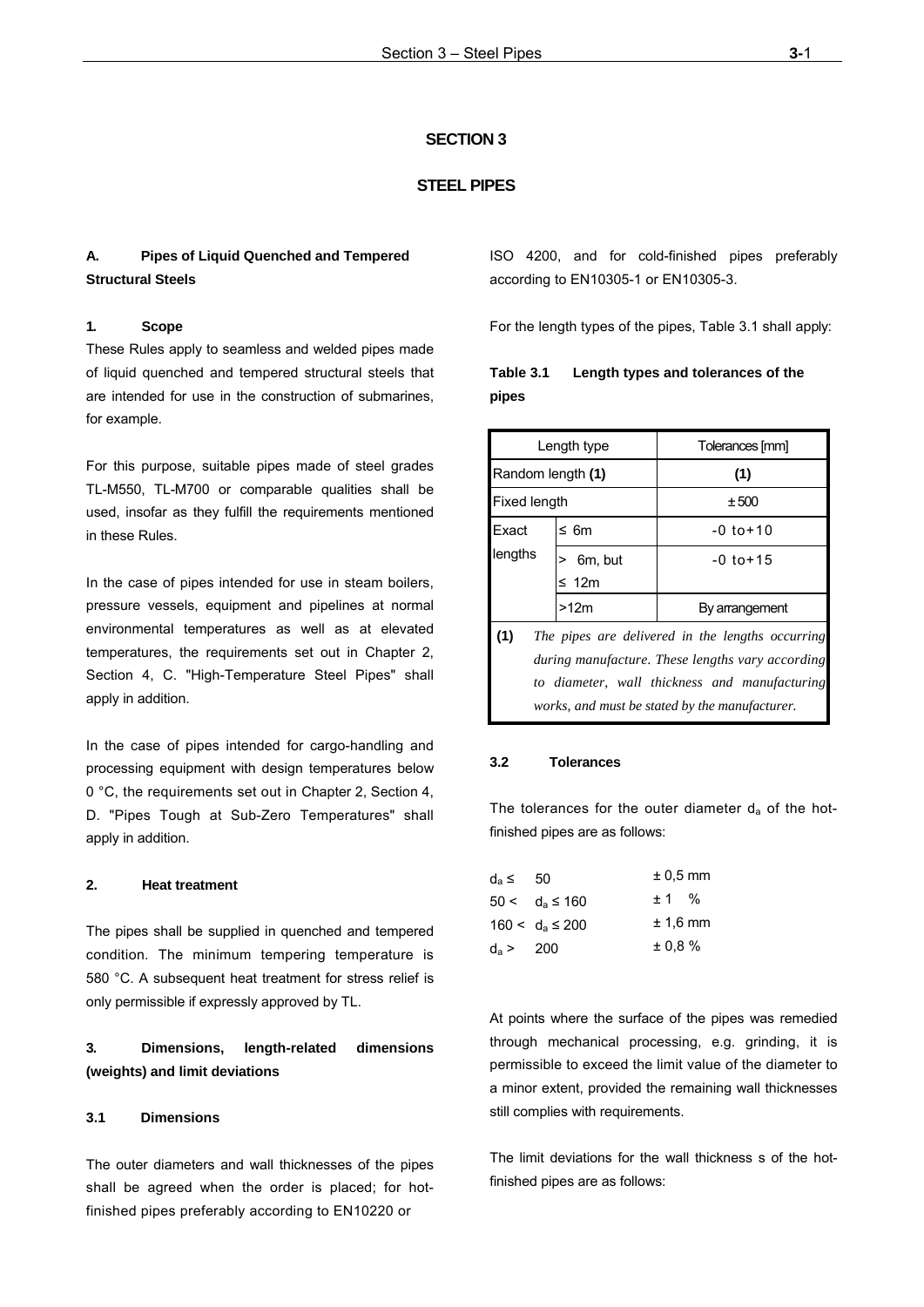## **SECTION 3**

#### **STEEL PIPES**

Г

## **A. Pipes of Liquid Quenched and Tempered Structural Steels**

## **1. Scope**

These Rules apply to seamless and welded pipes made of liquid quenched and tempered structural steels that are intended for use in the construction of submarines, for example.

For this purpose, suitable pipes made of steel grades TL-M550, TL-M700 or comparable qualities shall be used, insofar as they fulfill the requirements mentioned in these Rules.

In the case of pipes intended for use in steam boilers, pressure vessels, equipment and pipelines at normal environmental temperatures as well as at elevated temperatures, the requirements set out in Chapter 2, Section 4, C. "High-Temperature Steel Pipes" shall apply in addition.

In the case of pipes intended for cargo-handling and processing equipment with design temperatures below 0 °C, the requirements set out in Chapter 2, Section 4, D. "Pipes Tough at Sub-Zero Temperatures" shall apply in addition.

#### **2. Heat treatment**

The pipes shall be supplied in quenched and tempered condition. The minimum tempering temperature is 580 °C. A subsequent heat treatment for stress relief is only permissible if expressly approved by TL.

## **3. Dimensions, length-related dimensions (weights) and limit deviations**

## **3.1 Dimensions**

The outer diameters and wall thicknesses of the pipes shall be agreed when the order is placed; for hotfinished pipes preferably according to EN10220 or

ISO 4200, and for cold-finished pipes preferably according to EN10305-1 or EN10305-3.

For the length types of the pipes, Table 3.1 shall apply:

|       | Table 3.1 Length types and tolerances of the |
|-------|----------------------------------------------|
| pipes |                                              |

|                   | Length type           | Tolerances [mm]                                                                                                                                                                                         |
|-------------------|-----------------------|---------------------------------------------------------------------------------------------------------------------------------------------------------------------------------------------------------|
| Random length (1) |                       | (1)                                                                                                                                                                                                     |
| Fixed length      |                       | ±500                                                                                                                                                                                                    |
| Exact             | ≤ 6m                  | $-0$ to $+10$                                                                                                                                                                                           |
| lengths           | 6m, but<br>$\leq 12m$ | $-0$ to $+15$                                                                                                                                                                                           |
|                   | >12m                  | By arrangement                                                                                                                                                                                          |
| (1)               |                       | The pipes are delivered in the lengths occurring<br>during manufacture. These lengths vary according<br>to diameter, wall thickness and manufacturing<br>works, and must be stated by the manufacturer. |

#### **3.2 Tolerances**

The tolerances for the outer diameter  $d_a$  of the hotfinished pipes are as follows:

| d <sub>a</sub> ≤ | 50                   | $± 0.5$ mm |  |
|------------------|----------------------|------------|--|
|                  | $50 < d_a \le 160$   | ± 1 %      |  |
|                  | $160 < d_a \leq 200$ | $± 1.6$ mm |  |
| $d_a > 200$      |                      | ± 0.8 %    |  |

At points where the surface of the pipes was remedied through mechanical processing, e.g. grinding, it is permissible to exceed the limit value of the diameter to a minor extent, provided the remaining wall thicknesses still complies with requirements.

The limit deviations for the wall thickness s of the hotfinished pipes are as follows: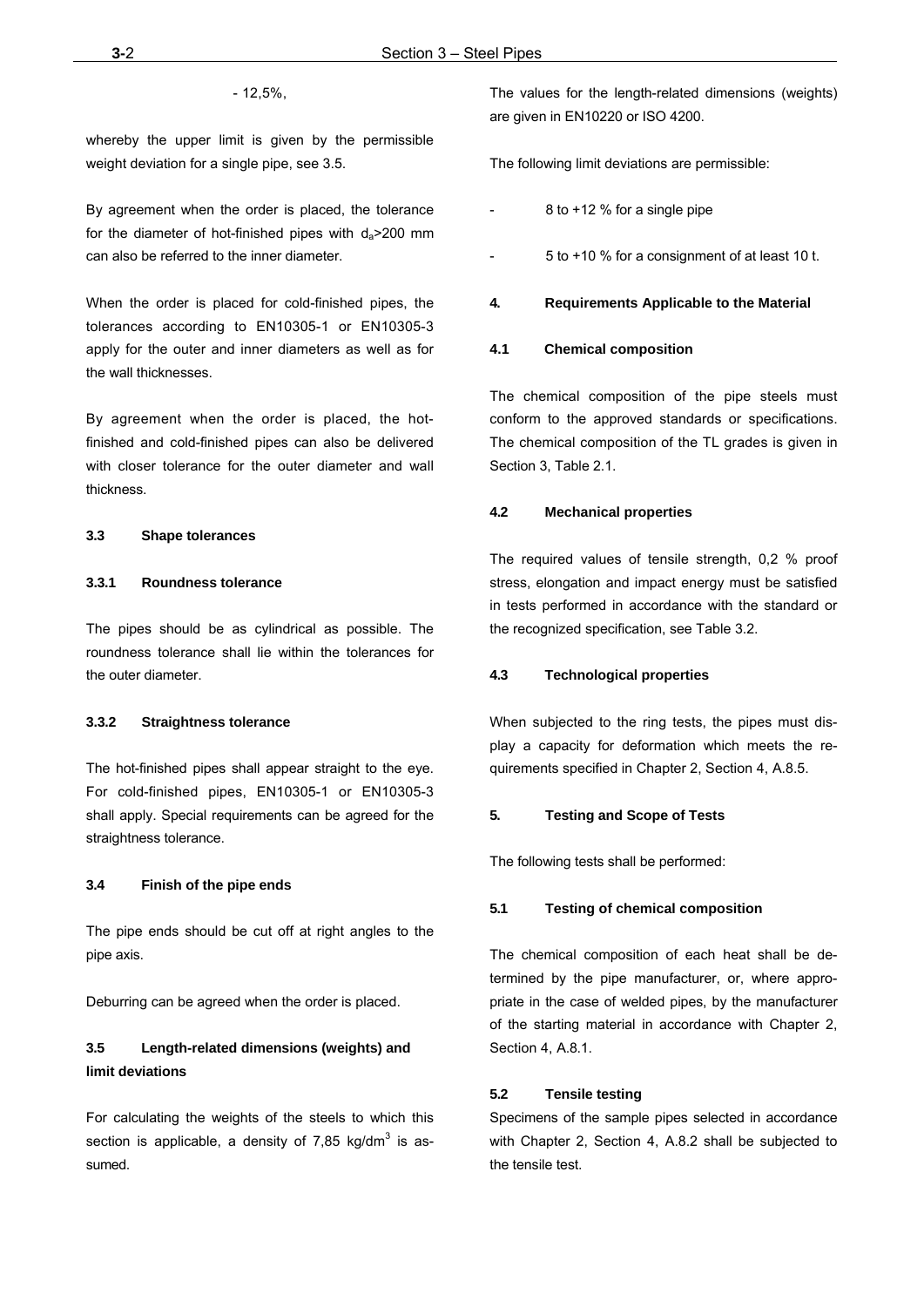- 12,5%,

whereby the upper limit is given by the permissible weight deviation for a single pipe, see 3.5.

By agreement when the order is placed, the tolerance for the diameter of hot-finished pipes with  $d_a > 200$  mm can also be referred to the inner diameter.

When the order is placed for cold-finished pipes, the tolerances according to EN10305-1 or EN10305-3 apply for the outer and inner diameters as well as for the wall thicknesses.

By agreement when the order is placed, the hotfinished and cold-finished pipes can also be delivered with closer tolerance for the outer diameter and wall thickness.

## **3.3 Shape tolerances**

#### **3.3.1 Roundness tolerance**

The pipes should be as cylindrical as possible. The roundness tolerance shall lie within the tolerances for the outer diameter.

#### **3.3.2 Straightness tolerance**

The hot-finished pipes shall appear straight to the eye. For cold-finished pipes, EN10305-1 or EN10305-3 shall apply. Special requirements can be agreed for the straightness tolerance.

#### **3.4 Finish of the pipe ends**

The pipe ends should be cut off at right angles to the pipe axis.

Deburring can be agreed when the order is placed.

## **3.5 Length-related dimensions (weights) and limit deviations**

For calculating the weights of the steels to which this section is applicable, a density of 7,85 kg/dm $^3$  is assumed.

The values for the length-related dimensions (weights) are given in EN10220 or ISO 4200.

The following limit deviations are permissible:

- 8 to +12 % for a single pipe
- 5 to +10 % for a consignment of at least 10 t.

#### **4. Requirements Applicable to the Material**

#### **4.1 Chemical composition**

The chemical composition of the pipe steels must conform to the approved standards or specifications. The chemical composition of the TL grades is given in Section 3, Table 2.1.

#### **4.2 Mechanical properties**

The required values of tensile strength, 0,2 % proof stress, elongation and impact energy must be satisfied in tests performed in accordance with the standard or the recognized specification, see Table 3.2.

#### **4.3 Technological properties**

When subjected to the ring tests, the pipes must display a capacity for deformation which meets the requirements specified in Chapter 2, Section 4, A.8.5.

#### **5. Testing and Scope of Tests**

The following tests shall be performed:

#### **5.1 Testing of chemical composition**

The chemical composition of each heat shall be determined by the pipe manufacturer, or, where appropriate in the case of welded pipes, by the manufacturer of the starting material in accordance with Chapter 2, Section 4, A.8.1.

## **5.2 Tensile testing**

Specimens of the sample pipes selected in accordance with Chapter 2, Section 4, A.8.2 shall be subjected to the tensile test.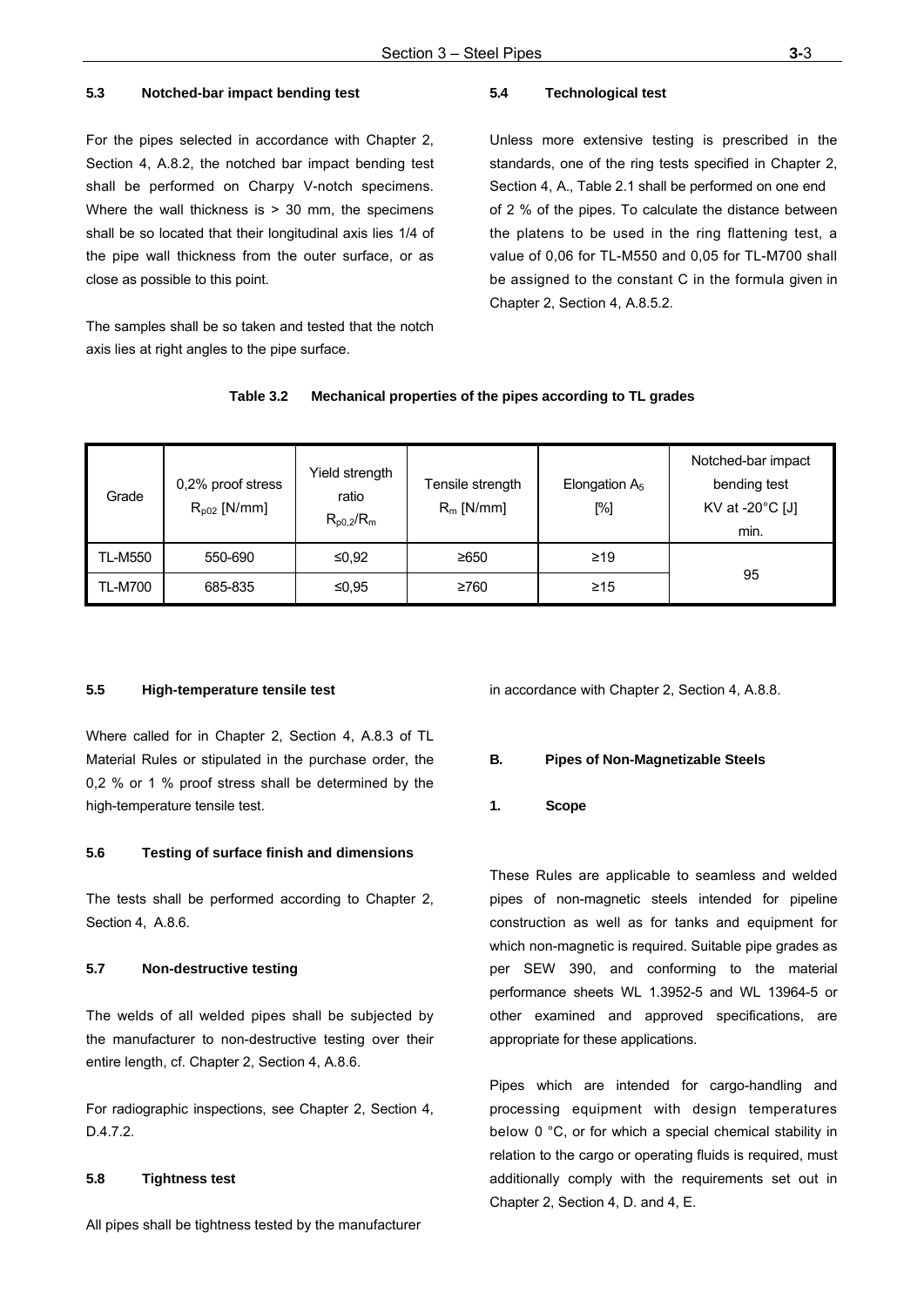#### **5.3 Notched-bar impact bending test**

For the pipes selected in accordance with Chapter 2, Section 4, A.8.2, the notched bar impact bending test shall be performed on Charpy V-notch specimens. Where the wall thickness is  $> 30$  mm, the specimens shall be so located that their longitudinal axis lies 1/4 of the pipe wall thickness from the outer surface, or as close as possible to this point.

The samples shall be so taken and tested that the notch axis lies at right angles to the pipe surface.

## **5.4 Technological test**

Unless more extensive testing is prescribed in the standards, one of the ring tests specified in Chapter 2, Section 4, A., Table 2.1 shall be performed on one end of 2 % of the pipes. To calculate the distance between the platens to be used in the ring flattening test, a value of 0,06 for TL-M550 and 0,05 for TL-M700 shall be assigned to the constant C in the formula given in Chapter 2, Section 4, A.8.5.2.

| Grade          | 0,2% proof stress<br>$R_{p02}$ [N/mm] | Yield strength<br>ratio<br>$R_{p0,2}/R_{m}$ | Tensile strength<br>$R_m$ [N/mm] | Elongation $A_5$<br>[%] | Notched-bar impact<br>bending test<br>KV at -20°C [J]<br>min. |
|----------------|---------------------------------------|---------------------------------------------|----------------------------------|-------------------------|---------------------------------------------------------------|
| <b>TL-M550</b> | 550-690                               | ≤0,92                                       | ≥650                             | $\geq$ 19               |                                                               |
| <b>TL-M700</b> | 685-835                               | ≤0,95                                       | ≥760                             | $\geq 15$               | 95                                                            |

## **Table 3.2 Mechanical properties of the pipes according to TL grades**

#### **5.5 High-temperature tensile test**

Where called for in Chapter 2, Section 4, A.8.3 of TL Material Rules or stipulated in the purchase order, the 0,2 % or 1 % proof stress shall be determined by the high-temperature tensile test.

#### **5.6 Testing of surface finish and dimensions**

The tests shall be performed according to Chapter 2, Section 4, A.8.6.

#### **5.7 Non-destructive testing**

The welds of all welded pipes shall be subjected by the manufacturer to non-destructive testing over their entire length, cf. Chapter 2, Section 4, A.8.6.

For radiographic inspections, see Chapter 2, Section 4, D.4.7.2.

## **5.8 Tightness test**

All pipes shall be tightness tested by the manufacturer

in accordance with Chapter 2, Section 4, A.8.8.

## **B. Pipes of Non-Magnetizable Steels**

#### **1. Scope**

These Rules are applicable to seamless and welded pipes of non-magnetic steels intended for pipeline construction as well as for tanks and equipment for which non-magnetic is required. Suitable pipe grades as per SEW 390, and conforming to the material performance sheets WL 1.3952-5 and WL 13964-5 or other examined and approved specifications, are appropriate for these applications.

Pipes which are intended for cargo-handling and processing equipment with design temperatures below 0 °C, or for which a special chemical stability in relation to the cargo or operating fluids is required, must additionally comply with the requirements set out in Chapter 2, Section 4, D. and 4, E.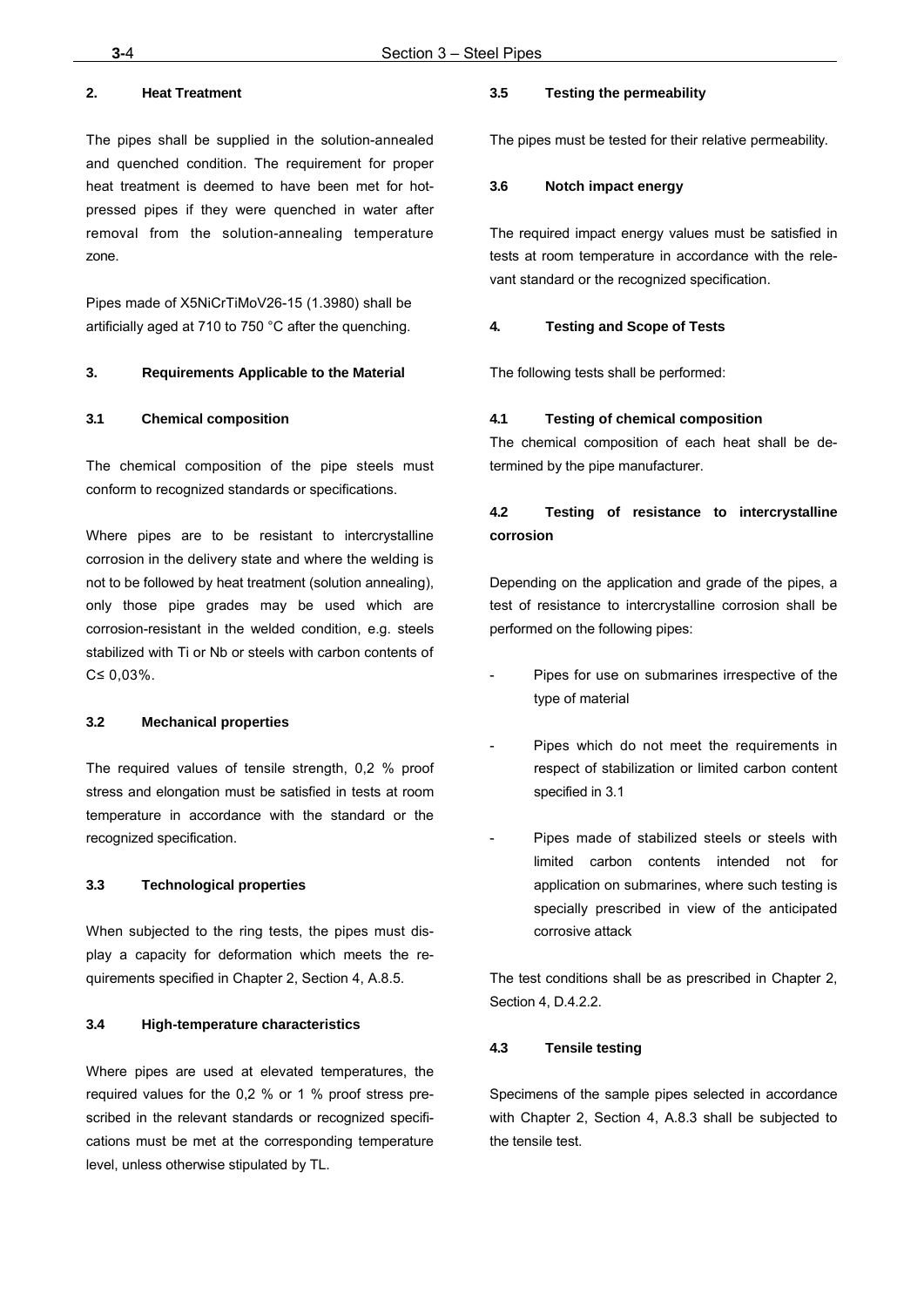## **2. Heat Treatment**

The pipes shall be supplied in the solution-annealed and quenched condition. The requirement for proper heat treatment is deemed to have been met for hotpressed pipes if they were quenched in water after removal from the solution-annealing temperature zone.

Pipes made of X5NiCrTiMoV26-15 (1.3980) shall be artificially aged at 710 to 750 °C after the quenching.

#### **3. Requirements Applicable to the Material**

#### **3.1 Chemical composition**

The chemical composition of the pipe steels must conform to recognized standards or specifications.

Where pipes are to be resistant to intercrystalline corrosion in the delivery state and where the welding is not to be followed by heat treatment (solution annealing), only those pipe grades may be used which are corrosion-resistant in the welded condition, e.g. steels stabilized with Ti or Nb or steels with carbon contents of C≤ 0,03%.

#### **3.2 Mechanical properties**

The required values of tensile strength, 0,2 % proof stress and elongation must be satisfied in tests at room temperature in accordance with the standard or the recognized specification.

#### **3.3 Technological properties**

When subjected to the ring tests, the pipes must display a capacity for deformation which meets the requirements specified in Chapter 2, Section 4, A.8.5.

#### **3.4 High-temperature characteristics**

Where pipes are used at elevated temperatures, the required values for the 0,2 % or 1 % proof stress prescribed in the relevant standards or recognized specifications must be met at the corresponding temperature level, unless otherwise stipulated by TL.

## **3.5 Testing the permeability**

The pipes must be tested for their relative permeability.

#### **3.6 Notch impact energy**

The required impact energy values must be satisfied in tests at room temperature in accordance with the relevant standard or the recognized specification.

#### **4. Testing and Scope of Tests**

The following tests shall be performed:

## **4.1 Testing of chemical composition**

The chemical composition of each heat shall be determined by the pipe manufacturer.

## **4.2 Testing of resistance to intercrystalline corrosion**

Depending on the application and grade of the pipes, a test of resistance to intercrystalline corrosion shall be performed on the following pipes:

- Pipes for use on submarines irrespective of the type of material
- Pipes which do not meet the requirements in respect of stabilization or limited carbon content specified in 3.1
- Pipes made of stabilized steels or steels with limited carbon contents intended not for application on submarines, where such testing is specially prescribed in view of the anticipated corrosive attack

The test conditions shall be as prescribed in Chapter 2, Section 4, D.4.2.2.

#### **4.3 Tensile testing**

Specimens of the sample pipes selected in accordance with Chapter 2, Section 4, A.8.3 shall be subjected to the tensile test.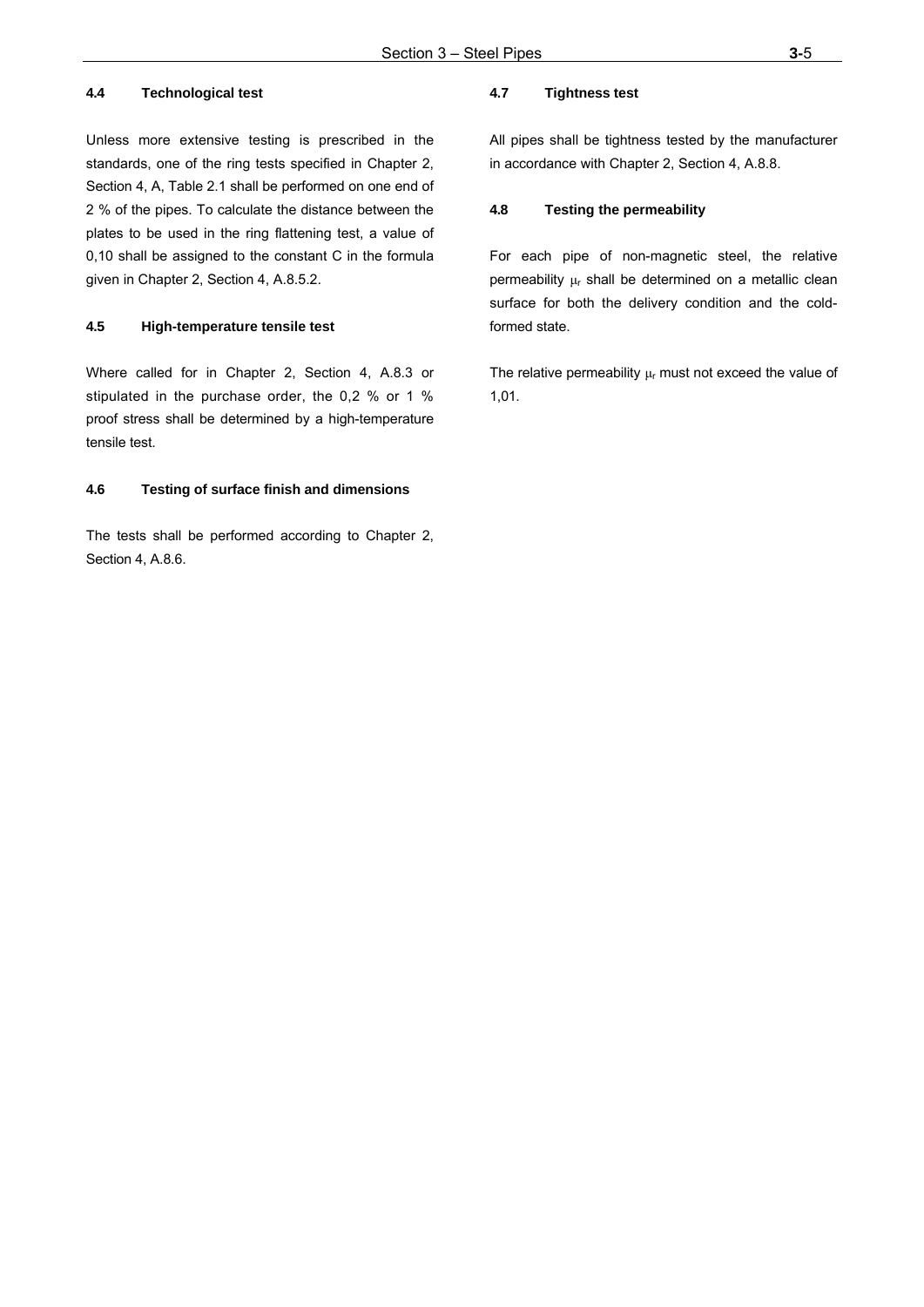## **4.4 Technological test**

Unless more extensive testing is prescribed in the standards, one of the ring tests specified in Chapter 2, Section 4, A, Table 2.1 shall be performed on one end of 2 % of the pipes. To calculate the distance between the plates to be used in the ring flattening test, a value of 0,10 shall be assigned to the constant C in the formula given in Chapter 2, Section 4, A.8.5.2.

#### **4.5 High-temperature tensile test**

Where called for in Chapter 2, Section 4, A.8.3 or stipulated in the purchase order, the 0,2 % or 1 % proof stress shall be determined by a high-temperature tensile test.

## **4.6 Testing of surface finish and dimensions**

The tests shall be performed according to Chapter 2, Section 4, A.8.6.

## **4.7 Tightness test**

All pipes shall be tightness tested by the manufacturer in accordance with Chapter 2, Section 4, A.8.8.

## **4.8 Testing the permeability**

For each pipe of non-magnetic steel, the relative permeability  $\mu_r$  shall be determined on a metallic clean surface for both the delivery condition and the coldformed state.

The relative permeability  $\mu_r$  must not exceed the value of 1,01.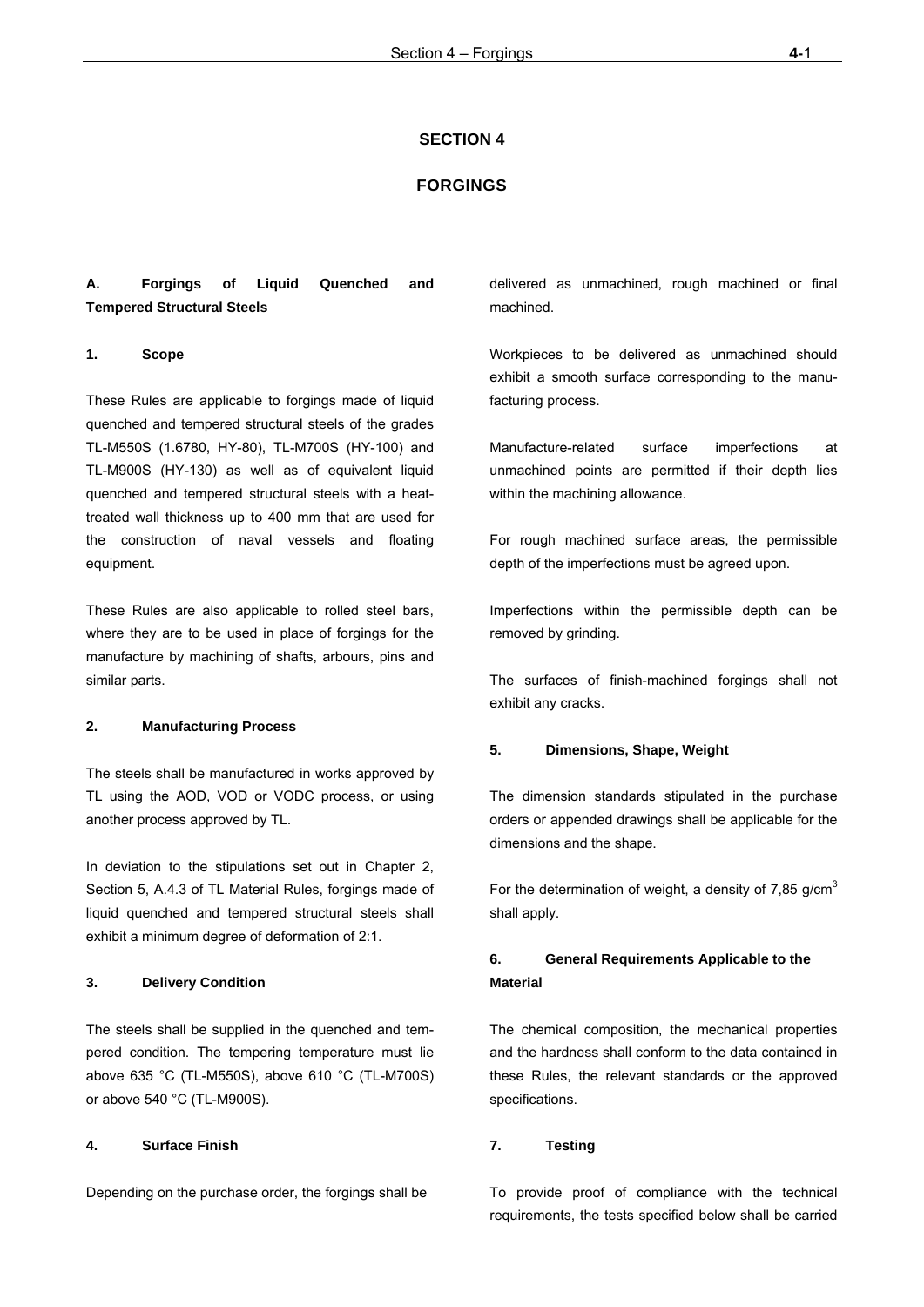#### **SECTION 4**

#### **FORGINGS**

## **A. Forgings of Liquid Quenched and Tempered Structural Steels**

## **1. Scope**

These Rules are applicable to forgings made of liquid quenched and tempered structural steels of the grades TL-M550S (1.6780, HY-80), TL-M700S (HY-100) and TL-M900S (HY-130) as well as of equivalent liquid quenched and tempered structural steels with a heattreated wall thickness up to 400 mm that are used for the construction of naval vessels and floating equipment.

These Rules are also applicable to rolled steel bars, where they are to be used in place of forgings for the manufacture by machining of shafts, arbours, pins and similar parts.

#### **2. Manufacturing Process**

The steels shall be manufactured in works approved by TL using the AOD, VOD or VODC process, or using another process approved by TL.

In deviation to the stipulations set out in Chapter 2, Section 5, A.4.3 of TL Material Rules, forgings made of liquid quenched and tempered structural steels shall exhibit a minimum degree of deformation of 2:1.

#### **3. Delivery Condition**

The steels shall be supplied in the quenched and tempered condition. The tempering temperature must lie above 635 °C (TL-M550S), above 610 °C (TL-M700S) or above 540 °C (TL-M900S).

## **4. Surface Finish**

Depending on the purchase order, the forgings shall be

delivered as unmachined, rough machined or final machined.

Workpieces to be delivered as unmachined should exhibit a smooth surface corresponding to the manufacturing process.

Manufacture-related surface imperfections at unmachined points are permitted if their depth lies within the machining allowance.

For rough machined surface areas, the permissible depth of the imperfections must be agreed upon.

Imperfections within the permissible depth can be removed by grinding.

The surfaces of finish-machined forgings shall not exhibit any cracks.

#### **5. Dimensions, Shape, Weight**

The dimension standards stipulated in the purchase orders or appended drawings shall be applicable for the dimensions and the shape.

For the determination of weight, a density of 7,85 g/cm<sup>3</sup> shall apply.

## **6. General Requirements Applicable to the Material**

The chemical composition, the mechanical properties and the hardness shall conform to the data contained in these Rules, the relevant standards or the approved specifications.

## **7. Testing**

To provide proof of compliance with the technical requirements, the tests specified below shall be carried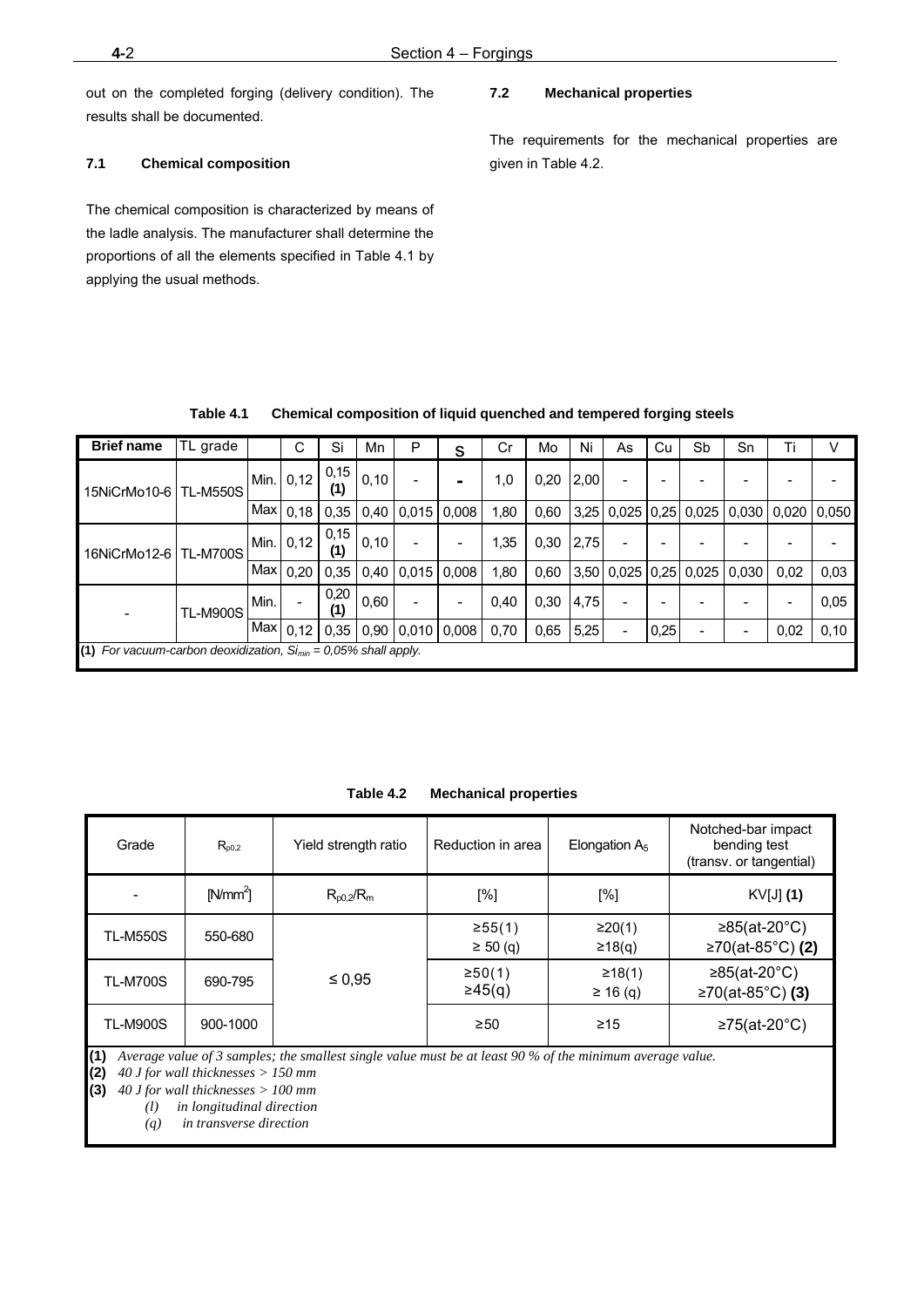out on the completed forging (delivery condition). The results shall be documented.

## **7.1 Chemical composition**

The chemical composition is characterized by means of the ladle analysis. The manufacturer shall determine the proportions of all the elements specified in Table 4.1 by applying the usual methods.

## **7.2 Mechanical properties**

The requirements for the mechanical properties are given in Table 4.2.

| <b>Brief name</b>                                                     | TL grade        |      | С                        | Si          | Mn    | P     | S                        | Cr   | Mo   | Ni   | As | Cu   | Sb                          | Sn    | Ti    |       |
|-----------------------------------------------------------------------|-----------------|------|--------------------------|-------------|-------|-------|--------------------------|------|------|------|----|------|-----------------------------|-------|-------|-------|
| 15NiCrMo10-6   TL-M550S                                               |                 | Min. | 0,12                     | 0,15<br>(1) | 0,10  |       | $\blacksquare$           | 1,0  | 0,20 | 2,00 |    |      |                             |       |       |       |
|                                                                       |                 | Max  | 0,18                     | 0.35        | 0,40  | 0,015 | 0.008                    | 1,80 | 0,60 | 3.25 |    |      | $0.025$ $0.25$ $0.025$      | 0,030 | 0.020 | 0.050 |
| 16NiCrMo12-6   TL-M700S                                               |                 | Min. | 0,12                     | 0,15<br>(1) | 0, 10 |       |                          | 1,35 | 0,30 | 2,75 |    |      |                             |       |       |       |
|                                                                       |                 | Max  | 0.20                     | 0.35        | 0,40  | 0.015 | 0,008                    | 1,80 | 0,60 |      |    |      | 3,50   0,025   0,25   0,025 | 0.030 | 0,02  | 0,03  |
|                                                                       | <b>TL-M900S</b> | Min. | $\overline{\phantom{0}}$ | 0,20<br>(1) | 0,60  |       | $\overline{\phantom{a}}$ | 0,40 | 0,30 | 4,75 |    |      |                             |       | -     | 0,05  |
|                                                                       |                 | Max  | 0,12                     | 0.35        | 0.90  |       | $0,010$ 0,008            | 0,70 | 0.65 | 5,25 |    | 0,25 |                             |       | 0,02  | 0,10  |
| (1) For vacuum-carbon deoxidization, $Si_{min} = 0.05\%$ shall apply. |                 |      |                          |             |       |       |                          |      |      |      |    |      |                             |       |       |       |

| Table 4.1 |  |  |  |  |  | <b>Chemical composition of liquid quenched and tempered forging steels</b> |
|-----------|--|--|--|--|--|----------------------------------------------------------------------------|
|-----------|--|--|--|--|--|----------------------------------------------------------------------------|

| Table 4.2 | <b>Mechanical properties</b> |  |
|-----------|------------------------------|--|
|-----------|------------------------------|--|

| Grade           | $R_{p0,2}$ | Yield strength ratio                                                                                        | Reduction in area       | Elongation $A_5$        | Notched-bar impact<br>bending test<br>(transy. or tangential) |
|-----------------|------------|-------------------------------------------------------------------------------------------------------------|-------------------------|-------------------------|---------------------------------------------------------------|
|                 | $[N/mm^2]$ | $R_{p0.2}/R_m$                                                                                              | [%]                     | [%]                     | $KV[J]$ (1)                                                   |
| <b>TL-M550S</b> | 550-680    |                                                                                                             | ≥55(1)<br>$\geq 50$ (q) | ≥20(1)<br>≥18(q)        | ≥85(at-20 $^{\circ}$ C)<br>≥70(at-85°C) (2)                   |
| <b>TL-M700S</b> | 690-795    | $\leq 0.95$                                                                                                 | ≥50(1)<br>$\geq 45(q)$  | ≥18(1)<br>$\geq 16$ (q) | ≥85(at-20 $^{\circ}$ C)<br>≥70(at-85°C) (3)                   |
| <b>TL-M900S</b> | 900-1000   | (4) Average value of 2 campion the emallert single value must be at least 00 % of the minimum groves evalue | $\geq 50$               | $\geq 15$               | ≥75(at-20 $^{\circ}$ C)                                       |

**(1)** *Average value of 3 samples; the smallest single value must be at least 90 % of the minimum average value.* 

**(2)** *40 J for wall thicknesses > 150 mm* 

**(3)** *40 J for wall thicknesses > 100 mm* 

*(l) in longitudinal direction* 

 *(q) in transverse direction*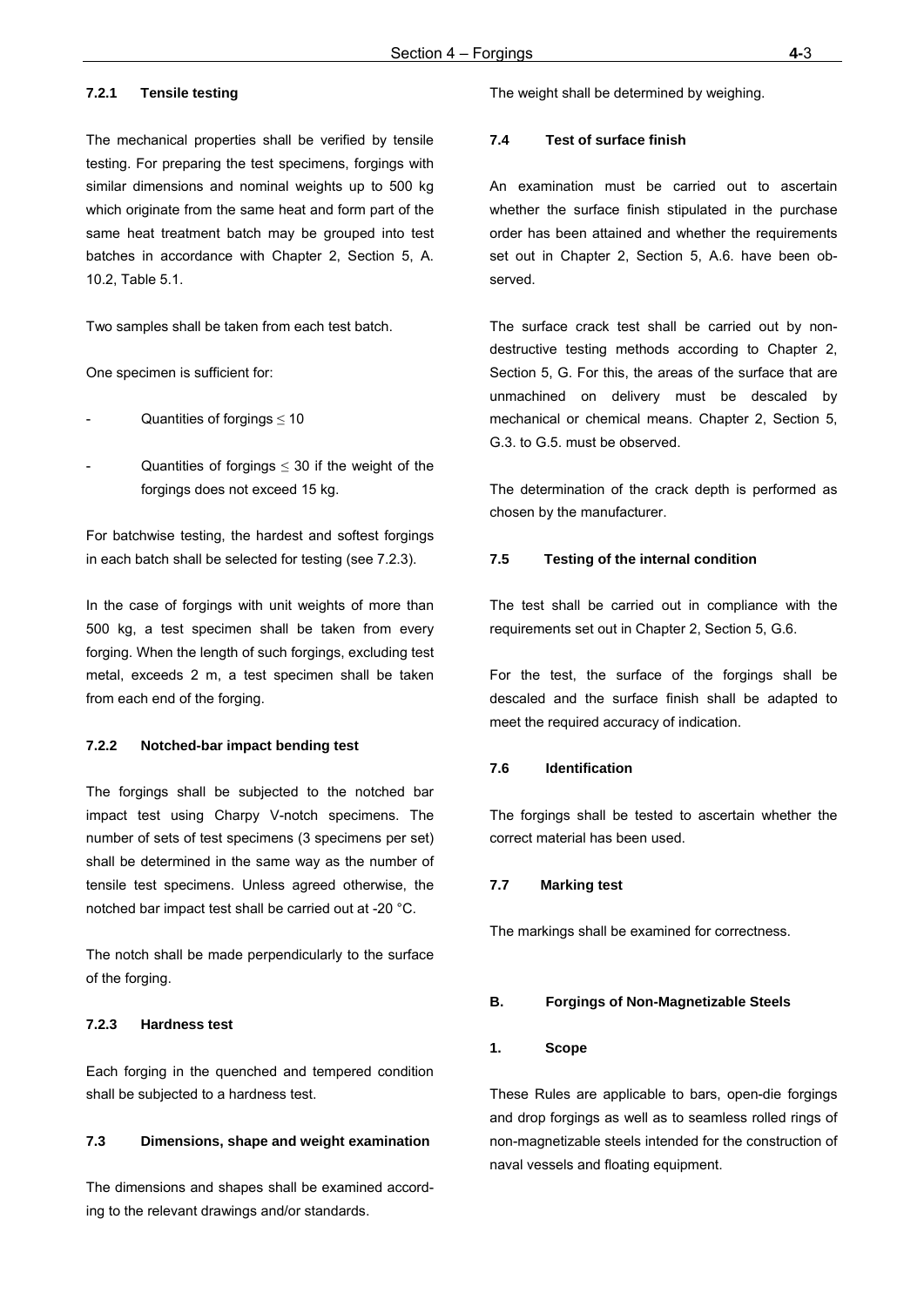## **7.2.1 Tensile testing**

The mechanical properties shall be verified by tensile testing. For preparing the test specimens, forgings with similar dimensions and nominal weights up to 500 kg which originate from the same heat and form part of the same heat treatment batch may be grouped into test batches in accordance with Chapter 2, Section 5, A. 10.2, Table 5.1.

Two samples shall be taken from each test batch.

One specimen is sufficient for:

- Quantities of forgings  $\leq 10$
- Quantities of forgings  $\leq$  30 if the weight of the forgings does not exceed 15 kg.

For batchwise testing, the hardest and softest forgings in each batch shall be selected for testing (see 7.2.3).

In the case of forgings with unit weights of more than 500 kg, a test specimen shall be taken from every forging. When the length of such forgings, excluding test metal, exceeds 2 m, a test specimen shall be taken from each end of the forging.

#### **7.2.2 Notched-bar impact bending test**

The forgings shall be subjected to the notched bar impact test using Charpy V-notch specimens. The number of sets of test specimens (3 specimens per set) shall be determined in the same way as the number of tensile test specimens. Unless agreed otherwise, the notched bar impact test shall be carried out at -20 °C.

The notch shall be made perpendicularly to the surface of the forging.

#### **7.2.3 Hardness test**

Each forging in the quenched and tempered condition shall be subjected to a hardness test.

#### **7.3 Dimensions, shape and weight examination**

The dimensions and shapes shall be examined according to the relevant drawings and/or standards.

The weight shall be determined by weighing.

#### **7.4 Test of surface finish**

An examination must be carried out to ascertain whether the surface finish stipulated in the purchase order has been attained and whether the requirements set out in Chapter 2, Section 5, A.6. have been observed.

The surface crack test shall be carried out by nondestructive testing methods according to Chapter 2, Section 5, G. For this, the areas of the surface that are unmachined on delivery must be descaled by mechanical or chemical means. Chapter 2, Section 5, G.3. to G.5. must be observed.

The determination of the crack depth is performed as chosen by the manufacturer.

#### **7.5 Testing of the internal condition**

The test shall be carried out in compliance with the requirements set out in Chapter 2, Section 5, G.6.

For the test, the surface of the forgings shall be descaled and the surface finish shall be adapted to meet the required accuracy of indication.

#### **7.6 Identification**

The forgings shall be tested to ascertain whether the correct material has been used.

#### **7.7 Marking test**

The markings shall be examined for correctness.

## **B. Forgings of Non-Magnetizable Steels**

#### **1. Scope**

These Rules are applicable to bars, open-die forgings and drop forgings as well as to seamless rolled rings of non-magnetizable steels intended for the construction of naval vessels and floating equipment.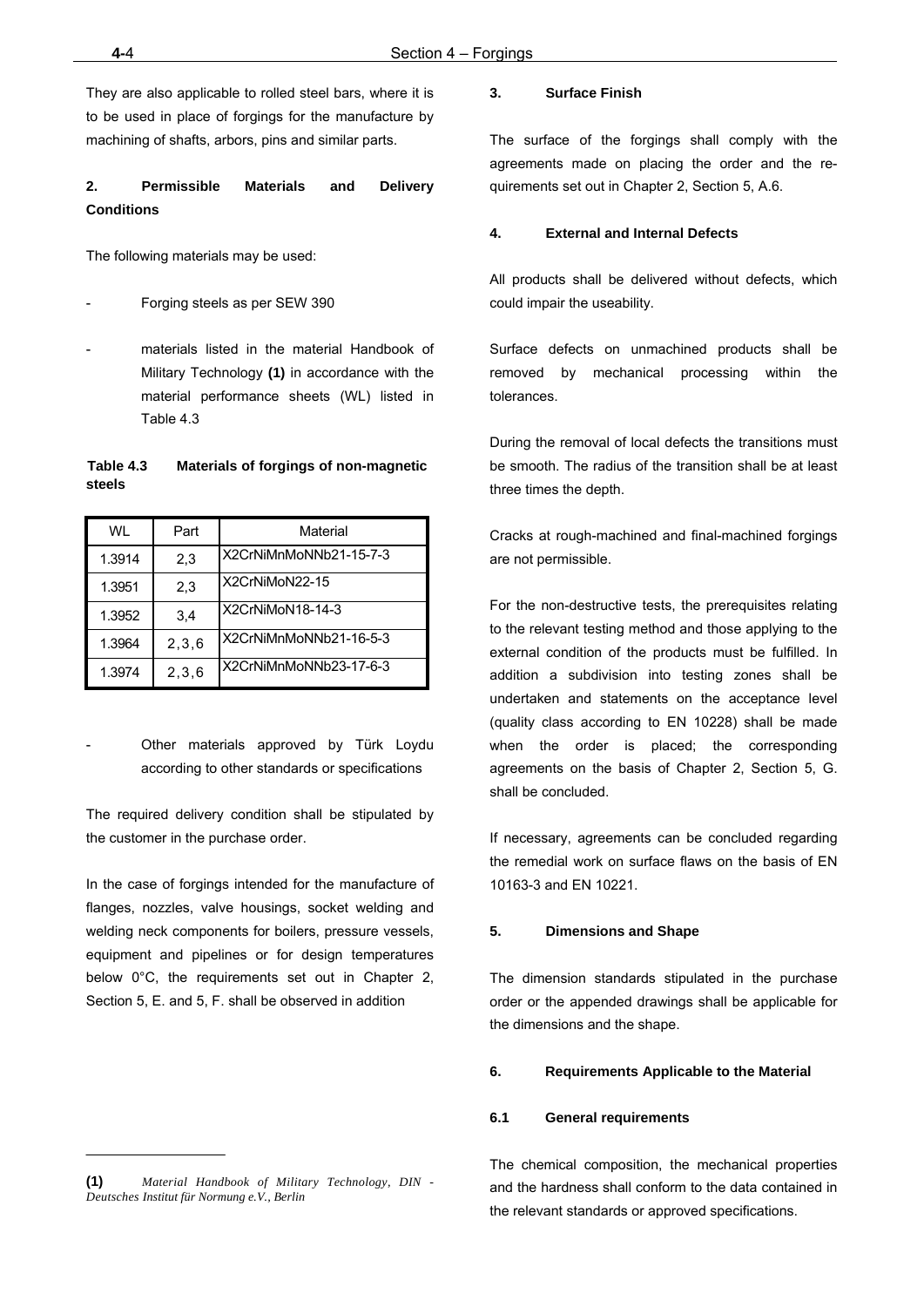They are also applicable to rolled steel bars, where it is to be used in place of forgings for the manufacture by machining of shafts, arbors, pins and similar parts.

## **2. Permissible Materials and Delivery Conditions**

The following materials may be used:

- Forging steels as per SEW 390
- materials listed in the material Handbook of Military Technology **(1)** in accordance with the material performance sheets (WL) listed in Table 4.3

## **Table 4.3 Materials of forgings of non-magnetic steels**

| WI     | Part  | Material               |
|--------|-------|------------------------|
| 1.3914 | 2,3   | X2CrNiMnMoNNb21-15-7-3 |
| 1.3951 | 2,3   | X2CrNiMoN22-15         |
| 1.3952 | 3,4   | X2CrNiMoN18-14-3       |
| 1.3964 | 2,3,6 | X2CrNiMnMoNNb21-16-5-3 |
| 1.3974 | 2,3,6 | X2CrNiMnMoNNb23-17-6-3 |

Other materials approved by Türk Loydu according to other standards or specifications

The required delivery condition shall be stipulated by the customer in the purchase order.

In the case of forgings intended for the manufacture of flanges, nozzles, valve housings, socket welding and welding neck components for boilers, pressure vessels, equipment and pipelines or for design temperatures below 0°C, the requirements set out in Chapter 2, Section 5, E. and 5, F. shall be observed in addition

## **3. Surface Finish**

The surface of the forgings shall comply with the agreements made on placing the order and the requirements set out in Chapter 2, Section 5, A.6.

## **4. External and Internal Defects**

All products shall be delivered without defects, which could impair the useability.

Surface defects on unmachined products shall be removed by mechanical processing within the tolerances.

During the removal of local defects the transitions must be smooth. The radius of the transition shall be at least three times the depth.

Cracks at rough-machined and final-machined forgings are not permissible.

For the non-destructive tests, the prerequisites relating to the relevant testing method and those applying to the external condition of the products must be fulfilled. In addition a subdivision into testing zones shall be undertaken and statements on the acceptance level (quality class according to EN 10228) shall be made when the order is placed; the corresponding agreements on the basis of Chapter 2, Section 5, G. shall be concluded.

If necessary, agreements can be concluded regarding the remedial work on surface flaws on the basis of EN 10163-3 and EN 10221.

#### **5. Dimensions and Shape**

The dimension standards stipulated in the purchase order or the appended drawings shall be applicable for the dimensions and the shape.

#### **6. Requirements Applicable to the Material**

#### **6.1 General requirements**

The chemical composition, the mechanical properties and the hardness shall conform to the data contained in the relevant standards or approved specifications.

**<sup>(1)</sup>** *Material Handbook of Military Technology, DIN - Deutsches Institut für Normung e.V., Berlin*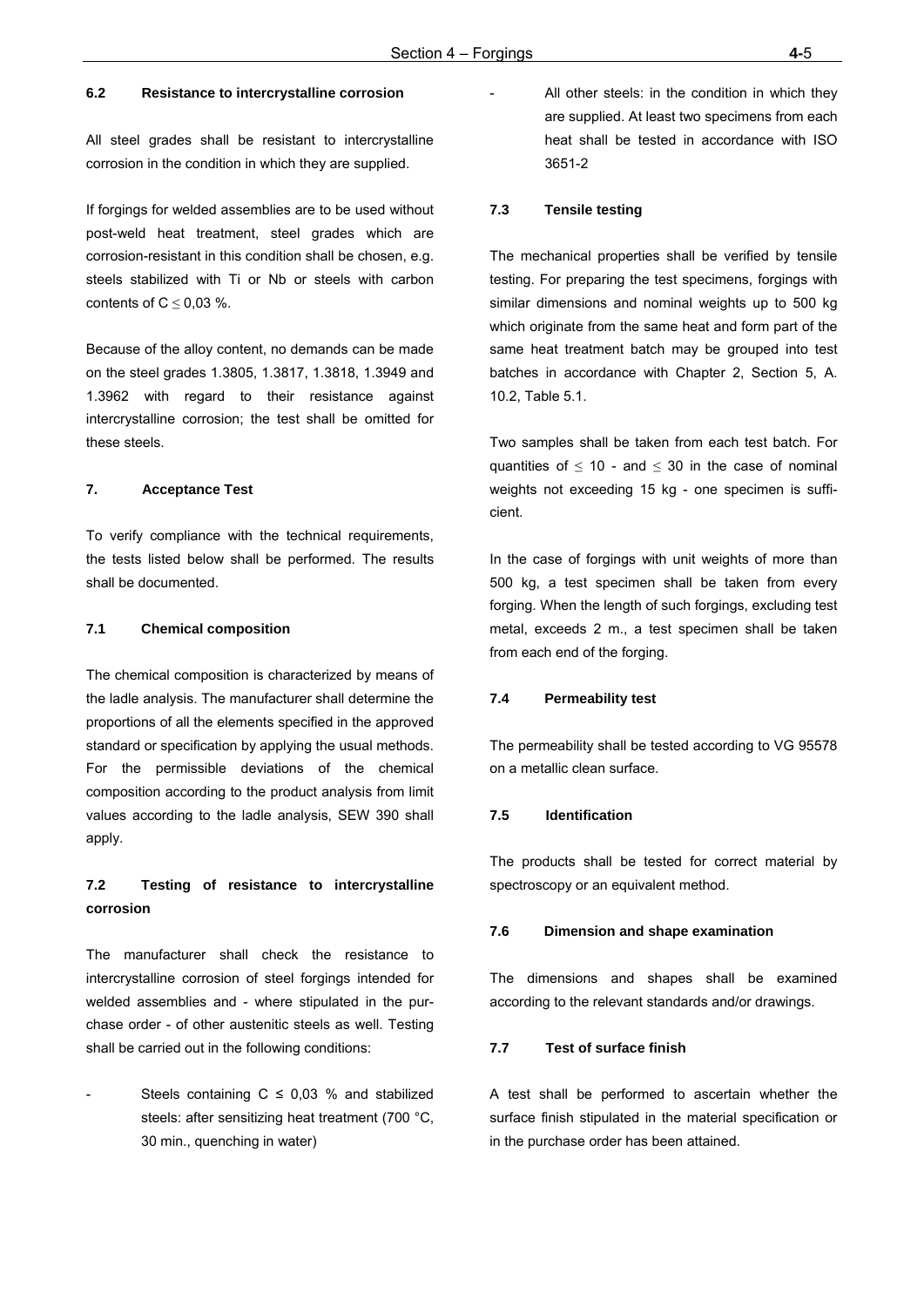## **6.2 Resistance to intercrystalline corrosion**

All steel grades shall be resistant to intercrystalline corrosion in the condition in which they are supplied.

If forgings for welded assemblies are to be used without post-weld heat treatment, steel grades which are corrosion-resistant in this condition shall be chosen, e.g. steels stabilized with Ti or Nb or steels with carbon contents of  $C \leq 0.03$  %.

Because of the alloy content, no demands can be made on the steel grades 1.3805, 1.3817, 1.3818, 1.3949 and 1.3962 with regard to their resistance against intercrystalline corrosion; the test shall be omitted for these steels.

## **7. Acceptance Test**

To verify compliance with the technical requirements, the tests listed below shall be performed. The results shall be documented.

#### **7.1 Chemical composition**

The chemical composition is characterized by means of the ladle analysis. The manufacturer shall determine the proportions of all the elements specified in the approved standard or specification by applying the usual methods. For the permissible deviations of the chemical composition according to the product analysis from limit values according to the ladle analysis, SEW 390 shall apply.

## **7.2 Testing of resistance to intercrystalline corrosion**

The manufacturer shall check the resistance to intercrystalline corrosion of steel forgings intended for welded assemblies and - where stipulated in the purchase order - of other austenitic steels as well. Testing shall be carried out in the following conditions:

Steels containing  $C \le 0.03$  % and stabilized steels: after sensitizing heat treatment (700 °C, 30 min., quenching in water)

All other steels: in the condition in which they are supplied. At least two specimens from each heat shall be tested in accordance with ISO 3651-2

#### **7.3 Tensile testing**

The mechanical properties shall be verified by tensile testing. For preparing the test specimens, forgings with similar dimensions and nominal weights up to 500 kg which originate from the same heat and form part of the same heat treatment batch may be grouped into test batches in accordance with Chapter 2, Section 5, A. 10.2, Table 5.1.

Two samples shall be taken from each test batch. For quantities of  $\leq$  10 - and  $\leq$  30 in the case of nominal weights not exceeding 15 kg - one specimen is sufficient.

In the case of forgings with unit weights of more than 500 kg, a test specimen shall be taken from every forging. When the length of such forgings, excluding test metal, exceeds 2 m., a test specimen shall be taken from each end of the forging.

#### **7.4 Permeability test**

The permeability shall be tested according to VG 95578 on a metallic clean surface.

#### **7.5 Identification**

The products shall be tested for correct material by spectroscopy or an equivalent method.

#### **7.6 Dimension and shape examination**

The dimensions and shapes shall be examined according to the relevant standards and/or drawings.

#### **7.7 Test of surface finish**

A test shall be performed to ascertain whether the surface finish stipulated in the material specification or in the purchase order has been attained.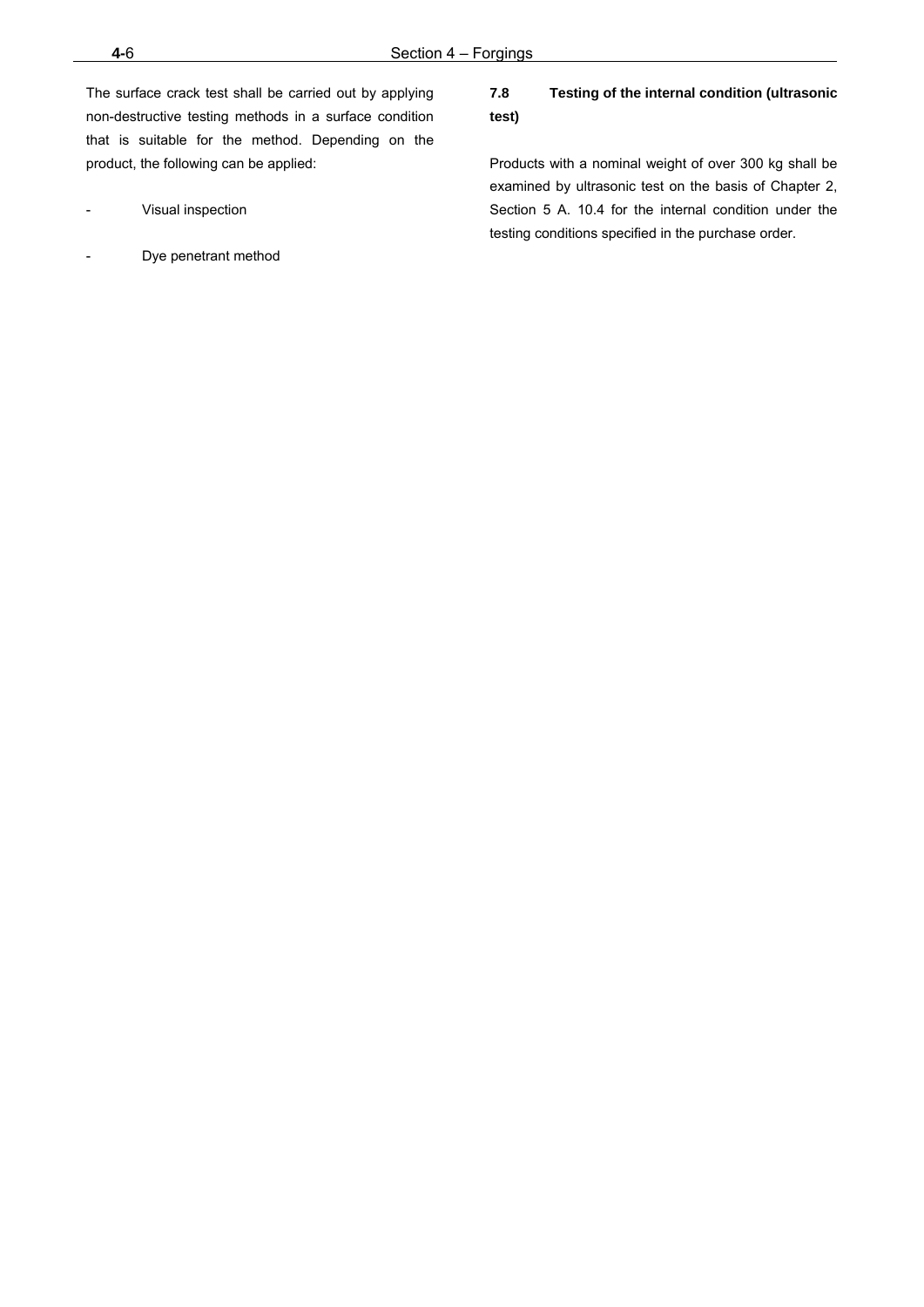The surface crack test shall be carried out by applying non-destructive testing methods in a surface condition that is suitable for the method. Depending on the product, the following can be applied:

- Visual inspection
- Dye penetrant method

## **7.8 Testing of the internal condition (ultrasonic test)**

Products with a nominal weight of over 300 kg shall be examined by ultrasonic test on the basis of Chapter 2, Section 5 A. 10.4 for the internal condition under the testing conditions specified in the purchase order.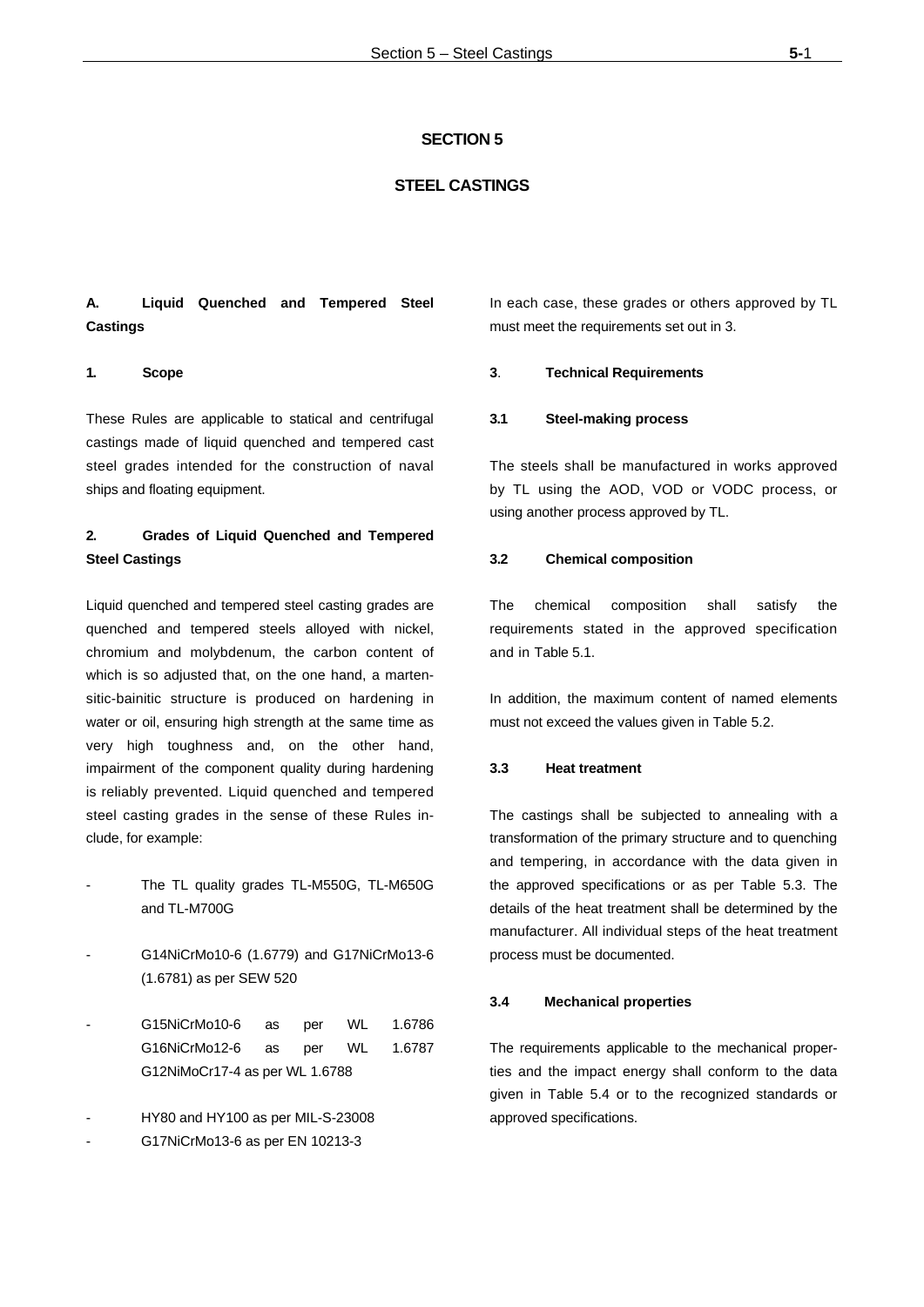## **SECTION 5**

## **STEEL CASTINGS**

## **A. Liquid Quenched and Tempered Steel Castings**

#### **1. Scope**

These Rules are applicable to statical and centrifugal castings made of liquid quenched and tempered cast steel grades intended for the construction of naval ships and floating equipment.

## **2. Grades of Liquid Quenched and Tempered Steel Castings**

Liquid quenched and tempered steel casting grades are quenched and tempered steels alloyed with nickel, chromium and molybdenum, the carbon content of which is so adjusted that, on the one hand, a martensitic-bainitic structure is produced on hardening in water or oil, ensuring high strength at the same time as very high toughness and, on the other hand, impairment of the component quality during hardening is reliably prevented. Liquid quenched and tempered steel casting grades in the sense of these Rules include, for example:

- The TL quality grades TL-M550G, TL-M650G and TL-M700G
- G14NiCrMo10-6 (1.6779) and G17NiCrMo13-6 (1.6781) as per SEW 520
- G15NiCrMo10-6 as per WL 1.6786 G16NiCrMo12-6 as per WL 1.6787 G12NiMoCr17-4 as per WL 1.6788
- HY80 and HY100 as per MIL-S-23008
- G17NiCrMo13-6 as per EN 10213-3

In each case, these grades or others approved by TL must meet the requirements set out in 3.

#### **3**. **Technical Requirements**

#### **3.1 Steel-making process**

The steels shall be manufactured in works approved by TL using the AOD, VOD or VODC process, or using another process approved by TL.

#### **3.2 Chemical composition**

The chemical composition shall satisfy the requirements stated in the approved specification and in Table 5.1.

In addition, the maximum content of named elements must not exceed the values given in Table 5.2.

#### **3.3 Heat treatment**

The castings shall be subjected to annealing with a transformation of the primary structure and to quenching and tempering, in accordance with the data given in the approved specifications or as per Table 5.3. The details of the heat treatment shall be determined by the manufacturer. All individual steps of the heat treatment process must be documented.

#### **3.4 Mechanical properties**

The requirements applicable to the mechanical properties and the impact energy shall conform to the data given in Table 5.4 or to the recognized standards or approved specifications.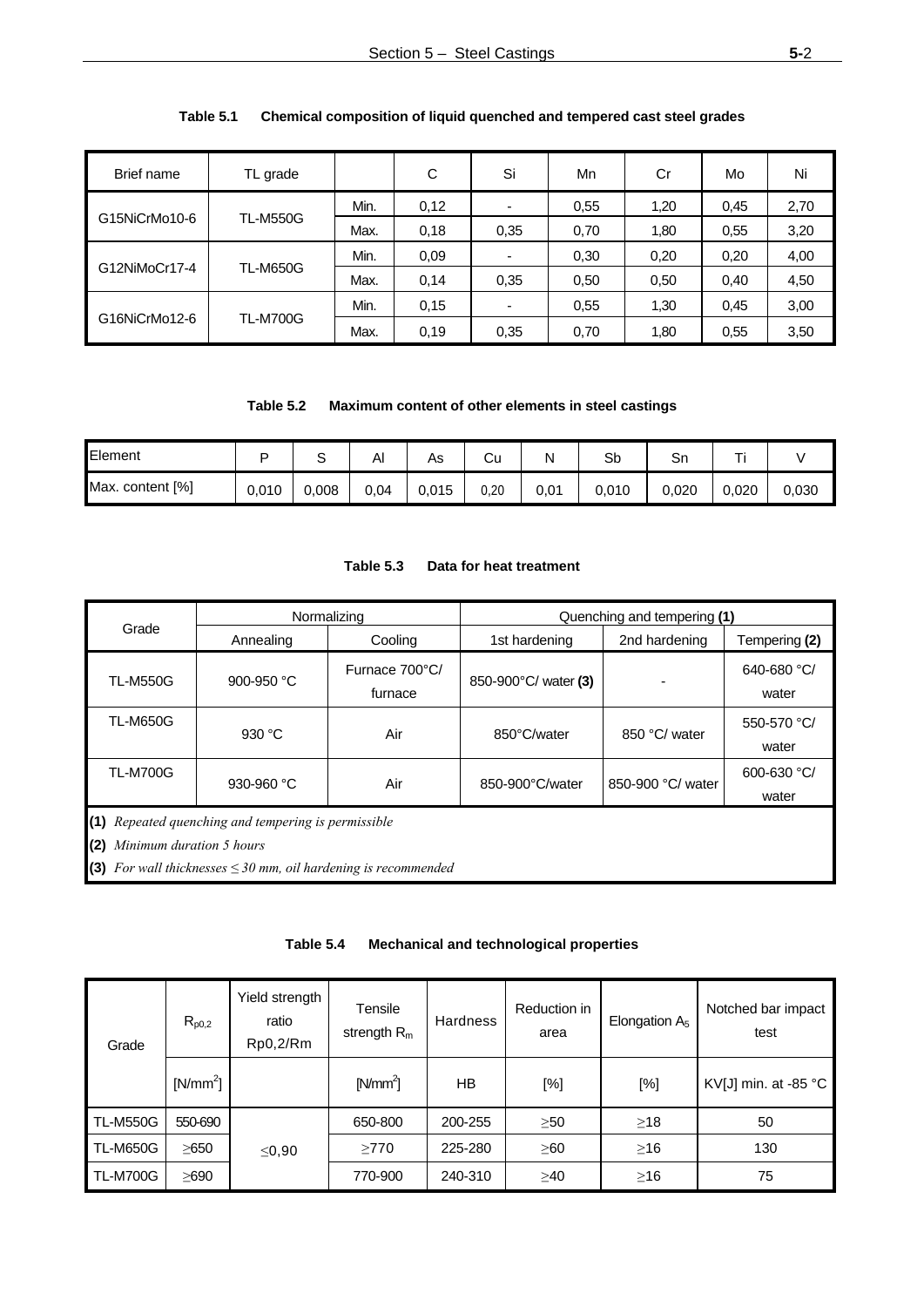| Brief name    | TL grade        |      | C    | Si   | Mn   | Cr   | Mo   | Ni   |
|---------------|-----------------|------|------|------|------|------|------|------|
|               |                 | Min. | 0,12 | ٠    | 0.55 | 1,20 | 0,45 | 2,70 |
| G15NiCrMo10-6 | <b>TL-M550G</b> | Max. | 0,18 | 0,35 | 0,70 | 1,80 | 0,55 | 3,20 |
|               | <b>TL-M650G</b> | Min. | 0,09 | ۰    | 0,30 | 0,20 | 0.20 | 4,00 |
| G12NiMoCr17-4 |                 | Max. | 0,14 | 0,35 | 0,50 | 0,50 | 0.40 | 4,50 |
|               |                 | Min. | 0.15 | ۰    | 0.55 | 1,30 | 0,45 | 3,00 |
| G16NiCrMo12-6 | <b>TL-M700G</b> | Max. | 0.19 | 0,35 | 0,70 | 1,80 | 0,55 | 3,50 |

## **Table 5.1 Chemical composition of liquid quenched and tempered cast steel grades**

## **Table 5.2 Maximum content of other elements in steel castings**

| Element               |       | ๛     | Αı   | As    | Cu   | Ν    | Sb    | Sn    | ÷     |       |
|-----------------------|-------|-------|------|-------|------|------|-------|-------|-------|-------|
| Max.<br>. content [%] | 0,010 | 0,008 | 0,04 | 0,015 | 0.20 | 0,01 | 0,010 | 0.020 | 0,020 | 0.030 |

|                                        |                                                                                                                        | Normalizing               | Quenching and tempering (1) |                   |                      |  |  |
|----------------------------------------|------------------------------------------------------------------------------------------------------------------------|---------------------------|-----------------------------|-------------------|----------------------|--|--|
| Grade                                  | Annealing                                                                                                              | Cooling                   | 1st hardening               | 2nd hardening     | Tempering (2)        |  |  |
| <b>TL-M550G</b>                        | 900-950 $°C$                                                                                                           | Furnace 700°C/<br>furnace | 850-900°C/ water (3)        |                   | 640-680 °C/<br>water |  |  |
| <b>TL-M650G</b>                        | 930 $\degree$ C                                                                                                        | Air                       | 850°C/water                 | 850 °C/ water     | 550-570 °C/<br>water |  |  |
| <b>TL-M700G</b>                        | 930-960 $°C$                                                                                                           | Air                       | 850-900°C/water             | 850-900 °C/ water | 600-630 °C/<br>water |  |  |
| (1)<br>Minimum duration 5 hours<br>(2) | Repeated quenching and tempering is permissible<br>(3) For wall thicknesses $\leq$ 30 mm, oil hardening is recommended |                           |                             |                   |                      |  |  |

## **Table 5.3 Data for heat treatment**

## **Table 5.4 Mechanical and technological properties**

| Grade           | $R_{p0,2}$ | Yield strength<br>ratio<br>Rp0,2/Rm | Tensile<br>strength $R_m$ | <b>Hardness</b> | Reduction in<br>area | Elongation $A5$ | Notched bar impact<br>test     |
|-----------------|------------|-------------------------------------|---------------------------|-----------------|----------------------|-----------------|--------------------------------|
|                 | $[N/mm^2]$ |                                     | $[N/mm^2]$                | HB              | [%]                  | [%]             | KV[J] min. at -85 $^{\circ}$ C |
| <b>TL-M550G</b> | 550-690    |                                     | 650-800                   | 200-255         | $\geq 50$            | $\geq$ 18       | 50                             |
| <b>TL-M650G</b> | ≥650       | $\leq$ 0,90                         | $\geq$ 770                | 225-280         | $\geq 60$            | $\geq$ 16       | 130                            |
| <b>TL-M700G</b> | ≥690       |                                     | 770-900                   | 240-310         | $\geq 40$            | $\geq$ 16       | 75                             |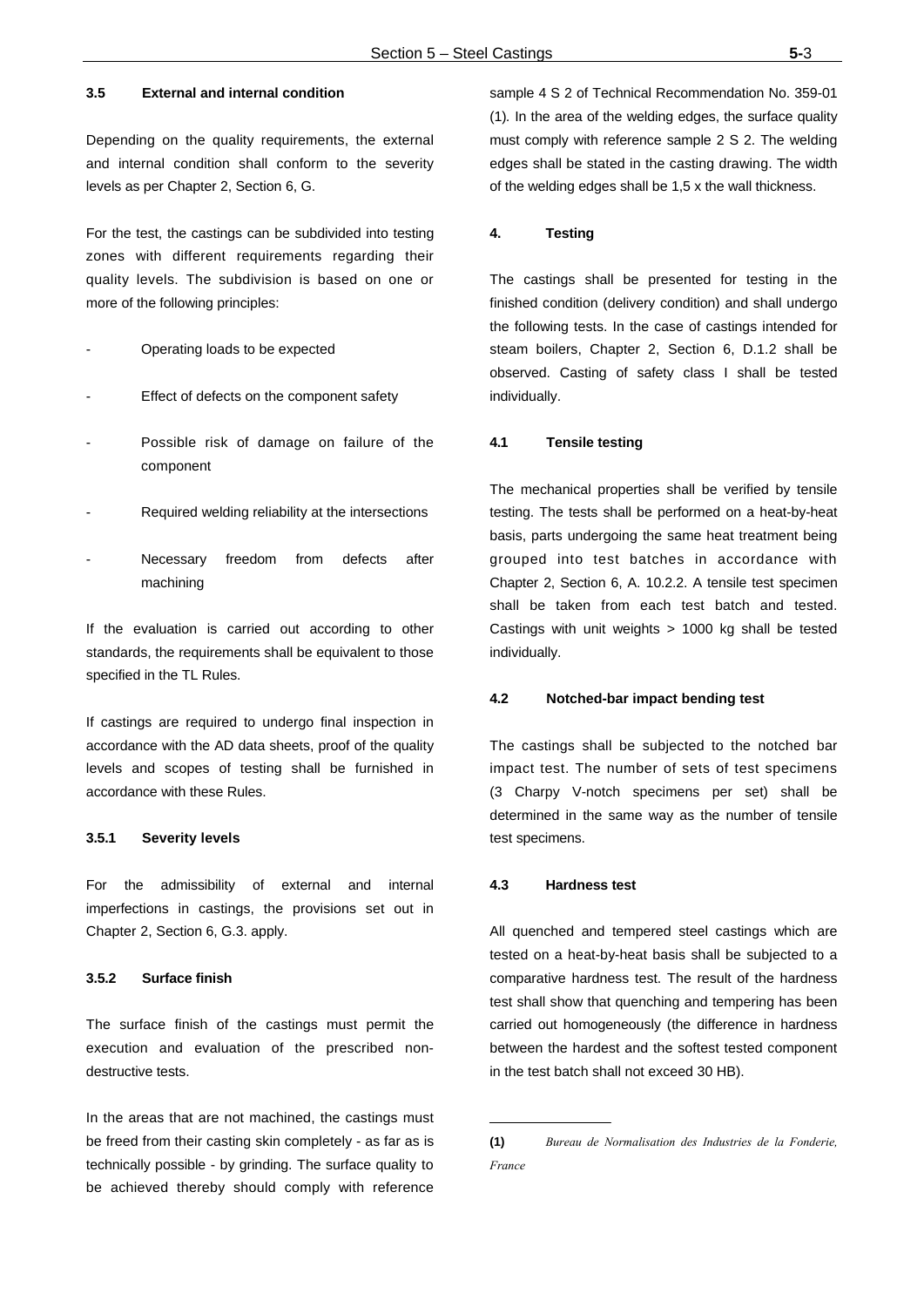## **3.5 External and internal condition**

Depending on the quality requirements, the external and internal condition shall conform to the severity levels as per Chapter 2, Section 6, G.

For the test, the castings can be subdivided into testing zones with different requirements regarding their quality levels. The subdivision is based on one or more of the following principles:

- Operating loads to be expected
- Effect of defects on the component safety
- Possible risk of damage on failure of the component
- Required welding reliability at the intersections
- Necessary freedom from defects after machining

If the evaluation is carried out according to other standards, the requirements shall be equivalent to those specified in the TL Rules.

If castings are required to undergo final inspection in accordance with the AD data sheets, proof of the quality levels and scopes of testing shall be furnished in accordance with these Rules.

## **3.5.1 Severity levels**

For the admissibility of external and internal imperfections in castings, the provisions set out in Chapter 2, Section 6, G.3. apply.

## **3.5.2 Surface finish**

The surface finish of the castings must permit the execution and evaluation of the prescribed nondestructive tests.

In the areas that are not machined, the castings must be freed from their casting skin completely - as far as is technically possible - by grinding. The surface quality to be achieved thereby should comply with reference

sample 4 S 2 of Technical Recommendation No. 359-01 (1)*.* In the area of the welding edges, the surface quality must comply with reference sample 2 S 2. The welding edges shall be stated in the casting drawing. The width of the welding edges shall be 1,5 x the wall thickness.

#### **4. Testing**

The castings shall be presented for testing in the finished condition (delivery condition) and shall undergo the following tests. In the case of castings intended for steam boilers, Chapter 2, Section 6, D.1.2 shall be observed. Casting of safety class I shall be tested individually.

#### **4.1 Tensile testing**

The mechanical properties shall be verified by tensile testing. The tests shall be performed on a heat-by-heat basis, parts undergoing the same heat treatment being grouped into test batches in accordance with Chapter 2, Section 6, A. 10.2.2. A tensile test specimen shall be taken from each test batch and tested. Castings with unit weights > 1000 kg shall be tested individually.

#### **4.2 Notched-bar impact bending test**

The castings shall be subjected to the notched bar impact test. The number of sets of test specimens (3 Charpy V-notch specimens per set) shall be determined in the same way as the number of tensile test specimens.

#### **4.3 Hardness test**

All quenched and tempered steel castings which are tested on a heat-by-heat basis shall be subjected to a comparative hardness test. The result of the hardness test shall show that quenching and tempering has been carried out homogeneously (the difference in hardness between the hardest and the softest tested component in the test batch shall not exceed 30 HB).

**<sup>(1)</sup>** *Bureau de Normalisation des Industries de la Fonderie, France*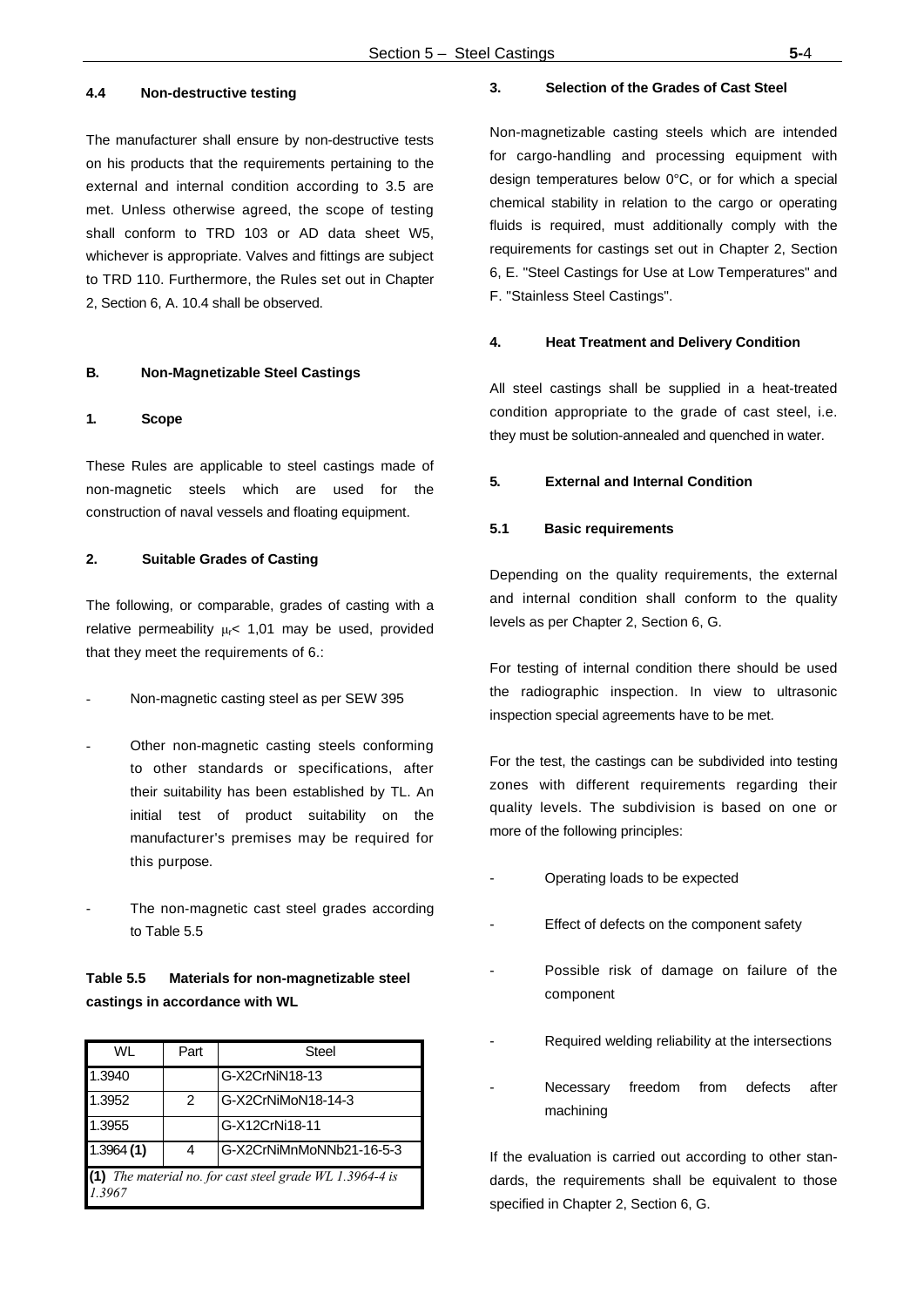## **4.4 Non-destructive testing**

The manufacturer shall ensure by non-destructive tests on his products that the requirements pertaining to the external and internal condition according to 3.5 are met. Unless otherwise agreed, the scope of testing shall conform to TRD 103 or AD data sheet W5, whichever is appropriate. Valves and fittings are subject to TRD 110. Furthermore, the Rules set out in Chapter 2, Section 6, A. 10.4 shall be observed.

## **B. Non-Magnetizable Steel Castings**

#### **1. Scope**

These Rules are applicable to steel castings made of non-magnetic steels which are used for the construction of naval vessels and floating equipment.

## **2. Suitable Grades of Casting**

The following, or comparable, grades of casting with a relative permeability  $\mu$ <sup><</sup> 1,01 may be used, provided that they meet the requirements of 6.:

- Non-magnetic casting steel as per SEW 395
- Other non-magnetic casting steels conforming to other standards or specifications, after their suitability has been established by TL. An initial test of product suitability on the manufacturer's premises may be required for this purpose.
- The non-magnetic cast steel grades according to Table 5.5

## **Table 5.5 Materials for non-magnetizable steel castings in accordance with WL**

| WL        | Part                                                 | Steel                    |  |  |  |  |  |  |
|-----------|------------------------------------------------------|--------------------------|--|--|--|--|--|--|
| 1.3940    |                                                      | G-X2CrNiN18-13           |  |  |  |  |  |  |
| 1.3952    | 2                                                    | G-X2CrNiMoN18-14-3       |  |  |  |  |  |  |
| 1.3955    |                                                      | G-X12CrNi18-11           |  |  |  |  |  |  |
| 1.3964(1) | 4                                                    | G-X2CrNiMnMoNNb21-16-5-3 |  |  |  |  |  |  |
| 1.3967    | The material no. for cast steel grade WL 1.3964-4 is |                          |  |  |  |  |  |  |

#### **3. Selection of the Grades of Cast Steel**

Non-magnetizable casting steels which are intended for cargo-handling and processing equipment with design temperatures below 0°C, or for which a special chemical stability in relation to the cargo or operating fluids is required, must additionally comply with the requirements for castings set out in Chapter 2, Section 6, E. "Steel Castings for Use at Low Temperatures" and F. "Stainless Steel Castings".

#### **4. Heat Treatment and Delivery Condition**

All steel castings shall be supplied in a heat-treated condition appropriate to the grade of cast steel, i.e. they must be solution-annealed and quenched in water.

#### **5. External and Internal Condition**

#### **5.1 Basic requirements**

Depending on the quality requirements, the external and internal condition shall conform to the quality levels as per Chapter 2, Section 6, G.

For testing of internal condition there should be used the radiographic inspection. In view to ultrasonic inspection special agreements have to be met.

For the test, the castings can be subdivided into testing zones with different requirements regarding their quality levels. The subdivision is based on one or more of the following principles:

- Operating loads to be expected
- Effect of defects on the component safety
- Possible risk of damage on failure of the component
- Required welding reliability at the intersections
- Necessary freedom from defects after machining

If the evaluation is carried out according to other standards, the requirements shall be equivalent to those specified in Chapter 2, Section 6, G.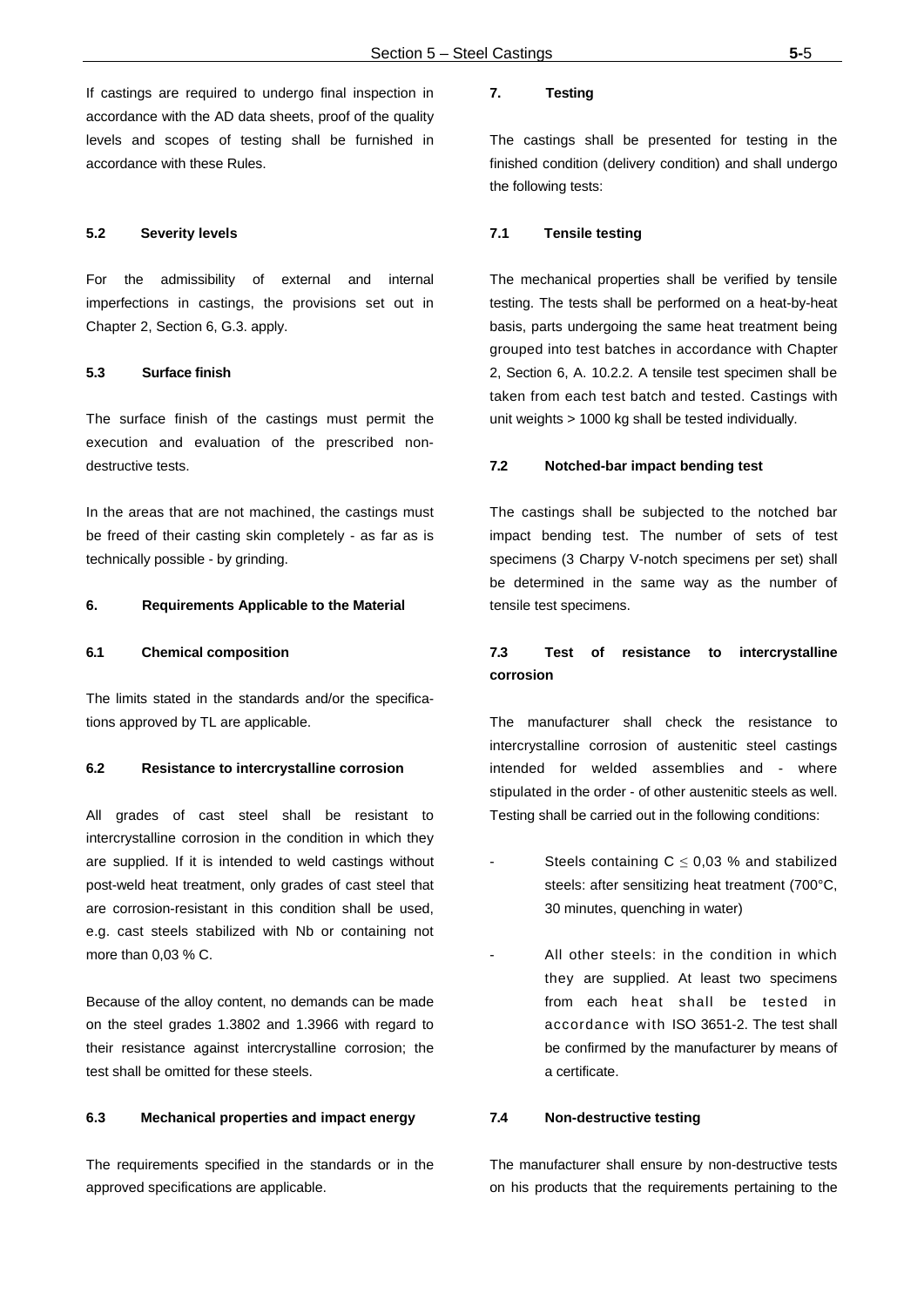If castings are required to undergo final inspection in accordance with the AD data sheets, proof of the quality levels and scopes of testing shall be furnished in accordance with these Rules.

#### **5.2 Severity levels**

For the admissibility of external and internal imperfections in castings, the provisions set out in Chapter 2, Section 6, G.3. apply.

#### **5.3 Surface finish**

The surface finish of the castings must permit the execution and evaluation of the prescribed nondestructive tests.

In the areas that are not machined, the castings must be freed of their casting skin completely - as far as is technically possible - by grinding.

#### **6. Requirements Applicable to the Material**

#### **6.1 Chemical composition**

The limits stated in the standards and/or the specifications approved by TL are applicable.

#### **6.2 Resistance to intercrystalline corrosion**

All grades of cast steel shall be resistant to intercrystalline corrosion in the condition in which they are supplied. If it is intended to weld castings without post-weld heat treatment, only grades of cast steel that are corrosion-resistant in this condition shall be used, e.g. cast steels stabilized with Nb or containing not more than 0,03 % C.

Because of the alloy content, no demands can be made on the steel grades 1.3802 and 1.3966 with regard to their resistance against intercrystalline corrosion; the test shall be omitted for these steels.

#### **6.3 Mechanical properties and impact energy**

The requirements specified in the standards or in the approved specifications are applicable.

## **7. Testing**

The castings shall be presented for testing in the finished condition (delivery condition) and shall undergo the following tests:

## **7.1 Tensile testing**

The mechanical properties shall be verified by tensile testing. The tests shall be performed on a heat-by-heat basis, parts undergoing the same heat treatment being grouped into test batches in accordance with Chapter 2, Section 6, A. 10.2.2. A tensile test specimen shall be taken from each test batch and tested. Castings with unit weights > 1000 kg shall be tested individually.

#### **7.2 Notched-bar impact bending test**

The castings shall be subjected to the notched bar impact bending test. The number of sets of test specimens (3 Charpy V-notch specimens per set) shall be determined in the same way as the number of tensile test specimens.

## **7.3 Test of resistance to intercrystalline corrosion**

The manufacturer shall check the resistance to intercrystalline corrosion of austenitic steel castings intended for welded assemblies and - where stipulated in the order - of other austenitic steels as well. Testing shall be carried out in the following conditions:

- Steels containing  $C \leq 0.03$  % and stabilized steels: after sensitizing heat treatment (700°C, 30 minutes, quenching in water)
- All other steels: in the condition in which they are supplied. At least two specimens from each heat shall be tested in accordance with ISO 3651-2. The test shall be confirmed by the manufacturer by means of a certificate.

#### **7.4 Non-destructive testing**

The manufacturer shall ensure by non-destructive tests on his products that the requirements pertaining to the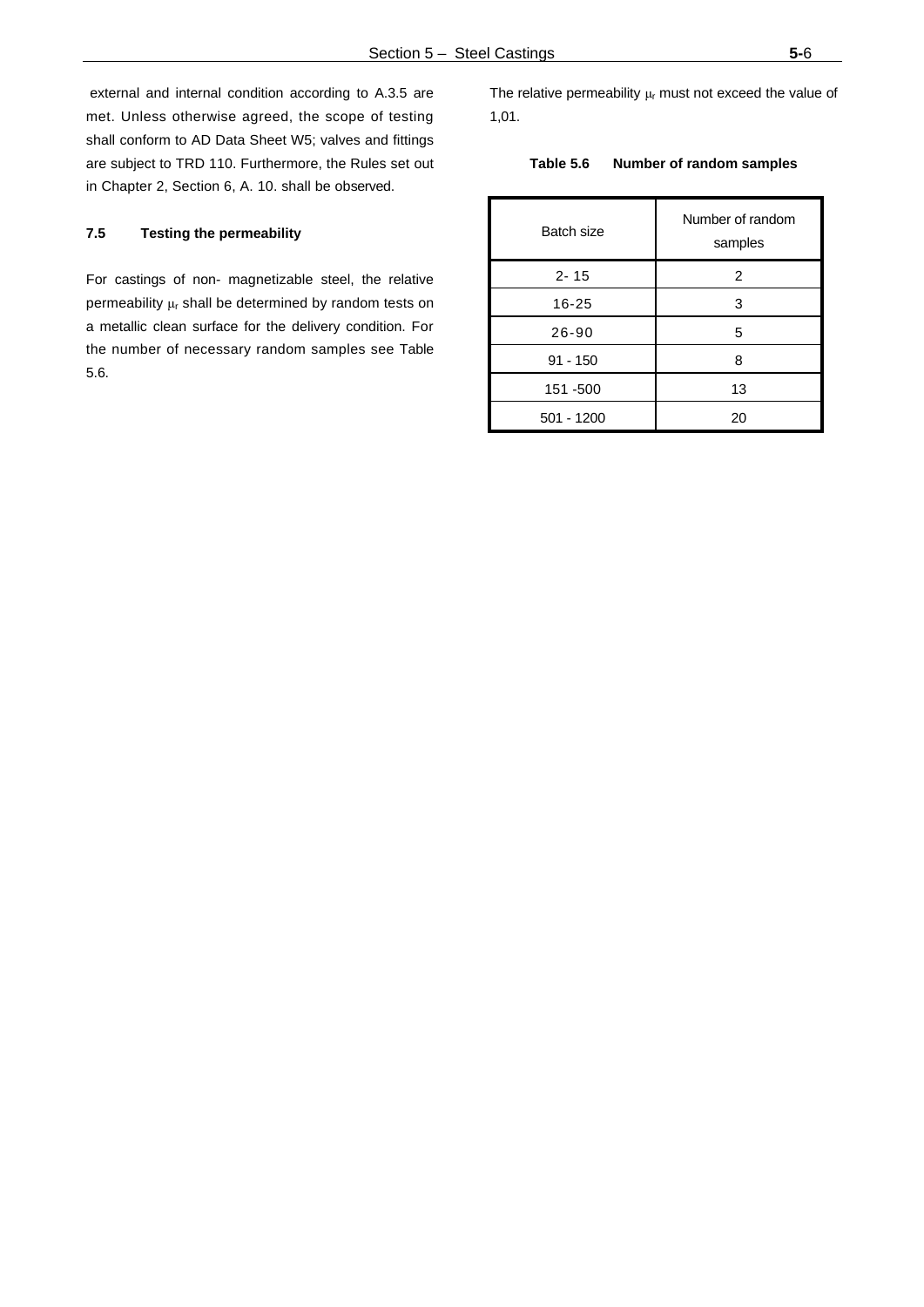external and internal condition according to A.3.5 are met. Unless otherwise agreed, the scope of testing shall conform to AD Data Sheet W5; valves and fittings are subject to TRD 110. Furthermore, the Rules set out in Chapter 2, Section 6, A. 10. shall be observed.

## **7.5 Testing the permeability**

For castings of non- magnetizable steel, the relative permeability  $\mu_r$  shall be determined by random tests on a metallic clean surface for the delivery condition. For the number of necessary random samples see Table 5.6.

The relative permeability  $\mu_r$  must not exceed the value of 1,01.

## **Table 5.6 Number of random samples**

| Batch size   | Number of random<br>samples |
|--------------|-----------------------------|
| $2 - 15$     | 2                           |
| $16 - 25$    | 3                           |
| $26 - 90$    | 5                           |
| $91 - 150$   | 8                           |
| 151 -500     | 13                          |
| $501 - 1200$ | 20                          |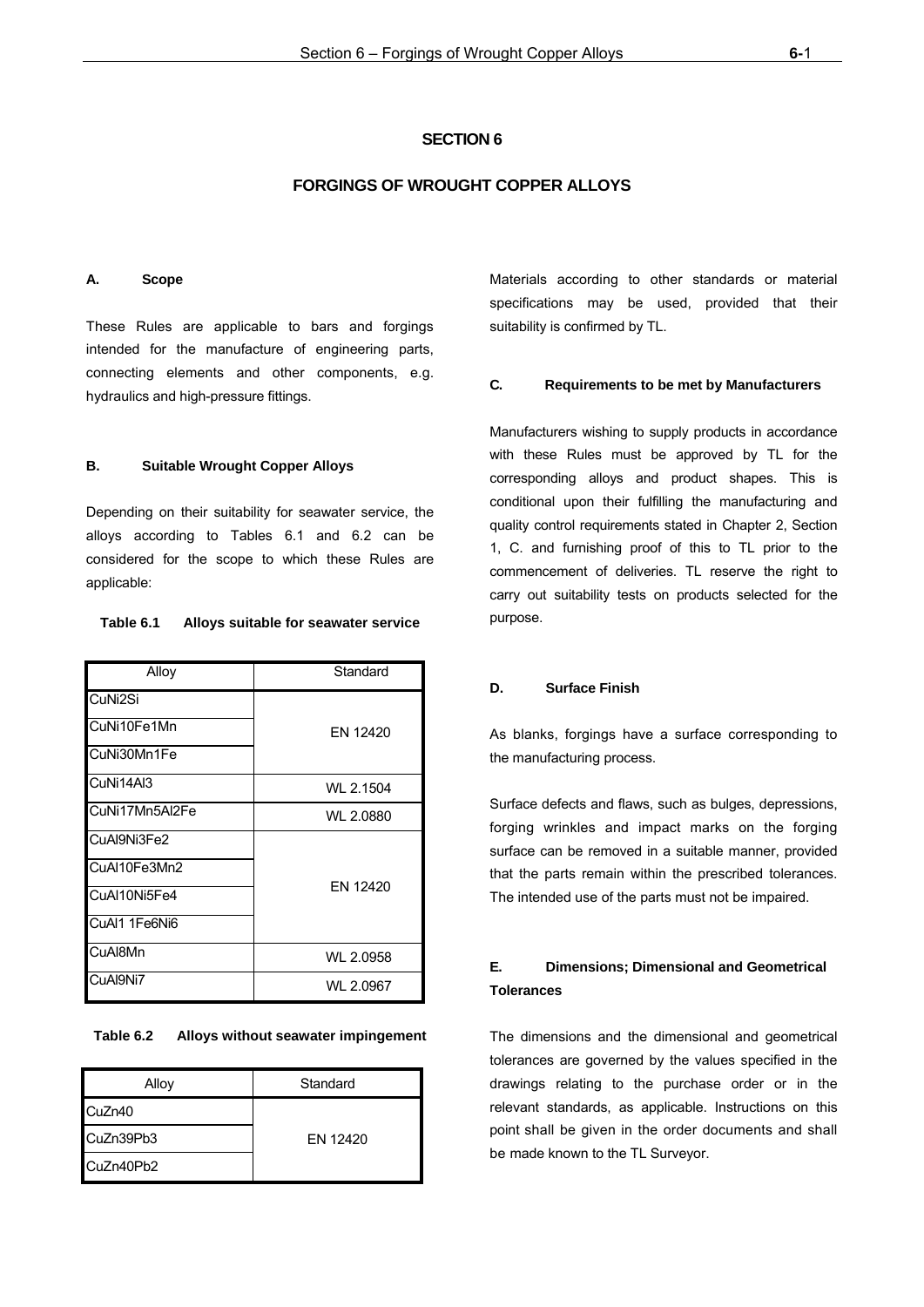## **SECTION 6**

## **FORGINGS OF WROUGHT COPPER ALLOYS**

#### **A. Scope**

These Rules are applicable to bars and forgings intended for the manufacture of engineering parts, connecting elements and other components, e.g. hydraulics and high-pressure fittings.

#### **B. Suitable Wrought Copper Alloys**

Depending on their suitability for seawater service, the alloys according to Tables 6.1 and 6.2 can be considered for the scope to which these Rules are applicable:

| $A II \rightarrow A$ | $C$ tondord |
|----------------------|-------------|
|                      |             |
|                      |             |

**Table 6.1 Alloys suitable for seawater service** 

| Allov          | Standard  |
|----------------|-----------|
| CuNi2Si        |           |
| CuNi10Fe1Mn    | EN 12420  |
| CuNi30Mn1Fe    |           |
| CuNi14Al3      | WL 2.1504 |
| CuNi17Mn5Al2Fe | WL 2.0880 |
| CuAl9Ni3Fe2    |           |
| CuAl10Fe3Mn2   |           |
| CuAI10Ni5Fe4   | EN 12420  |
| CuAl1 1Fe6Ni6  |           |
| CuAl8Mn        | WL 2.0958 |
| CuAl9Ni7       | WL 2.0967 |

**Table 6.2 Alloys without seawater impingement**

| Alloy     | Standard |  |  |
|-----------|----------|--|--|
| CuZn40    |          |  |  |
| CuZn39Pb3 | FN 12420 |  |  |
| CuZn40Pb2 |          |  |  |

Materials according to other standards or material specifications may be used, provided that their suitability is confirmed by TL.

#### **C. Requirements to be met by Manufacturers**

Manufacturers wishing to supply products in accordance with these Rules must be approved by TL for the corresponding alloys and product shapes. This is conditional upon their fulfilling the manufacturing and quality control requirements stated in Chapter 2, Section 1, C. and furnishing proof of this to TL prior to the commencement of deliveries. TL reserve the right to carry out suitability tests on products selected for the purpose.

## **D. Surface Finish**

As blanks, forgings have a surface corresponding to the manufacturing process.

Surface defects and flaws, such as bulges, depressions, forging wrinkles and impact marks on the forging surface can be removed in a suitable manner, provided that the parts remain within the prescribed tolerances. The intended use of the parts must not be impaired.

## **E. Dimensions; Dimensional and Geometrical Tolerances**

The dimensions and the dimensional and geometrical tolerances are governed by the values specified in the drawings relating to the purchase order or in the relevant standards, as applicable. Instructions on this point shall be given in the order documents and shall be made known to the TL Surveyor.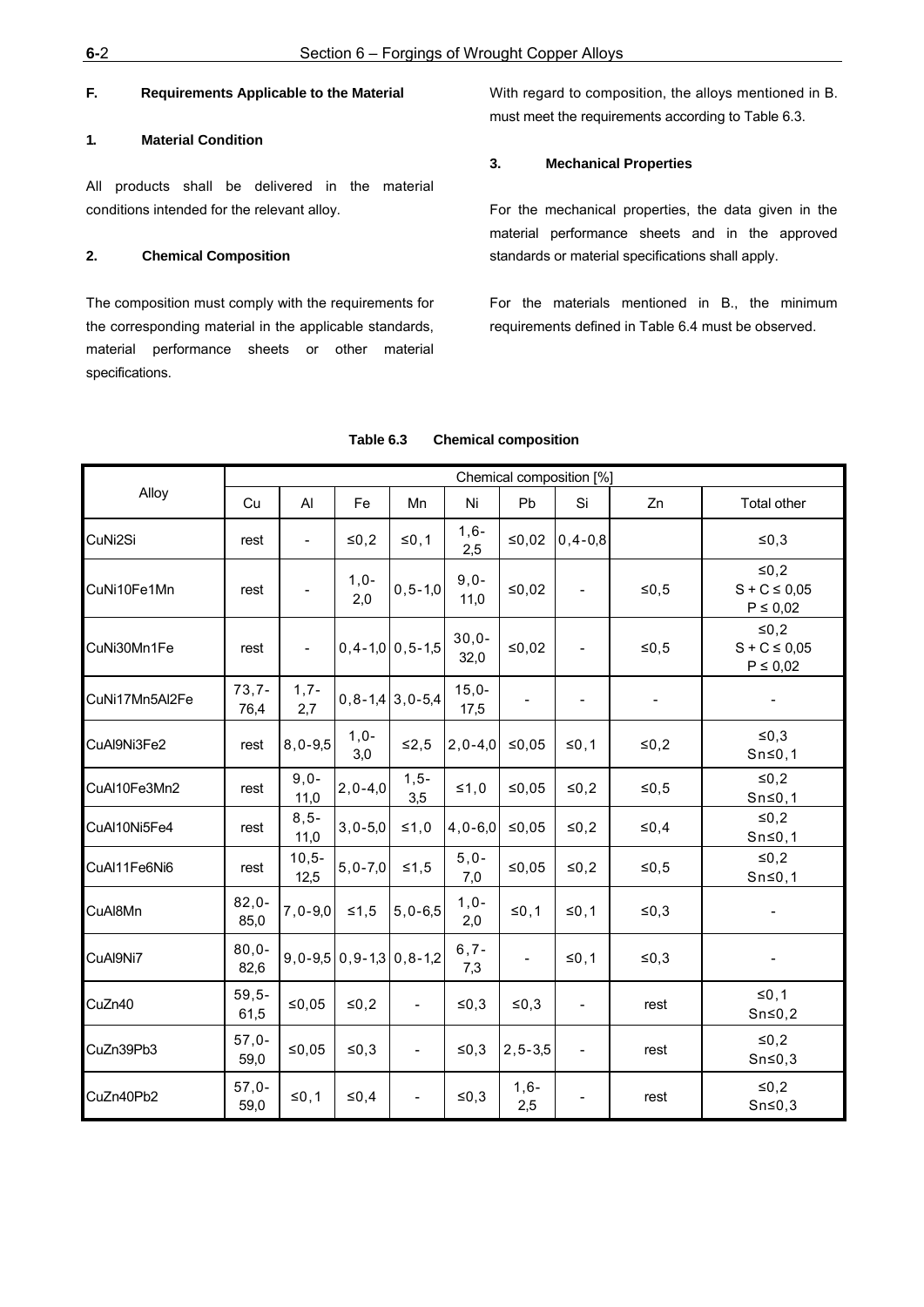## **F. Requirements Applicable to the Material**

## **1. Material Condition**

All products shall be delivered in the material conditions intended for the relevant alloy.

#### **2. Chemical Composition**

The composition must comply with the requirements for the corresponding material in the applicable standards, material performance sheets or other material specifications.

With regard to composition, the alloys mentioned in B. must meet the requirements according to Table 6.3.

#### **3. Mechanical Properties**

For the mechanical properties, the data given in the material performance sheets and in the approved standards or material specifications shall apply.

For the materials mentioned in B., the minimum requirements defined in Table 6.4 must be observed.

|                |                  | Chemical composition [%] |               |                                     |                 |                          |                          |         |                                              |  |  |
|----------------|------------------|--------------------------|---------------|-------------------------------------|-----------------|--------------------------|--------------------------|---------|----------------------------------------------|--|--|
| Alloy          | Cu               | Al                       | Fe            | Mn                                  | Ni              | Pb                       | Si                       | Zn      | Total other                                  |  |  |
| CuNi2Si        | rest             | $\overline{\phantom{a}}$ | $≤0,2$        | $\leq 0, 1$                         | $1,6-$<br>2,5   | ≤0,02                    | $0, 4 - 0, 8$            |         | $\leq 0,3$                                   |  |  |
| CuNi10Fe1Mn    | rest             |                          | $1,0-$<br>2,0 | $0, 5 - 1, 0$                       | $9,0-$<br>11,0  | ≤0,02                    |                          | $≤0,5$  | $≤0,2$<br>$S + C \leq 0.05$<br>$P \leq 0.02$ |  |  |
| CuNi30Mn1Fe    | rest             | $\overline{\phantom{a}}$ |               | $0, 4 - 1, 0 \mid 0, 5 - 1, 5$      | $30,0-$<br>32,0 | $≤0,02$                  |                          | $≤0,5$  | $≤0,2$<br>$S + C \le 0.05$<br>$P \leq 0.02$  |  |  |
| CuNi17Mn5Al2Fe | $73,7-$<br>76,4  | $1, 7 -$<br>2,7          |               | $0, 8 - 1, 4 \mid 3, 0 - 5, 4 \mid$ | $15,0-$<br>17,5 |                          |                          |         |                                              |  |  |
| CuAl9Ni3Fe2    | rest             | $8,0-9,5$                | $1,0-$<br>3,0 | $\leq 2,5$                          | $ 2, 0 - 4, 0 $ | ≤0,05                    | $\leq 0, 1$              | $≤0,2$  | ≤ $0,3$<br>$Sn \le 0, 1$                     |  |  |
| CuAl10Fe3Mn2   | rest             | $9,0-$<br>11,0           | $2, 0 - 4, 0$ | $1,5-$<br>3,5                       | $\leq 1,0$      | ≤0,05                    | ≤0,2                     | ≤ $0,5$ | $≤0,2$<br>$Sn \le 0, 1$                      |  |  |
| CuAl10Ni5Fe4   | rest             | $8, 5 -$<br>11,0         | $3,0-5,0$     | ≤1,0                                | $4,0-6,0$       | ≤0,05                    | $≤0,2$                   | $≤0,4$  | $≤0,2$<br>$Sn \le 0, 1$                      |  |  |
| CuAl11Fe6Ni6   | rest             | $10,5-$<br>12,5          | $5, 0 - 7, 0$ | $≤1,5$                              | $5,0-$<br>7,0   | ≤0,05                    | $≤0,2$                   | $≤0,5$  | $≤0,2$<br>$Sn \le 0, 1$                      |  |  |
| CuAl8Mn        | $82,0-$<br>85,0  | $7,0-9,0$                | $≤1,5$        | $5,0-6,5$                           | $1,0-$<br>2,0   | ≤0,1                     | ≤0,1                     | $≤0,3$  |                                              |  |  |
| CuAl9Ni7       | $80,0-$<br>82,6  |                          |               | $9,0-9,5$ 0, 9 - 1,3 0, 8 - 1,2     | $6, 7 -$<br>7,3 | $\overline{\phantom{0}}$ | ≤0,1                     | ≤0,3    |                                              |  |  |
| CuZn40         | $59,5-$<br>61,5  | ≤0,05                    | ≤ $0,2$       |                                     | $≤0,3$          | $≤0,3$                   | $\overline{\phantom{a}}$ | rest    | $≤0,1$<br>$Sn \le 0,2$                       |  |  |
| CuZn39Pb3      | $57.0 -$<br>59,0 | ≤0,05                    | ≤0,3          | $\overline{\phantom{a}}$            | ≤ $0,3$         | $2, 5 - 3, 5$            | $\blacksquare$           | rest    | $≤0,2$<br>$Sn \le 0,3$                       |  |  |
| CuZn40Pb2      | $57,0-$<br>59,0  | ≤0,1                     | ≤0,4          | $\overline{\phantom{a}}$            | ≤0,3            | $1,6-$<br>2,5            |                          | rest    | $≤0,2$<br>$Sn \le 0,3$                       |  |  |

#### **Table 6.3 Chemical composition**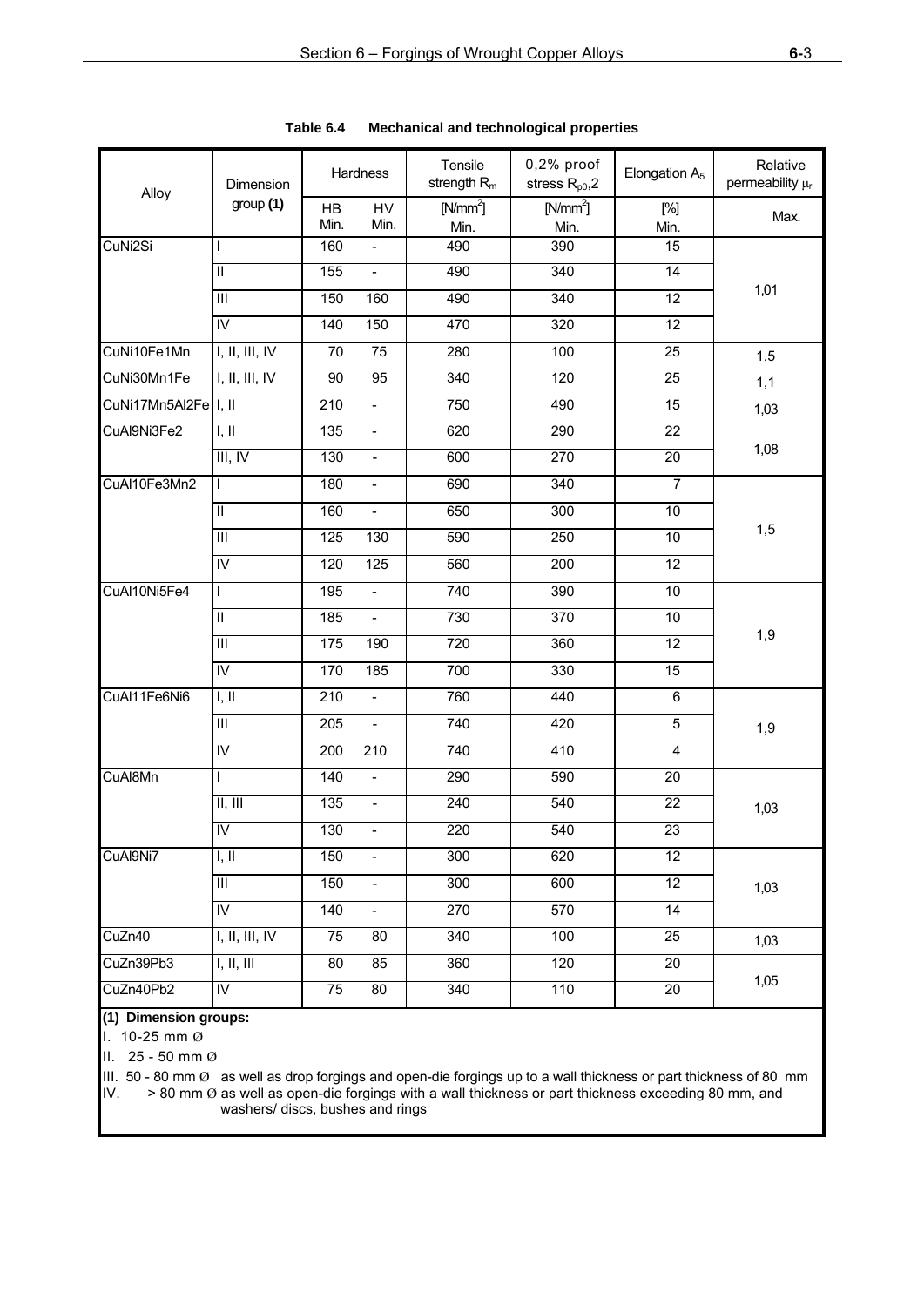| Alloy                | <b>Dimension</b>                       |                 | Hardness                     | Tensile<br>strength $R_m$ | 0,2% proof<br>stress $R_{p0}$ , 2 | Elongation A <sub>5</sub> | Relative<br>permeability µr |  |
|----------------------|----------------------------------------|-----------------|------------------------------|---------------------------|-----------------------------------|---------------------------|-----------------------------|--|
|                      | group(1)                               | HB<br>Min.      | HV<br>Min.                   | $[N/mm^2]$<br>Min.        | $[N/mm^2]$<br>Min.                | $[\%]$<br>Min.            | Max.                        |  |
| CuNi2Si              | T                                      | 160             | $\overline{a}$               | 490                       | 390                               | 15                        |                             |  |
|                      | $\mathsf{II}$                          | 155             | $\overline{a}$               | 490                       | 340                               | 14                        |                             |  |
|                      | III                                    | 150             | 160                          | 490                       | 340                               | 12                        | 1,01                        |  |
|                      | IV                                     | 140             | 150                          | 470                       | 320                               | 12                        |                             |  |
| CuNi10Fe1Mn          | I, II, III, IV                         | 70              | 75                           | 280                       | 100                               | 25                        | 1,5                         |  |
| CuNi30Mn1Fe          | $\overline{I, II, III, IV}$            | 90              | 95                           | 340                       | 120                               | 25                        | 1,1                         |  |
| CuNi17Mn5Al2Fe I, II |                                        | 210             | $\overline{a}$               | 750                       | 490                               | 15                        | 1,03                        |  |
| CuAl9Ni3Fe2          | I, II                                  | 135             | $\qquad \qquad \blacksquare$ | 620                       | 290                               | 22                        |                             |  |
|                      | III, IV                                | 130             | $\blacksquare$               | 600                       | 270                               | 20                        | 1,08                        |  |
| CuAl10Fe3Mn2         | $\mathbf{I}$                           | 180             | $\blacksquare$               | 690                       | 340                               | $\overline{7}$            |                             |  |
|                      | $\ensuremath{\mathsf{II}}$             | 160             | $\qquad \qquad \blacksquare$ | 650                       | 300                               | $10$                      | 1,5                         |  |
|                      | III                                    | 125             | 130                          | 590                       | 250                               | 10                        |                             |  |
|                      | IV                                     | 120             | 125                          | 560                       | 200                               | 12                        |                             |  |
| CuAl10Ni5Fe4         | $\mathbf{I}$                           | 195             | $\overline{a}$               | 740                       | 390                               | 10                        |                             |  |
|                      | $\mathbf{II}$                          | 185             | $\overline{a}$               | 730                       | 370                               | 10                        |                             |  |
|                      | $\overline{III}$                       | 175             | 190                          | 720                       | 360                               | $\overline{12}$           | 1,9                         |  |
|                      | $\overline{N}$                         | 170             | 185                          | 700                       | 330                               | $\overline{15}$           |                             |  |
| CuAl11Fe6Ni6         | I, II                                  | 210             | $\overline{\phantom{a}}$     | 760                       | 440                               | $\,6\,$                   |                             |  |
|                      | $\overline{\mathbb{H}}$                | 205             | $\blacksquare$               | 740                       | 420                               | $\overline{5}$            | 1,9                         |  |
|                      | $\overline{N}$                         | 200             | 210                          | 740                       | 410                               | 4                         |                             |  |
| CuAl8Mn              | $\mathbf{I}$                           | 140             | $\overline{a}$               | 290                       | 590                               | 20                        |                             |  |
|                      | $\overline{\mathbb{II}, \mathbb{III}}$ | 135             | $\frac{1}{2}$                | 240                       | 540                               | $\overline{22}$           | 1,03                        |  |
|                      | $\overline{N}$                         | 130             | $\overline{a}$               | 220                       | 540                               | 23                        |                             |  |
| CuAl9Ni7             | I, II                                  | 150             | $\blacksquare$               | 300                       | 620                               | 12                        |                             |  |
|                      | $\ensuremath{\mathsf{III}}\xspace$     | 150             | $\qquad \qquad \blacksquare$ | $\overline{3}00$          | 600                               | 12                        | 1,03                        |  |
|                      | ${\sf IV}$                             | 140             | $\qquad \qquad -$            | 270                       | 570                               | 14                        |                             |  |
| CuZn40               | I, II, III, IV                         | $\overline{75}$ | 80                           | 340                       | 100                               | 25                        | 1,03                        |  |
| CuZn39Pb3            | I, II, III                             | 80              | 85                           | 360                       | 120                               | 20                        |                             |  |
| CuZn40Pb2            | IV                                     | 75              | 80                           | 340                       | 110                               | 20                        | 1,05                        |  |

**Table 6.4 Mechanical and technological properties**

## **(1) Dimension groups:**

I. 10-25 mm Ø

II. 25 - 50 mm Ø

III. 50 - 80 mm  $\emptyset$  as well as drop forgings and open-die forgings up to a wall thickness or part thickness of 80 mm IV. > 80 mm  $\emptyset$  as well as open-die forgings with a wall thickness or part thickness exceeding 80 mm, and washers/ discs, bushes and rings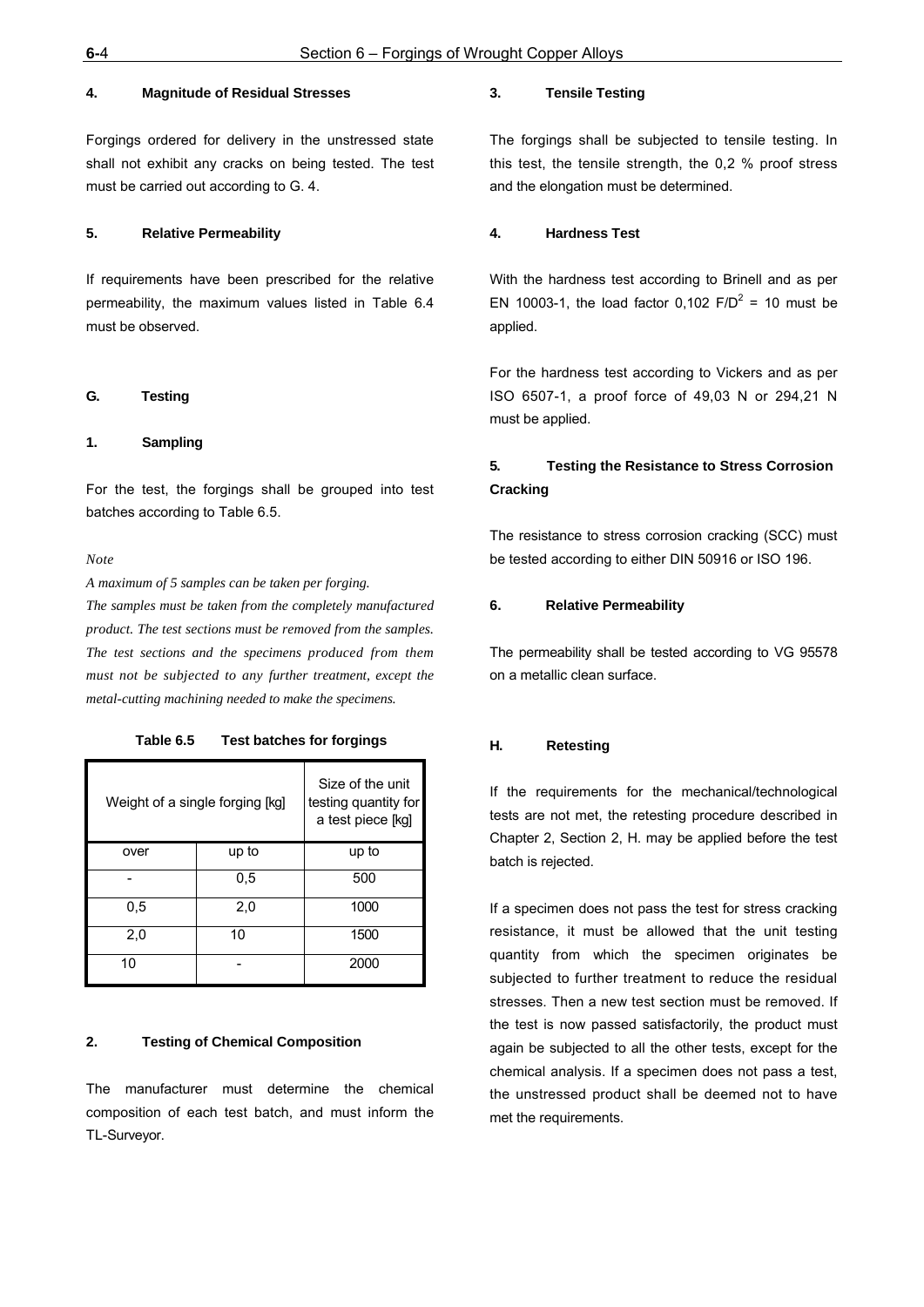## **4. Magnitude of Residual Stresses**

Forgings ordered for delivery in the unstressed state shall not exhibit any cracks on being tested. The test must be carried out according to G. 4.

## **5. Relative Permeability**

If requirements have been prescribed for the relative permeability, the maximum values listed in Table 6.4 must be observed.

#### **G. Testing**

#### **1. Sampling**

For the test, the forgings shall be grouped into test batches according to Table 6.5.

*Note*

*A maximum of 5 samples can be taken per forging.*

*The samples must be taken from the completely manufactured product. The test sections must be removed from the samples. The test sections and the specimens produced from them must not be subjected to any further treatment, except the metal-cutting machining needed to make the specimens.*

**Table 6.5 Test batches for forgings**

| Weight of a single forging [kg] | Size of the unit<br>testing quantity for<br>a test piece [kg] |      |  |  |  |  |
|---------------------------------|---------------------------------------------------------------|------|--|--|--|--|
| over                            | up to                                                         |      |  |  |  |  |
|                                 | 500                                                           |      |  |  |  |  |
| 0,5                             | 1000                                                          |      |  |  |  |  |
| 2,0                             | 1500                                                          |      |  |  |  |  |
| 10                              |                                                               | 2000 |  |  |  |  |

## **2. Testing of Chemical Composition**

The manufacturer must determine the chemical composition of each test batch, and must inform the TL-Surveyor.

#### **3. Tensile Testing**

The forgings shall be subjected to tensile testing. In this test, the tensile strength, the 0,2 % proof stress and the elongation must be determined.

#### **4. Hardness Test**

With the hardness test according to Brinell and as per EN 10003-1, the load factor 0,102  $F/D^2 = 10$  must be applied.

For the hardness test according to Vickers and as per ISO 6507-1, a proof force of 49,03 N or 294,21 N must be applied.

## **5. Testing the Resistance to Stress Corrosion Cracking**

The resistance to stress corrosion cracking (SCC) must be tested according to either DIN 50916 or ISO 196.

#### **6. Relative Permeability**

The permeability shall be tested according to VG 95578 on a metallic clean surface.

#### **H. Retesting**

If the requirements for the mechanical/technological tests are not met, the retesting procedure described in Chapter 2, Section 2, H. may be applied before the test batch is rejected.

If a specimen does not pass the test for stress cracking resistance, it must be allowed that the unit testing quantity from which the specimen originates be subjected to further treatment to reduce the residual stresses. Then a new test section must be removed. If the test is now passed satisfactorily, the product must again be subjected to all the other tests, except for the chemical analysis. If a specimen does not pass a test, the unstressed product shall be deemed not to have met the requirements.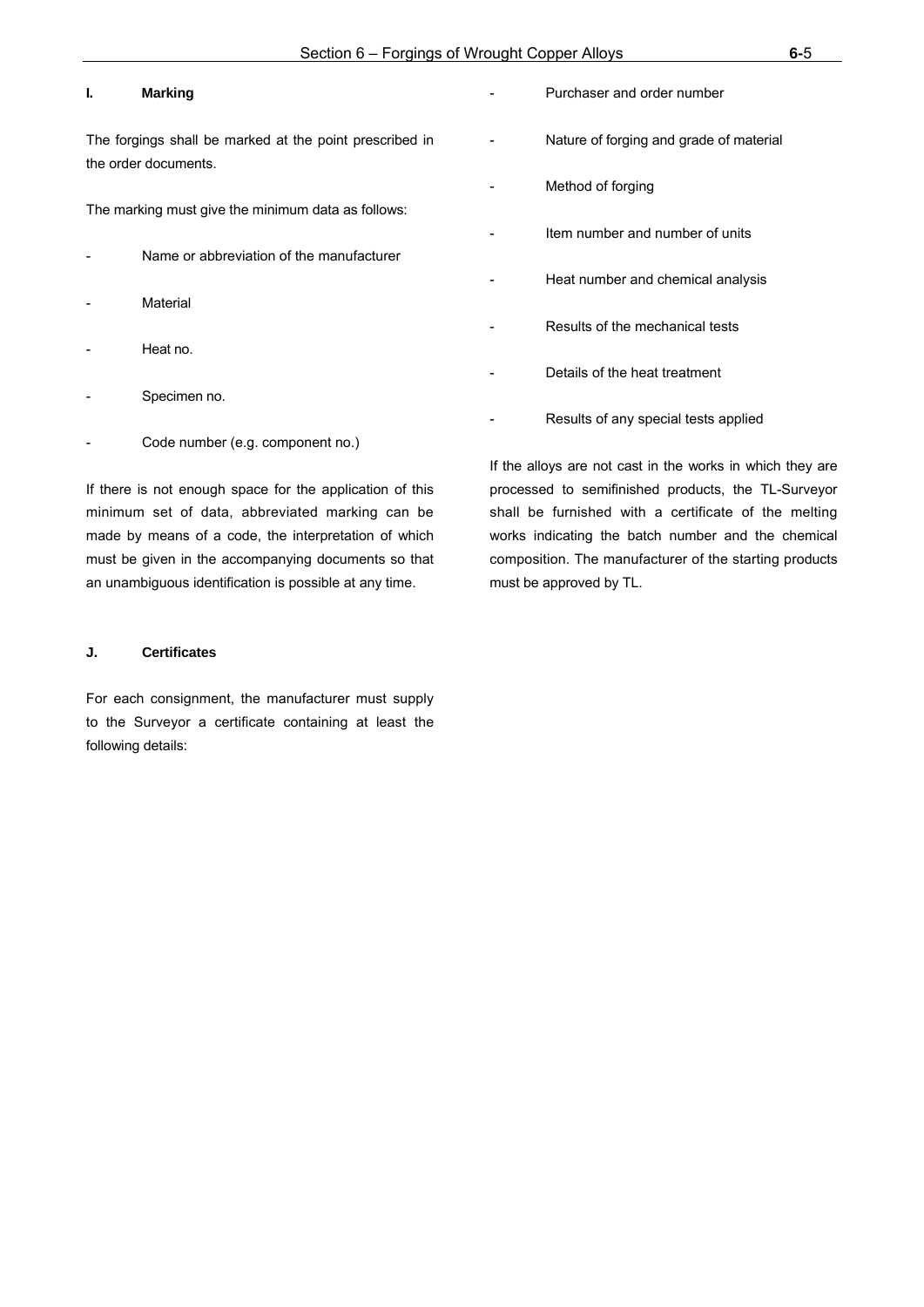## **I. Marking**

The forgings shall be marked at the point prescribed in the order documents.

The marking must give the minimum data as follows:

- Name or abbreviation of the manufacturer
- **Material**
- Heat no.
- Specimen no.
- Code number (e.g. component no.)

If there is not enough space for the application of this minimum set of data, abbreviated marking can be made by means of a code, the interpretation of which must be given in the accompanying documents so that an unambiguous identification is possible at any time.

#### **J. Certificates**

For each consignment, the manufacturer must supply to the Surveyor a certificate containing at least the following details:

Purchaser and order number Nature of forging and grade of material Method of forging Item number and number of units Heat number and chemical analysis Results of the mechanical tests Details of the heat treatment Results of any special tests applied

If the alloys are not cast in the works in which they are processed to semifinished products, the TL-Surveyor shall be furnished with a certificate of the melting works indicating the batch number and the chemical composition. The manufacturer of the starting products must be approved by TL.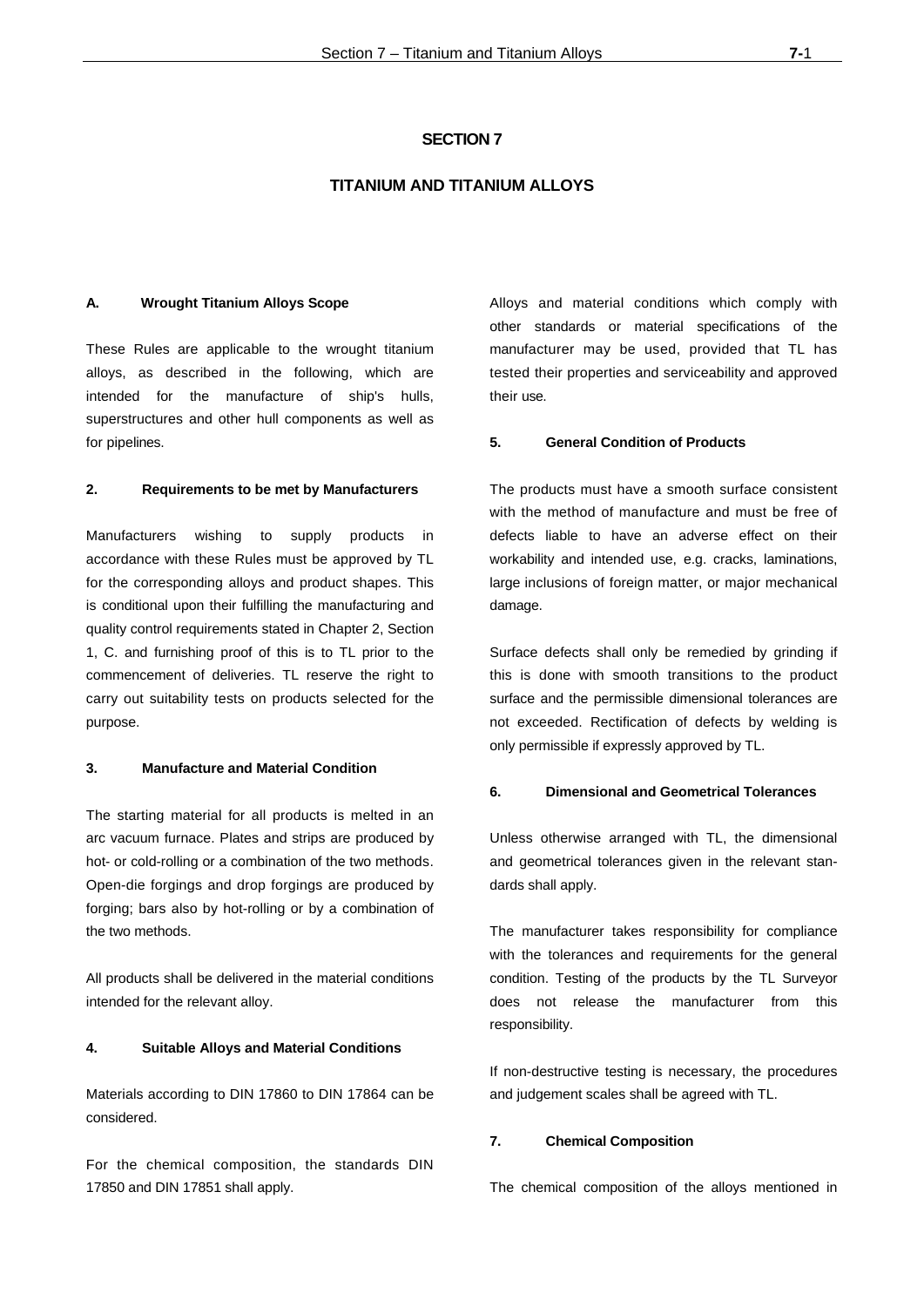#### **SECTION 7**

## **TITANIUM AND TITANIUM ALLOYS**

#### **A. Wrought Titanium Alloys Scope**

These Rules are applicable to the wrought titanium alloys, as described in the following, which are intended for the manufacture of ship's hulls, superstructures and other hull components as well as for pipelines.

#### **2. Requirements to be met by Manufacturers**

Manufacturers wishing to supply products in accordance with these Rules must be approved by TL for the corresponding alloys and product shapes. This is conditional upon their fulfilling the manufacturing and quality control requirements stated in Chapter 2, Section 1, C. and furnishing proof of this is to TL prior to the commencement of deliveries. TL reserve the right to carry out suitability tests on products selected for the purpose.

#### **3. Manufacture and Material Condition**

The starting material for all products is melted in an arc vacuum furnace. Plates and strips are produced by hot- or cold-rolling or a combination of the two methods. Open-die forgings and drop forgings are produced by forging; bars also by hot-rolling or by a combination of the two methods.

All products shall be delivered in the material conditions intended for the relevant alloy.

#### **4. Suitable Alloys and Material Conditions**

Materials according to DIN 17860 to DIN 17864 can be considered.

For the chemical composition, the standards DIN 17850 and DIN 17851 shall apply.

Alloys and material conditions which comply with other standards or material specifications of the manufacturer may be used, provided that TL has tested their properties and serviceability and approved their use.

#### **5. General Condition of Products**

The products must have a smooth surface consistent with the method of manufacture and must be free of defects liable to have an adverse effect on their workability and intended use, e.g. cracks, laminations, large inclusions of foreign matter, or major mechanical damage.

Surface defects shall only be remedied by grinding if this is done with smooth transitions to the product surface and the permissible dimensional tolerances are not exceeded. Rectification of defects by welding is only permissible if expressly approved by TL.

## **6. Dimensional and Geometrical Tolerances**

Unless otherwise arranged with TL, the dimensional and geometrical tolerances given in the relevant standards shall apply.

The manufacturer takes responsibility for compliance with the tolerances and requirements for the general condition. Testing of the products by the TL Surveyor does not release the manufacturer from this responsibility.

If non-destructive testing is necessary, the procedures and judgement scales shall be agreed with TL.

#### **7. Chemical Composition**

The chemical composition of the alloys mentioned in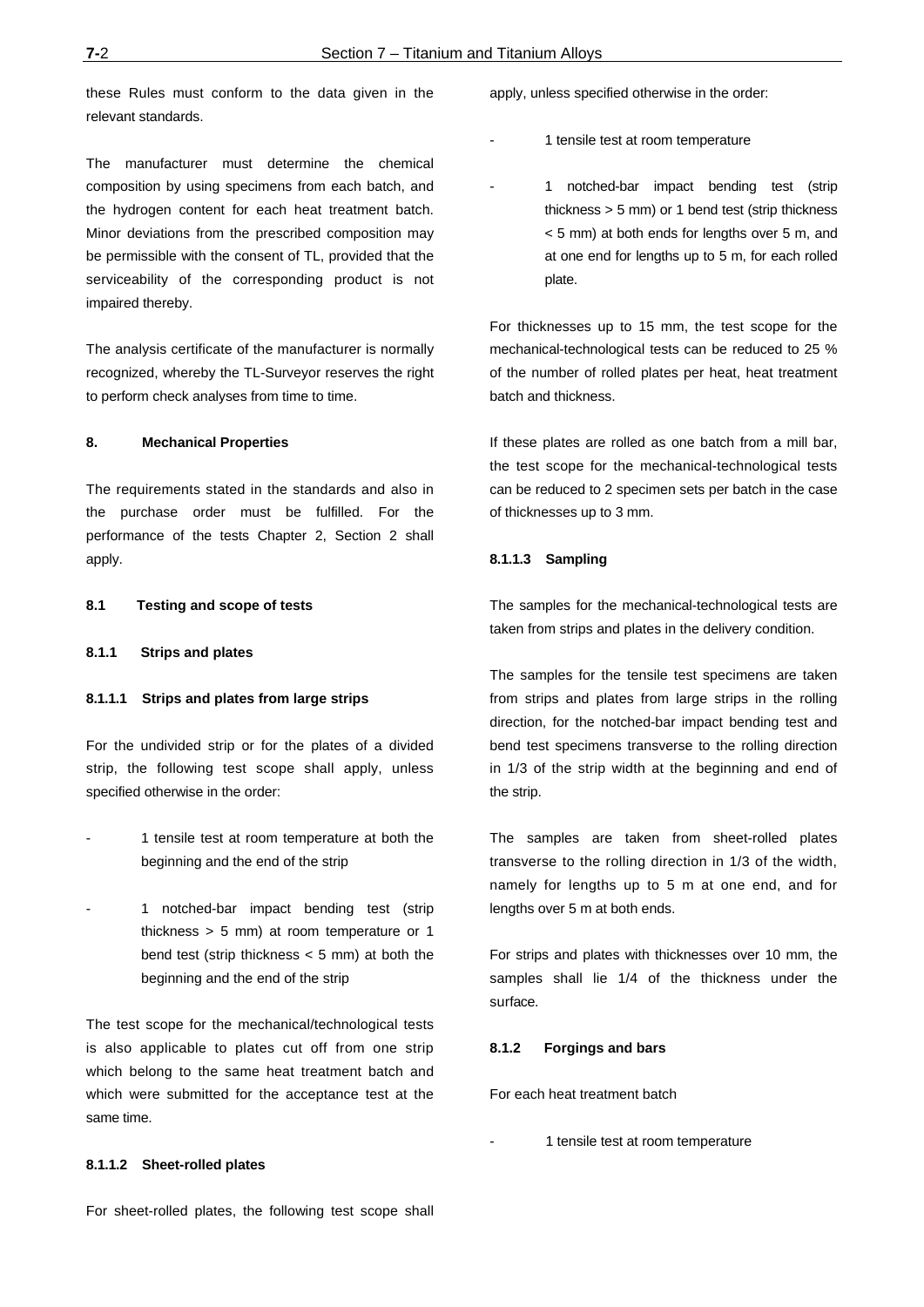these Rules must conform to the data given in the relevant standards.

The manufacturer must determine the chemical composition by using specimens from each batch, and the hydrogen content for each heat treatment batch. Minor deviations from the prescribed composition may be permissible with the consent of TL, provided that the serviceability of the corresponding product is not impaired thereby.

The analysis certificate of the manufacturer is normally recognized, whereby the TL-Surveyor reserves the right to perform check analyses from time to time.

#### **8. Mechanical Properties**

The requirements stated in the standards and also in the purchase order must be fulfilled. For the performance of the tests Chapter 2, Section 2 shall apply.

### **8.1 Testing and scope of tests**

#### **8.1.1 Strips and plates**

#### **8.1.1.1 Strips and plates from large strips**

For the undivided strip or for the plates of a divided strip, the following test scope shall apply, unless specified otherwise in the order:

- 1 tensile test at room temperature at both the beginning and the end of the strip
- 1 notched-bar impact bending test (strip thickness > 5 mm) at room temperature or 1 bend test (strip thickness  $<$  5 mm) at both the beginning and the end of the strip

The test scope for the mechanical/technological tests is also applicable to plates cut off from one strip which belong to the same heat treatment batch and which were submitted for the acceptance test at the same time.

#### apply, unless specified otherwise in the order:

- 1 tensile test at room temperature
- 1 notched-bar impact bending test (strip thickness > 5 mm) or 1 bend test (strip thickness < 5 mm) at both ends for lengths over 5 m, and at one end for lengths up to 5 m, for each rolled plate.

For thicknesses up to 15 mm, the test scope for the mechanical-technological tests can be reduced to 25 % of the number of rolled plates per heat, heat treatment batch and thickness.

If these plates are rolled as one batch from a mill bar, the test scope for the mechanical-technological tests can be reduced to 2 specimen sets per batch in the case of thicknesses up to 3 mm.

#### **8.1.1.3 Sampling**

The samples for the mechanical-technological tests are taken from strips and plates in the delivery condition.

The samples for the tensile test specimens are taken from strips and plates from large strips in the rolling direction, for the notched-bar impact bending test and bend test specimens transverse to the rolling direction in 1/3 of the strip width at the beginning and end of the strip.

The samples are taken from sheet-rolled plates transverse to the rolling direction in 1/3 of the width, namely for lengths up to 5 m at one end, and for lengths over 5 m at both ends.

For strips and plates with thicknesses over 10 mm, the samples shall lie 1/4 of the thickness under the surface.

#### **8.1.2 Forgings and bars**

For each heat treatment batch

1 tensile test at room temperature

#### **8.1.1.2 Sheet-rolled plates**

For sheet-rolled plates, the following test scope shall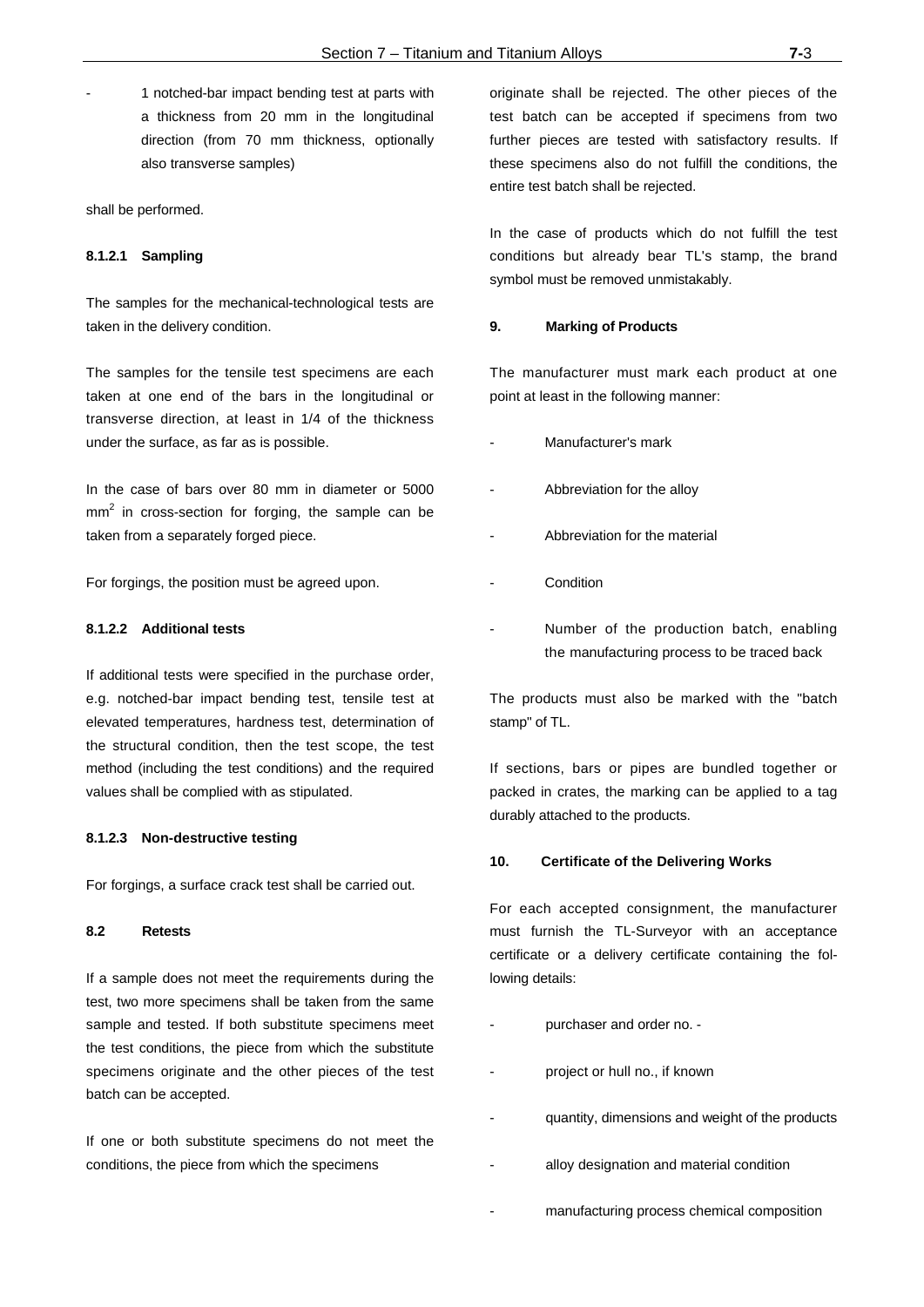1 notched-bar impact bending test at parts with a thickness from 20 mm in the longitudinal direction (from 70 mm thickness, optionally also transverse samples)

shall be performed.

#### **8.1.2.1 Sampling**

The samples for the mechanical-technological tests are taken in the delivery condition.

The samples for the tensile test specimens are each taken at one end of the bars in the longitudinal or transverse direction, at least in 1/4 of the thickness under the surface, as far as is possible.

In the case of bars over 80 mm in diameter or 5000  $mm<sup>2</sup>$  in cross-section for forging, the sample can be taken from a separately forged piece.

For forgings, the position must be agreed upon.

## **8.1.2.2 Additional tests**

If additional tests were specified in the purchase order, e.g. notched-bar impact bending test, tensile test at elevated temperatures, hardness test, determination of the structural condition, then the test scope, the test method (including the test conditions) and the required values shall be complied with as stipulated.

#### **8.1.2.3 Non-destructive testing**

For forgings, a surface crack test shall be carried out.

#### **8.2 Retests**

If a sample does not meet the requirements during the test, two more specimens shall be taken from the same sample and tested. If both substitute specimens meet the test conditions, the piece from which the substitute specimens originate and the other pieces of the test batch can be accepted.

If one or both substitute specimens do not meet the conditions, the piece from which the specimens

originate shall be rejected. The other pieces of the test batch can be accepted if specimens from two further pieces are tested with satisfactory results. If these specimens also do not fulfill the conditions, the entire test batch shall be rejected.

In the case of products which do not fulfill the test conditions but already bear TL's stamp, the brand symbol must be removed unmistakably.

#### **9. Marking of Products**

The manufacturer must mark each product at one point at least in the following manner:

- Manufacturer's mark
- Abbreviation for the alloy
- Abbreviation for the material
- **Condition**
- Number of the production batch, enabling the manufacturing process to be traced back

The products must also be marked with the "batch stamp" of TL.

If sections, bars or pipes are bundled together or packed in crates, the marking can be applied to a tag durably attached to the products.

#### **10. Certificate of the Delivering Works**

For each accepted consignment, the manufacturer must furnish the TL-Surveyor with an acceptance certificate or a delivery certificate containing the following details:

- purchaser and order no. -
- project or hull no., if known
- quantity, dimensions and weight of the products
	- alloy designation and material condition
- manufacturing process chemical composition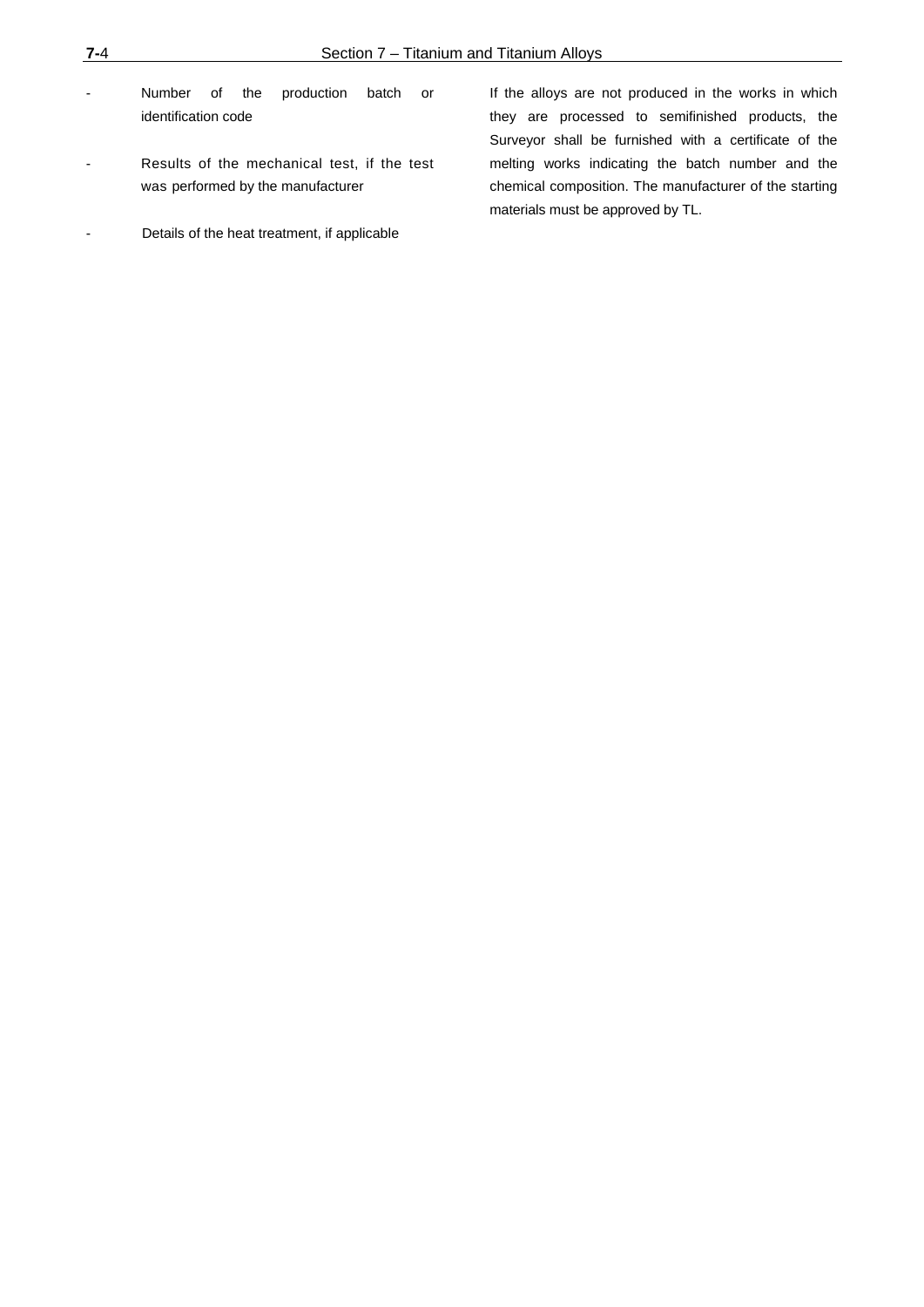- Number of the production batch or identification code
- Results of the mechanical test, if the test was performed by the manufacturer
- Details of the heat treatment, if applicable

If the alloys are not produced in the works in which they are processed to semifinished products, the Surveyor shall be furnished with a certificate of the melting works indicating the batch number and the chemical composition. The manufacturer of the starting materials must be approved by TL.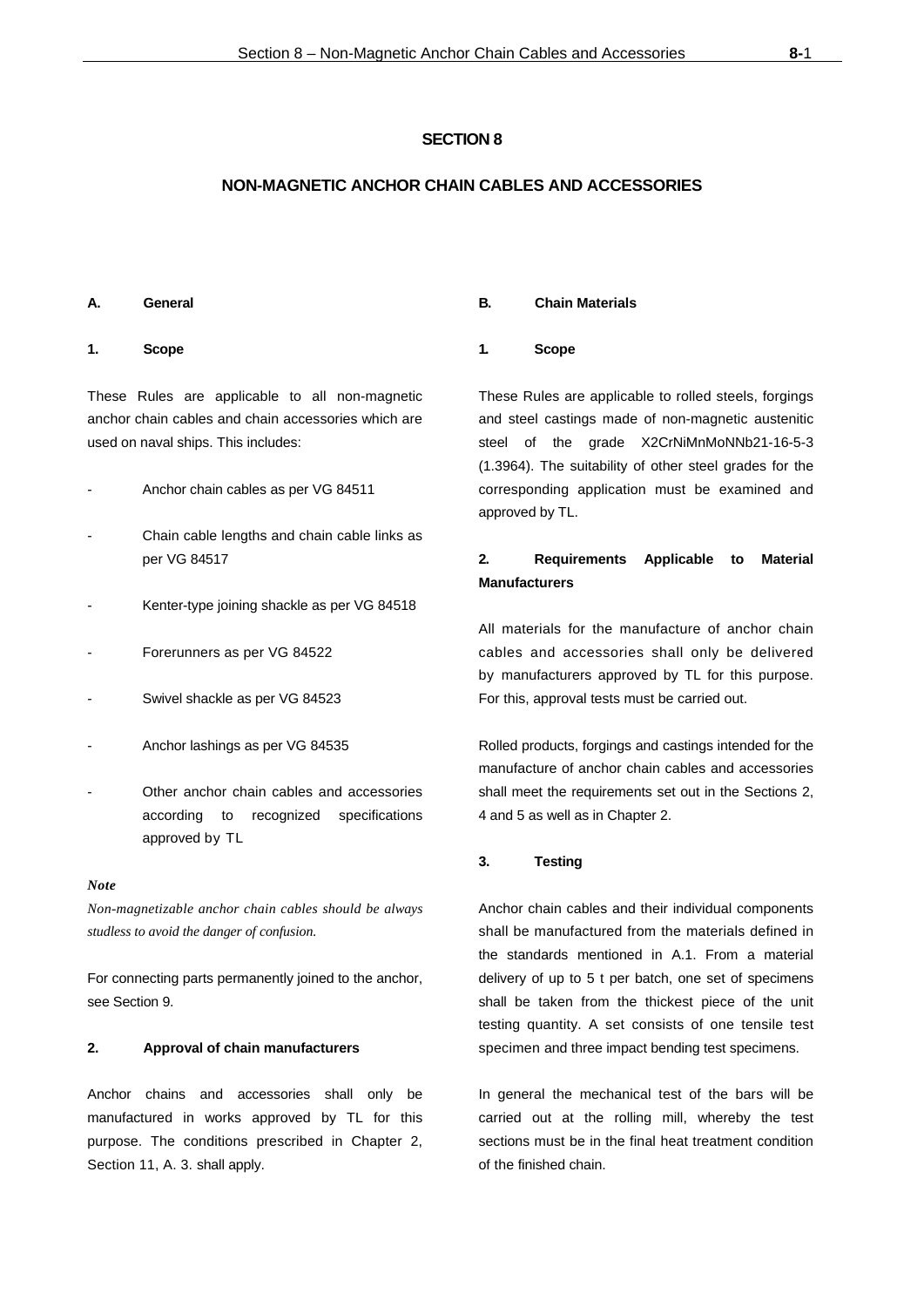## **SECTION 8**

## **NON-MAGNETIC ANCHOR CHAIN CABLES AND ACCESSORIES**

#### **A. General**

## **1. Scope**

These Rules are applicable to all non-magnetic anchor chain cables and chain accessories which are used on naval ships. This includes:

- Anchor chain cables as per VG 84511
- Chain cable lengths and chain cable links as per VG 84517
- Kenter-type joining shackle as per VG 84518
- Forerunners as per VG 84522
- Swivel shackle as per VG 84523
- Anchor lashings as per VG 84535
- Other anchor chain cables and accessories according to recognized specifications approved by TL

#### *Note*

*Non-magnetizable anchor chain cables should be always studless to avoid the danger of confusion.*

For connecting parts permanently joined to the anchor, see Section 9.

### **2. Approval of chain manufacturers**

Anchor chains and accessories shall only be manufactured in works approved by TL for this purpose. The conditions prescribed in Chapter 2, Section 11, A. 3. shall apply.

#### **B. Chain Materials**

#### **1. Scope**

These Rules are applicable to rolled steels, forgings and steel castings made of non-magnetic austenitic steel of the grade X2CrNiMnMoNNb21-16-5-3 (1.3964). The suitability of other steel grades for the corresponding application must be examined and approved by TL.

## **2. Requirements Applicable to Material Manufacturers**

All materials for the manufacture of anchor chain cables and accessories shall only be delivered by manufacturers approved by TL for this purpose. For this, approval tests must be carried out.

Rolled products, forgings and castings intended for the manufacture of anchor chain cables and accessories shall meet the requirements set out in the Sections 2, 4 and 5 as well as in Chapter 2.

#### **3. Testing**

Anchor chain cables and their individual components shall be manufactured from the materials defined in the standards mentioned in A.1. From a material delivery of up to 5 t per batch, one set of specimens shall be taken from the thickest piece of the unit testing quantity. A set consists of one tensile test specimen and three impact bending test specimens.

In general the mechanical test of the bars will be carried out at the rolling mill, whereby the test sections must be in the final heat treatment condition of the finished chain.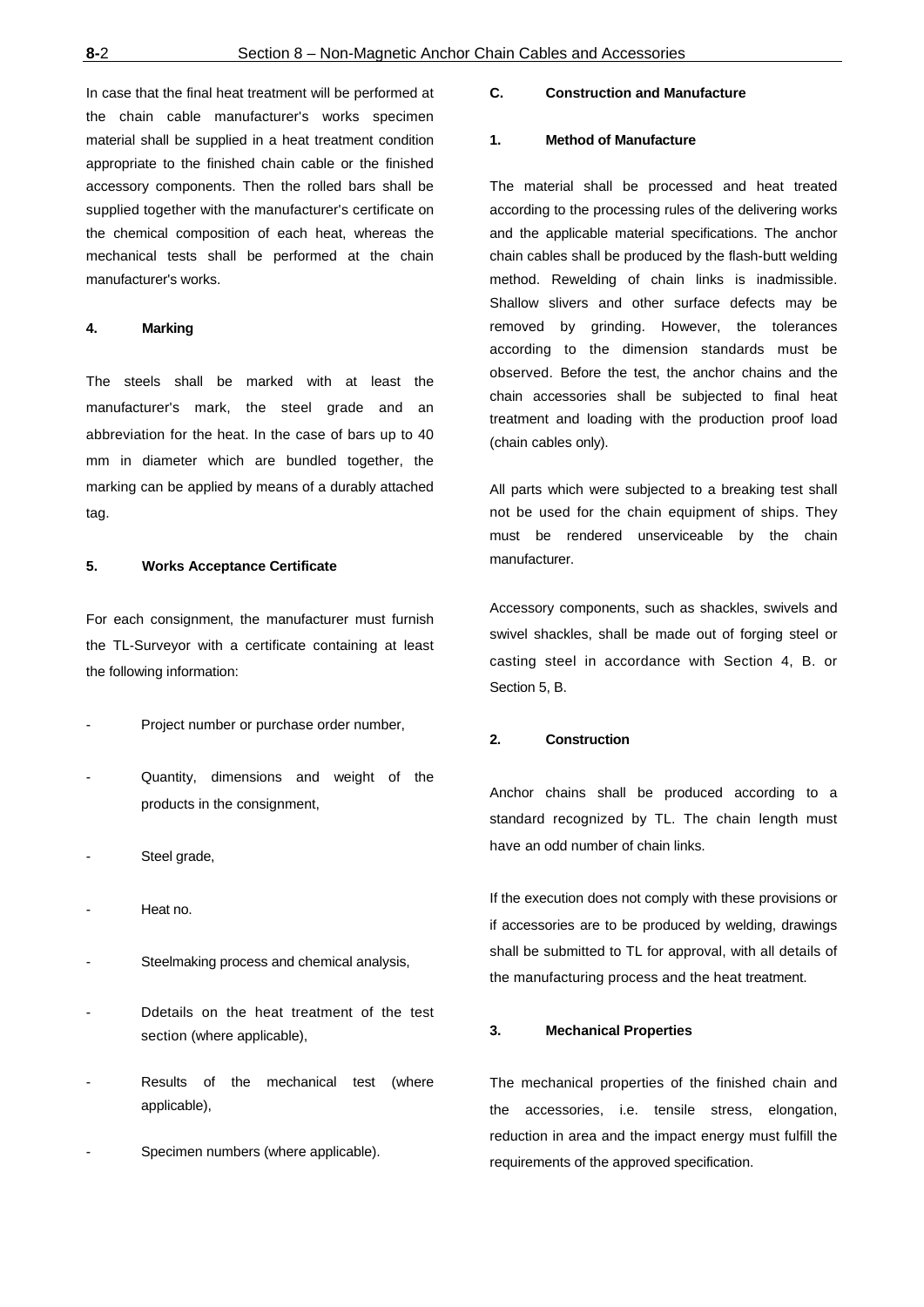In case that the final heat treatment will be performed at the chain cable manufacturer's works specimen material shall be supplied in a heat treatment condition appropriate to the finished chain cable or the finished accessory components. Then the rolled bars shall be supplied together with the manufacturer's certificate on the chemical composition of each heat, whereas the mechanical tests shall be performed at the chain manufacturer's works.

#### **4. Marking**

The steels shall be marked with at least the manufacturer's mark, the steel grade and an abbreviation for the heat. In the case of bars up to 40 mm in diameter which are bundled together, the marking can be applied by means of a durably attached tag.

#### **5. Works Acceptance Certificate**

For each consignment, the manufacturer must furnish the TL-Surveyor with a certificate containing at least the following information:

- Project number or purchase order number,
- Quantity, dimensions and weight of the products in the consignment,
- Steel grade,
- Heat no.
- Steelmaking process and chemical analysis,
- Ddetails on the heat treatment of the test section (where applicable),
- Results of the mechanical test (where applicable),
- Specimen numbers (where applicable).

## **C. Construction and Manufacture**

#### **1. Method of Manufacture**

The material shall be processed and heat treated according to the processing rules of the delivering works and the applicable material specifications. The anchor chain cables shall be produced by the flash-butt welding method. Rewelding of chain links is inadmissible. Shallow slivers and other surface defects may be removed by grinding. However, the tolerances according to the dimension standards must be observed. Before the test, the anchor chains and the chain accessories shall be subjected to final heat treatment and loading with the production proof load (chain cables only).

All parts which were subjected to a breaking test shall not be used for the chain equipment of ships. They must be rendered unserviceable by the chain manufacturer.

Accessory components, such as shackles, swivels and swivel shackles, shall be made out of forging steel or casting steel in accordance with Section 4, B. or Section 5, B.

## **2. Construction**

Anchor chains shall be produced according to a standard recognized by TL. The chain length must have an odd number of chain links.

If the execution does not comply with these provisions or if accessories are to be produced by welding, drawings shall be submitted to TL for approval, with all details of the manufacturing process and the heat treatment.

#### **3. Mechanical Properties**

The mechanical properties of the finished chain and the accessories, i.e. tensile stress, elongation, reduction in area and the impact energy must fulfill the requirements of the approved specification.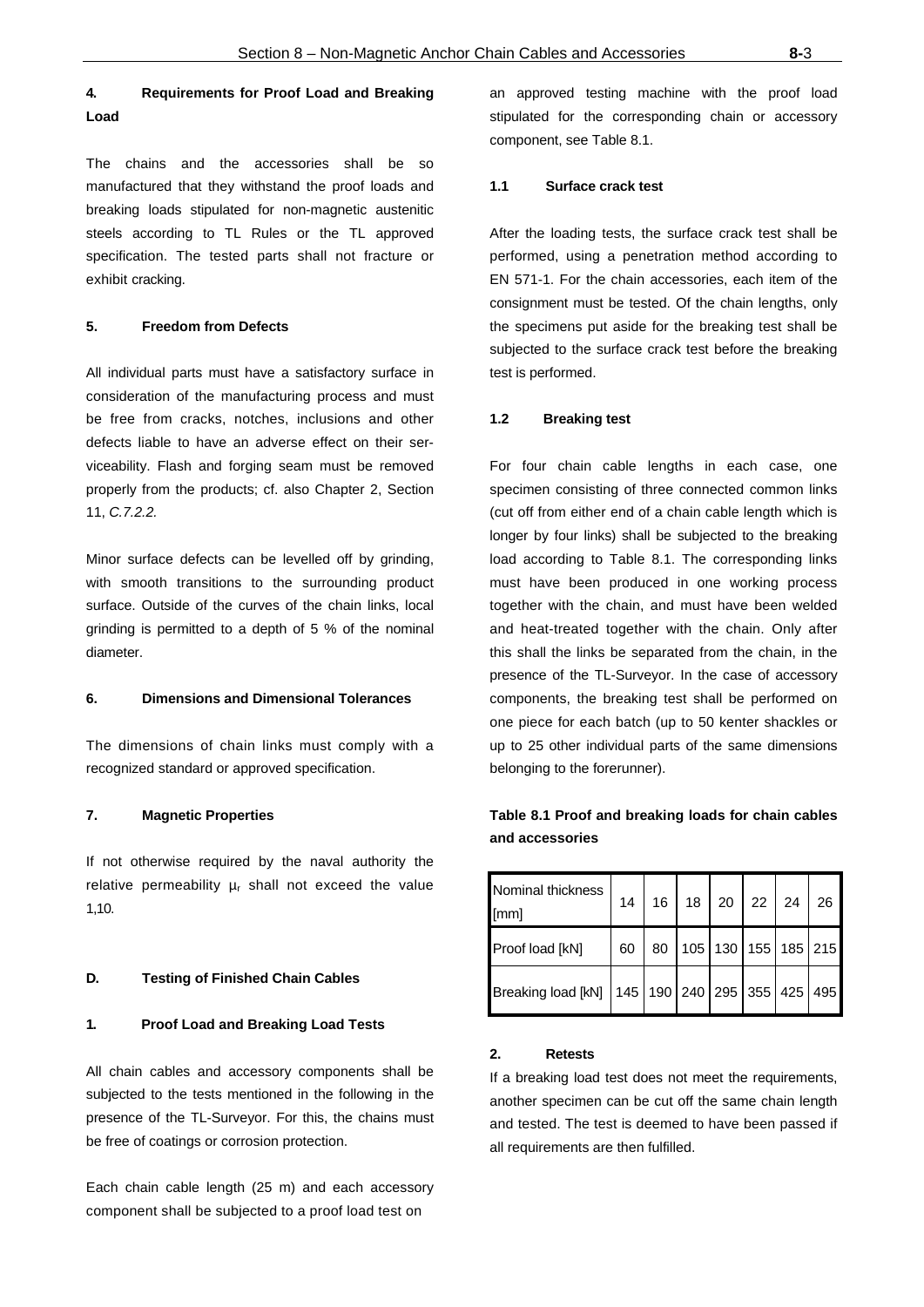## **4. Requirements for Proof Load and Breaking Load**

The chains and the accessories shall be so manufactured that they withstand the proof loads and breaking loads stipulated for non-magnetic austenitic steels according to TL Rules or the TL approved specification. The tested parts shall not fracture or exhibit cracking.

#### **5. Freedom from Defects**

All individual parts must have a satisfactory surface in consideration of the manufacturing process and must be free from cracks, notches, inclusions and other defects liable to have an adverse effect on their serviceability. Flash and forging seam must be removed properly from the products; cf. also Chapter 2, Section 11, *C.7.2.2.*

Minor surface defects can be levelled off by grinding, with smooth transitions to the surrounding product surface. Outside of the curves of the chain links, local grinding is permitted to a depth of 5 % of the nominal diameter.

## **6. Dimensions and Dimensional Tolerances**

The dimensions of chain links must comply with a recognized standard or approved specification.

#### **7. Magnetic Properties**

If not otherwise required by the naval authority the relative permeability  $\mu_r$  shall not exceed the value 1,10.

#### **D. Testing of Finished Chain Cables**

#### **1. Proof Load and Breaking Load Tests**

All chain cables and accessory components shall be subjected to the tests mentioned in the following in the presence of the TL-Surveyor. For this, the chains must be free of coatings or corrosion protection.

Each chain cable length (25 m) and each accessory component shall be subjected to a proof load test on

an approved testing machine with the proof load stipulated for the corresponding chain or accessory component, see Table 8.1.

#### **1.1 Surface crack test**

After the loading tests, the surface crack test shall be performed, using a penetration method according to EN 571-1. For the chain accessories, each item of the consignment must be tested. Of the chain lengths, only the specimens put aside for the breaking test shall be subjected to the surface crack test before the breaking test is performed.

#### **1.2 Breaking test**

For four chain cable lengths in each case, one specimen consisting of three connected common links (cut off from either end of a chain cable length which is longer by four links) shall be subjected to the breaking load according to Table 8.1. The corresponding links must have been produced in one working process together with the chain, and must have been welded and heat-treated together with the chain. Only after this shall the links be separated from the chain, in the presence of the TL-Surveyor. In the case of accessory components, the breaking test shall be performed on one piece for each batch (up to 50 kenter shackles or up to 25 other individual parts of the same dimensions belonging to the forerunner).

## Nominal thickness [mm] 14 | 16 | 18 | 20 | 22 | 24 | 26 Proof load [kN] | 60 | 80 | 105 | 130 | 155 | 185 | 215 Breaking load [kN] | 145 | 190 | 240 | 295 | 355 | 425 | 495

**Table 8.1 Proof and breaking loads for chain cables** 

#### **2. Retests**

**and accessories**

If a breaking load test does not meet the requirements, another specimen can be cut off the same chain length and tested. The test is deemed to have been passed if all requirements are then fulfilled.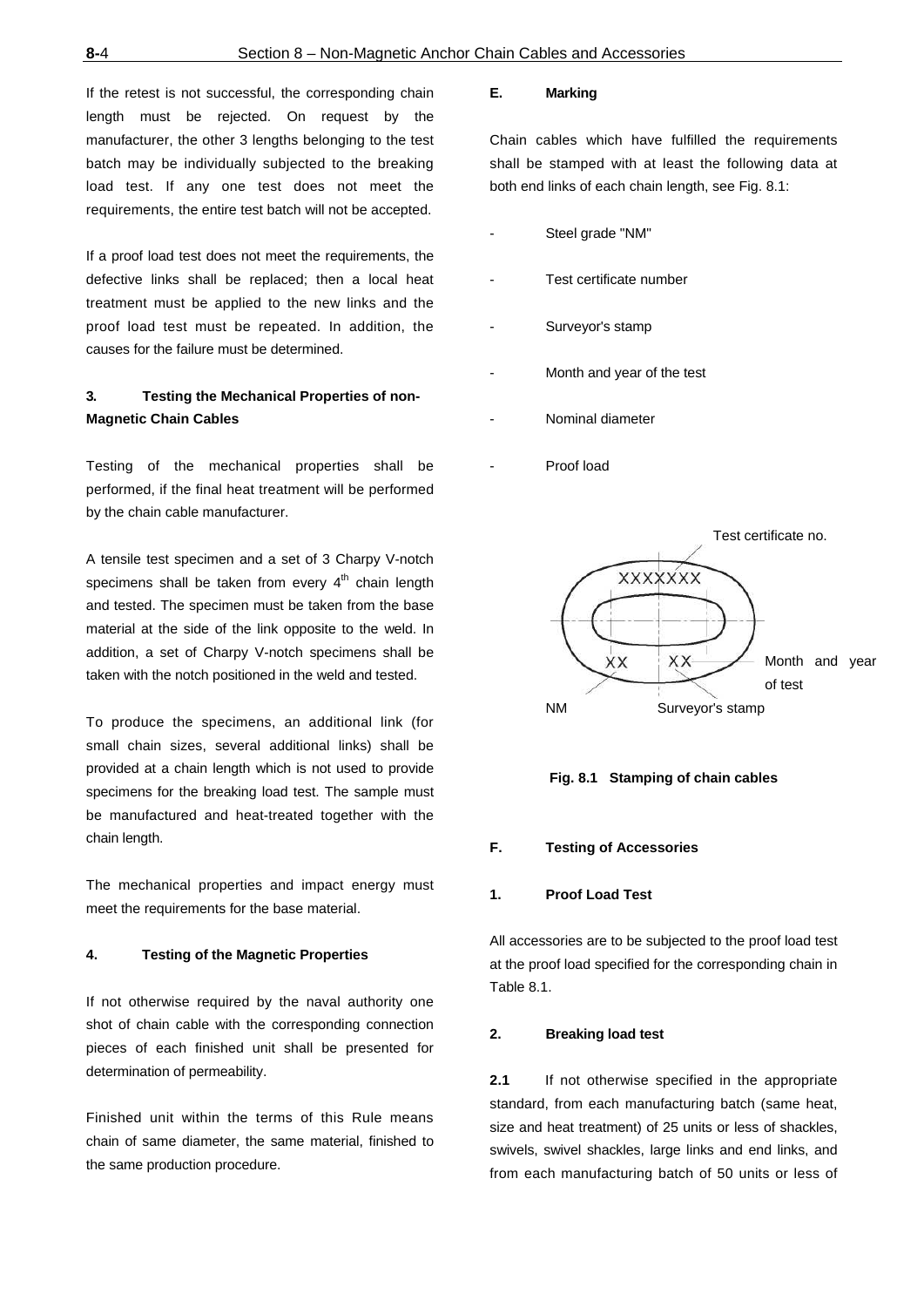If the retest is not successful, the corresponding chain length must be rejected. On request by the manufacturer, the other 3 lengths belonging to the test batch may be individually subjected to the breaking load test. If any one test does not meet the requirements, the entire test batch will not be accepted.

If a proof load test does not meet the requirements, the defective links shall be replaced; then a local heat treatment must be applied to the new links and the proof load test must be repeated. In addition, the causes for the failure must be determined.

## **3. Testing the Mechanical Properties of non-Magnetic Chain Cables**

Testing of the mechanical properties shall be performed, if the final heat treatment will be performed by the chain cable manufacturer.

A tensile test specimen and a set of 3 Charpy V-notch specimens shall be taken from every  $4<sup>th</sup>$  chain length and tested. The specimen must be taken from the base material at the side of the link opposite to the weld. In addition, a set of Charpy V-notch specimens shall be taken with the notch positioned in the weld and tested.

To produce the specimens, an additional link (for small chain sizes, several additional links) shall be provided at a chain length which is not used to provide specimens for the breaking load test. The sample must be manufactured and heat-treated together with the chain length.

The mechanical properties and impact energy must meet the requirements for the base material.

#### **4. Testing of the Magnetic Properties**

If not otherwise required by the naval authority one shot of chain cable with the corresponding connection pieces of each finished unit shall be presented for determination of permeability.

Finished unit within the terms of this Rule means chain of same diameter, the same material, finished to the same production procedure.

## **E. Marking**

Chain cables which have fulfilled the requirements shall be stamped with at least the following data at both end links of each chain length, see Fig. 8.1:

- Steel grade "NM"
- Test certificate number
- Surveyor's stamp
- Month and year of the test
- Nominal diameter
- Proof load





#### **F. Testing of Accessories**

#### **1. Proof Load Test**

All accessories are to be subjected to the proof load test at the proof load specified for the corresponding chain in Table 8.1.

## **2. Breaking load test**

**2.1** If not otherwise specified in the appropriate standard, from each manufacturing batch (same heat, size and heat treatment) of 25 units or less of shackles, swivels, swivel shackles, large links and end links, and from each manufacturing batch of 50 units or less of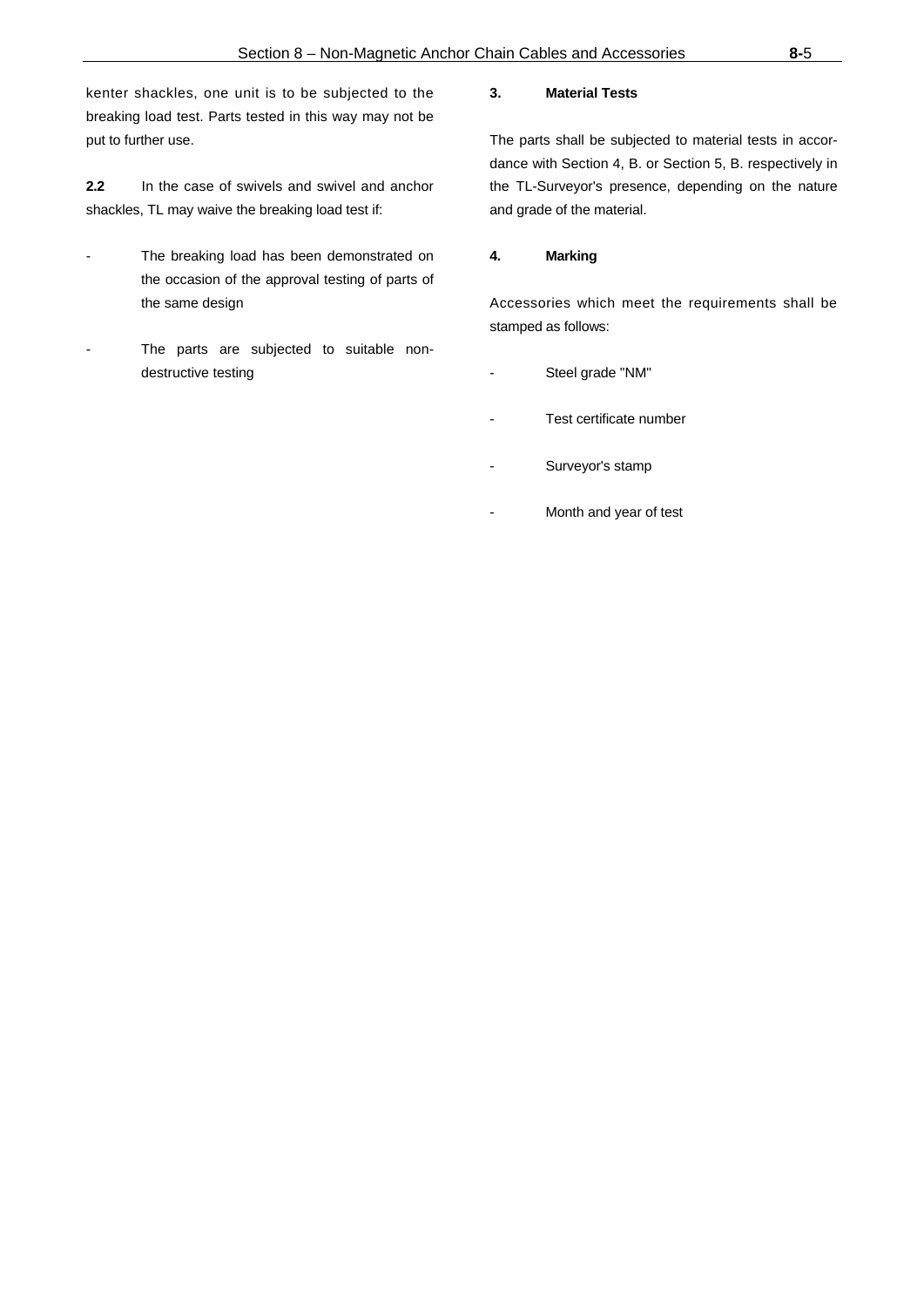kenter shackles, one unit is to be subjected to the breaking load test. Parts tested in this way may not be put to further use.

**2.2** In the case of swivels and swivel and anchor shackles, TL may waive the breaking load test if:

- The breaking load has been demonstrated on the occasion of the approval testing of parts of the same design
- The parts are subjected to suitable nondestructive testing

## **3. Material Tests**

The parts shall be subjected to material tests in accordance with Section 4, B. or Section 5, B. respectively in the TL-Surveyor's presence, depending on the nature and grade of the material.

## **4. Marking**

Accessories which meet the requirements shall be stamped as follows:

- Steel grade "NM"
- Test certificate number
- Surveyor's stamp
- Month and year of test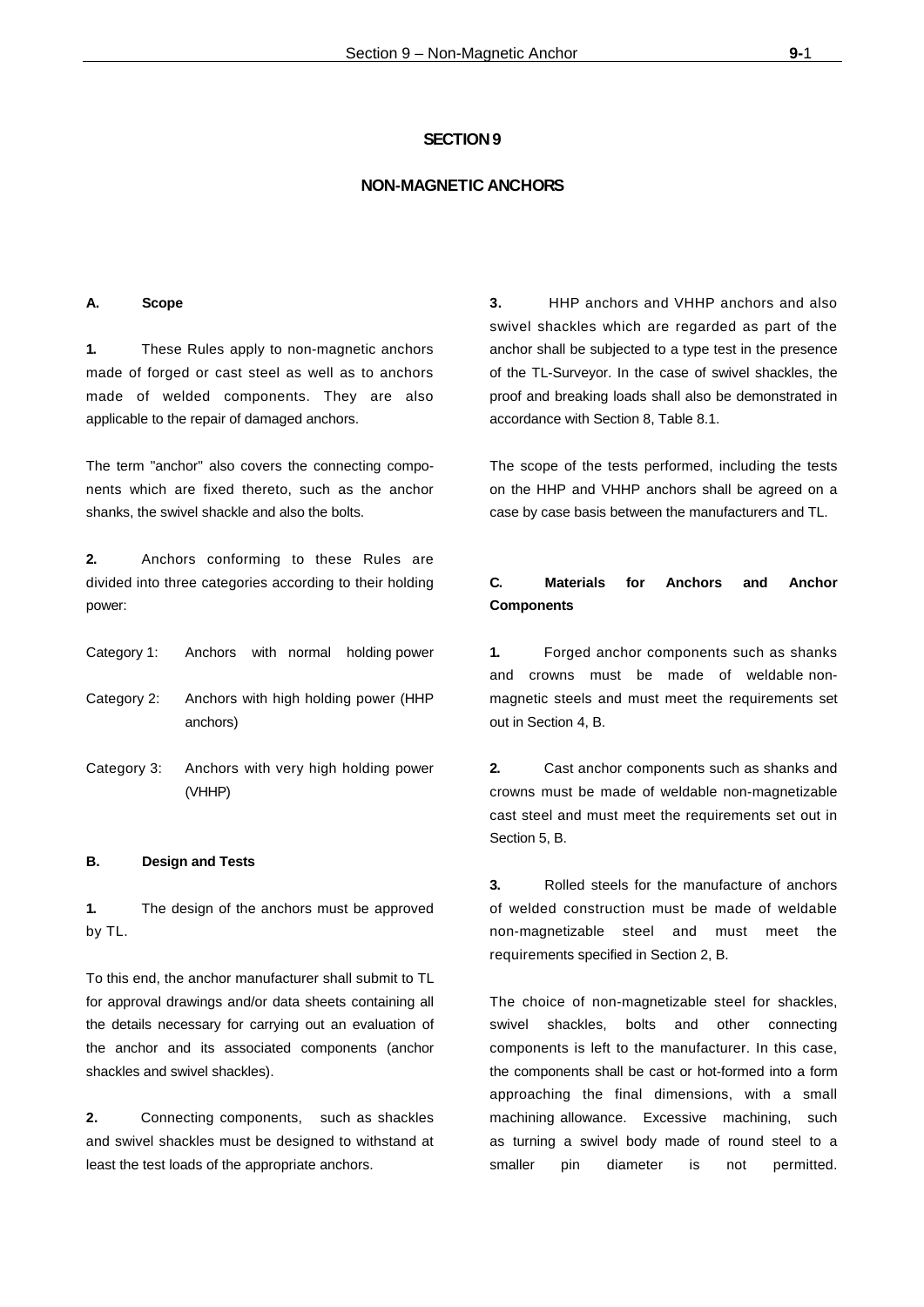#### **SECTION 9**

#### **NON-MAGNETIC ANCHORS**

#### **A. Scope**

**1.** These Rules apply to non-magnetic anchors made of forged or cast steel as well as to anchors made of welded components. They are also applicable to the repair of damaged anchors.

The term "anchor" also covers the connecting components which are fixed thereto, such as the anchor shanks, the swivel shackle and also the bolts.

**2.** Anchors conforming to these Rules are divided into three categories according to their holding power:

| Category 1: |  |  |  | Anchors with normal holding power |
|-------------|--|--|--|-----------------------------------|
|-------------|--|--|--|-----------------------------------|

- Category 2: Anchors with high holding power (HHP anchors)
- Category 3: Anchors with very high holding power (VHHP)

#### **B. Design and Tests**

**1.** The design of the anchors must be approved by TL.

To this end, the anchor manufacturer shall submit to TL for approval drawings and/or data sheets containing all the details necessary for carrying out an evaluation of the anchor and its associated components (anchor shackles and swivel shackles).

**2.** Connecting components, such as shackles and swivel shackles must be designed to withstand at least the test loads of the appropriate anchors.

**3.** HHP anchors and VHHP anchors and also swivel shackles which are regarded as part of the anchor shall be subjected to a type test in the presence of the TL-Surveyor. In the case of swivel shackles, the proof and breaking loads shall also be demonstrated in accordance with Section 8, Table 8.1.

The scope of the tests performed, including the tests on the HHP and VHHP anchors shall be agreed on a case by case basis between the manufacturers and TL.

## **C. Materials for Anchors and Anchor Components**

**1.** Forged anchor components such as shanks and crowns must be made of weldable nonmagnetic steels and must meet the requirements set out in Section 4, B.

**2.** Cast anchor components such as shanks and crowns must be made of weldable non-magnetizable cast steel and must meet the requirements set out in Section 5, B.

**3.** Rolled steels for the manufacture of anchors of welded construction must be made of weldable non-magnetizable steel and must meet the requirements specified in Section 2, B.

The choice of non-magnetizable steel for shackles, swivel shackles, bolts and other connecting components is left to the manufacturer. In this case, the components shall be cast or hot-formed into a form approaching the final dimensions, with a small machining allowance. Excessive machining, such as turning a swivel body made of round steel to a smaller pin diameter is not permitted.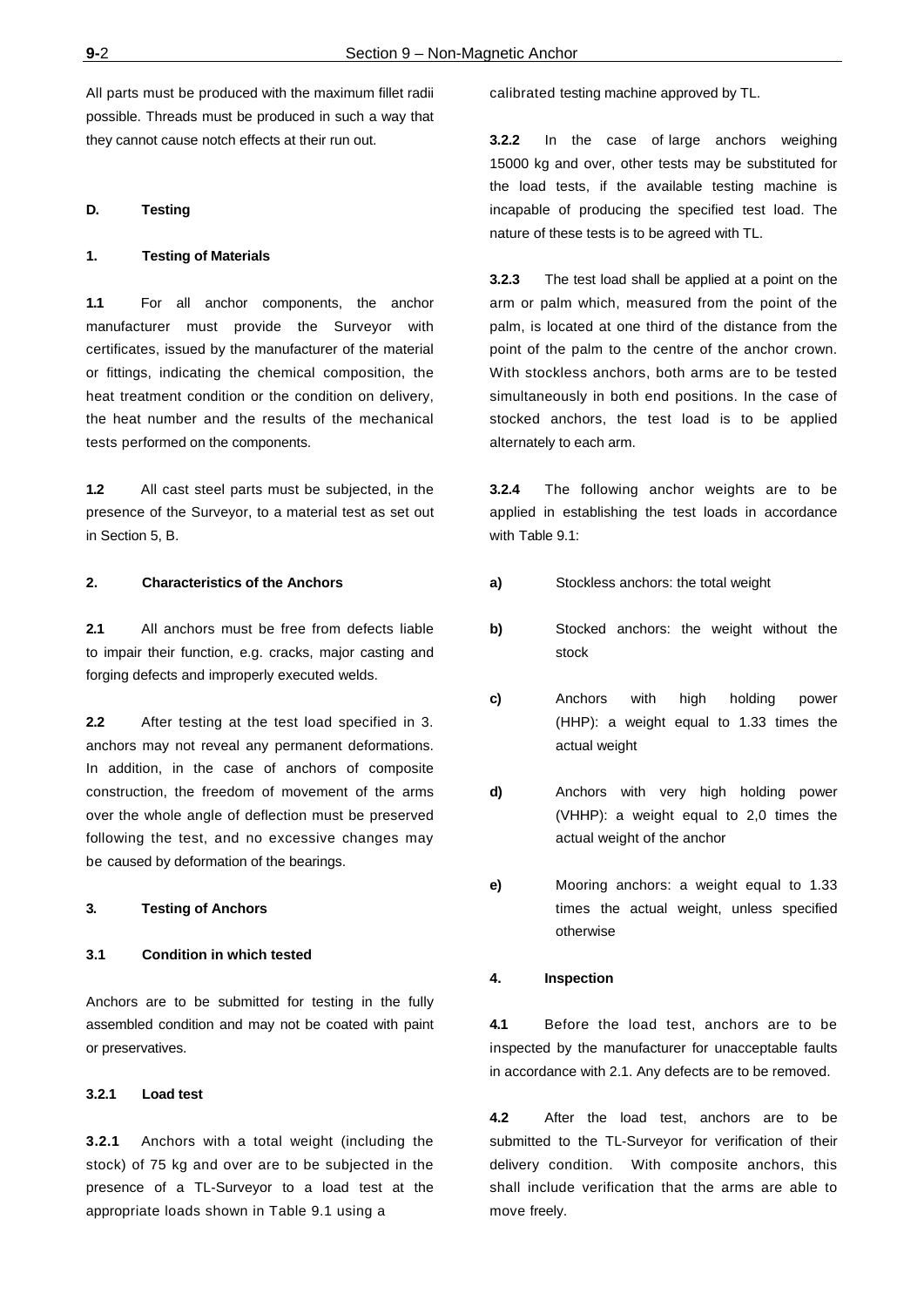All parts must be produced with the maximum fillet radii possible. Threads must be produced in such a way that they cannot cause notch effects at their run out.

#### **D. Testing**

#### **1. Testing of Materials**

**1.1** For all anchor components, the anchor manufacturer must provide the Surveyor with certificates, issued by the manufacturer of the material or fittings, indicating the chemical composition, the heat treatment condition or the condition on delivery, the heat number and the results of the mechanical tests performed on the components.

**1.2** All cast steel parts must be subjected, in the presence of the Surveyor, to a material test as set out in Section 5, B.

#### **2. Characteristics of the Anchors**

**2.1** All anchors must be free from defects liable to impair their function, e.g. cracks, major casting and forging defects and improperly executed welds.

**2.2** After testing at the test load specified in 3. anchors may not reveal any permanent deformations. In addition, in the case of anchors of composite construction, the freedom of movement of the arms over the whole angle of deflection must be preserved following the test, and no excessive changes may be caused by deformation of the bearings.

## **3. Testing of Anchors**

#### **3.1 Condition in which tested**

Anchors are to be submitted for testing in the fully assembled condition and may not be coated with paint or preservatives.

## **3.2.1 Load test**

**3.2.1** Anchors with a total weight (including the stock) of 75 kg and over are to be subjected in the presence of a TL-Surveyor to a load test at the appropriate loads shown in Table 9.1 using a

calibrated testing machine approved by TL.

**3.2.2** In the case of large anchors weighing 15000 kg and over, other tests may be substituted for the load tests, if the available testing machine is incapable of producing the specified test load. The nature of these tests is to be agreed with TL.

**3.2.3** The test load shall be applied at a point on the arm or palm which, measured from the point of the palm, is located at one third of the distance from the point of the palm to the centre of the anchor crown. With stockless anchors, both arms are to be tested simultaneously in both end positions. In the case of stocked anchors, the test load is to be applied alternately to each arm.

**3.2.4** The following anchor weights are to be applied in establishing the test loads in accordance with Table 9.1:

- **a)** Stockless anchors: the total weight
- **b)** Stocked anchors: the weight without the stock
- **c)** Anchors with high holding power (HHP): a weight equal to 1.33 times the actual weight
- **d)** Anchors with very high holding power (VHHP): a weight equal to 2,0 times the actual weight of the anchor
- **e)** Mooring anchors: a weight equal to 1.33 times the actual weight, unless specified otherwise

#### **4. Inspection**

**4.1** Before the load test, anchors are to be inspected by the manufacturer for unacceptable faults in accordance with 2.1. Any defects are to be removed.

**4.2** After the load test, anchors are to be submitted to the TL-Surveyor for verification of their delivery condition. With composite anchors, this shall include verification that the arms are able to move freely.